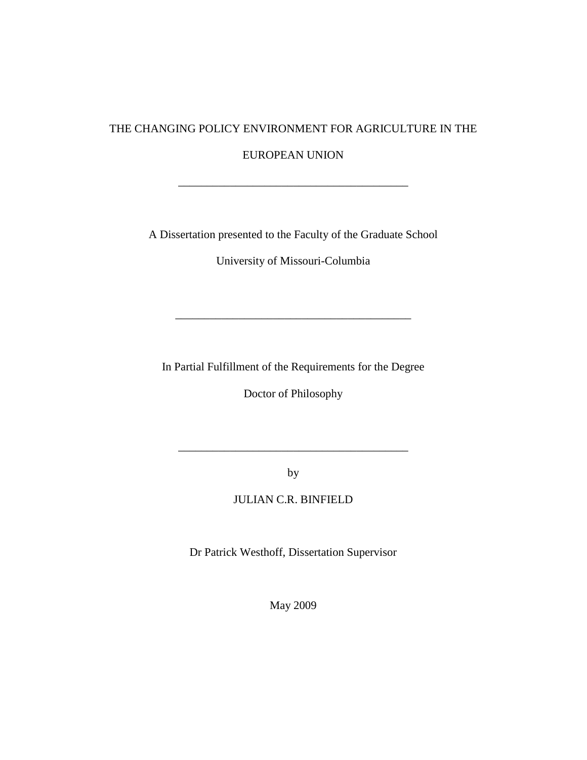# THE CHANGING POLICY ENVIRONMENT FOR AGRICULTURE IN THE

EUROPEAN UNION

\_\_\_\_\_\_\_\_\_\_\_\_\_\_\_\_\_\_\_\_\_\_\_\_\_\_\_\_\_\_\_\_\_\_\_\_\_\_\_\_

A Dissertation presented to the Faculty of the Graduate School

University of Missouri-Columbia

In Partial Fulfillment of the Requirements for the Degree

\_\_\_\_\_\_\_\_\_\_\_\_\_\_\_\_\_\_\_\_\_\_\_\_\_\_\_\_\_\_\_\_\_\_\_\_\_\_\_\_\_

Doctor of Philosophy

by

\_\_\_\_\_\_\_\_\_\_\_\_\_\_\_\_\_\_\_\_\_\_\_\_\_\_\_\_\_\_\_\_\_\_\_\_\_\_\_\_

JULIAN C.R. BINFIELD

Dr Patrick Westhoff, Dissertation Supervisor

May 2009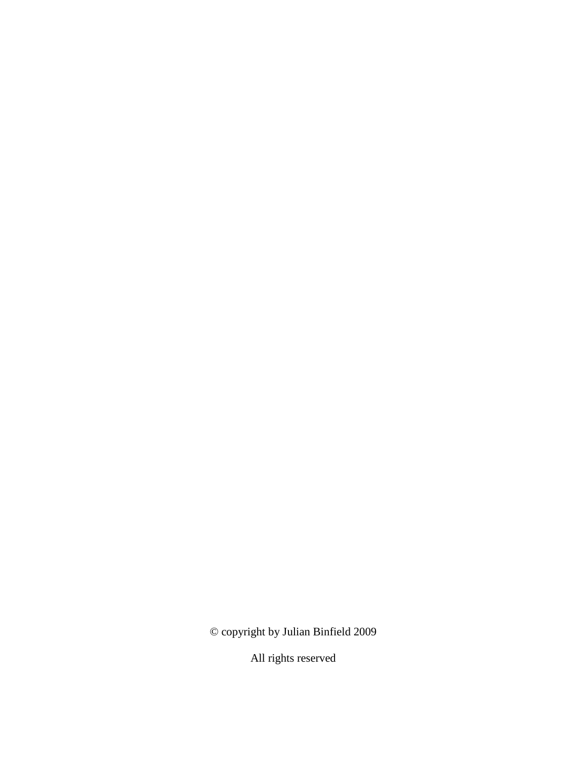© copyright by Julian Binfield 2009

All rights reserved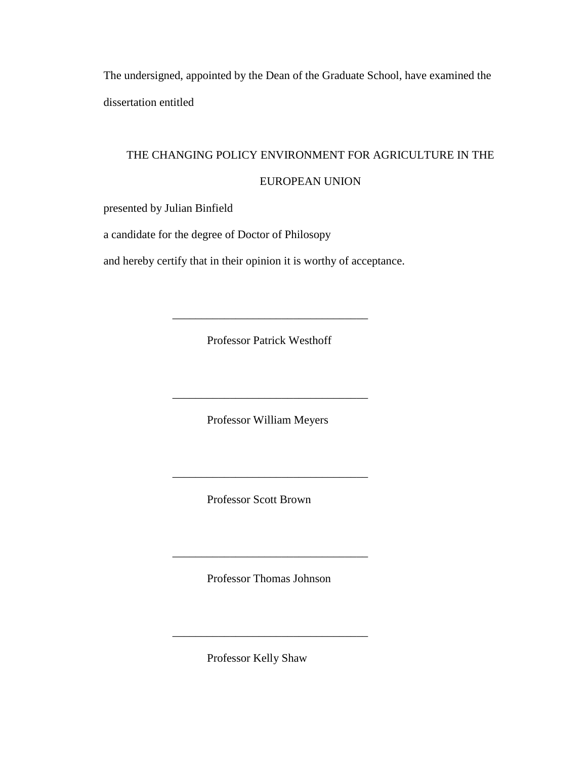The undersigned, appointed by the Dean of the Graduate School, have examined the dissertation entitled

### THE CHANGING POLICY ENVIRONMENT FOR AGRICULTURE IN THE

### EUROPEAN UNION

presented by Julian Binfield

a candidate for the degree of Doctor of Philosopy

and hereby certify that in their opinion it is worthy of acceptance.

Professor Patrick Westhoff

\_\_\_\_\_\_\_\_\_\_\_\_\_\_\_\_\_\_\_\_\_\_\_\_\_\_\_\_\_\_\_\_\_\_

\_\_\_\_\_\_\_\_\_\_\_\_\_\_\_\_\_\_\_\_\_\_\_\_\_\_\_\_\_\_\_\_\_\_

Professor William Meyers

\_\_\_\_\_\_\_\_\_\_\_\_\_\_\_\_\_\_\_\_\_\_\_\_\_\_\_\_\_\_\_\_\_\_

Professor Scott Brown

Professor Thomas Johnson

\_\_\_\_\_\_\_\_\_\_\_\_\_\_\_\_\_\_\_\_\_\_\_\_\_\_\_\_\_\_\_\_\_\_

\_\_\_\_\_\_\_\_\_\_\_\_\_\_\_\_\_\_\_\_\_\_\_\_\_\_\_\_\_\_\_\_\_\_

Professor Kelly Shaw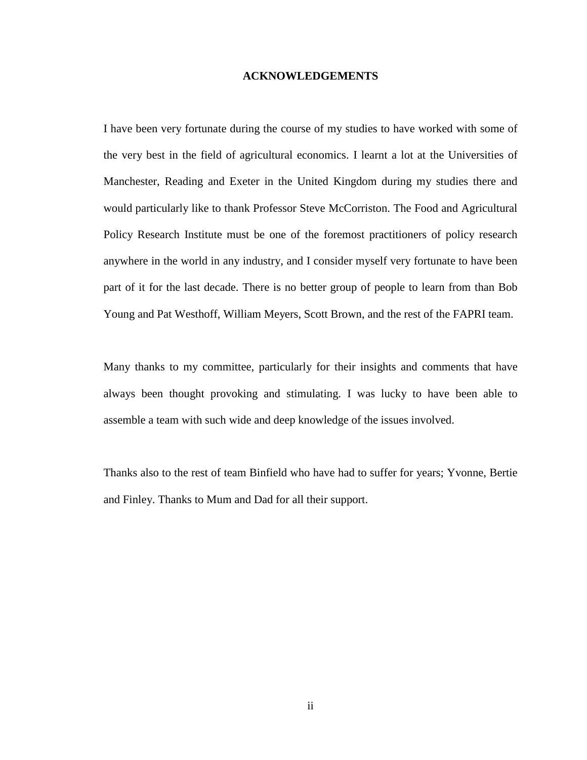#### **ACKNOWLEDGEMENTS**

<span id="page-3-0"></span>I have been very fortunate during the course of my studies to have worked with some of the very best in the field of agricultural economics. I learnt a lot at the Universities of Manchester, Reading and Exeter in the United Kingdom during my studies there and would particularly like to thank Professor Steve McCorriston. The Food and Agricultural Policy Research Institute must be one of the foremost practitioners of policy research anywhere in the world in any industry, and I consider myself very fortunate to have been part of it for the last decade. There is no better group of people to learn from than Bob Young and Pat Westhoff, William Meyers, Scott Brown, and the rest of the FAPRI team.

Many thanks to my committee, particularly for their insights and comments that have always been thought provoking and stimulating. I was lucky to have been able to assemble a team with such wide and deep knowledge of the issues involved.

Thanks also to the rest of team Binfield who have had to suffer for years; Yvonne, Bertie and Finley. Thanks to Mum and Dad for all their support.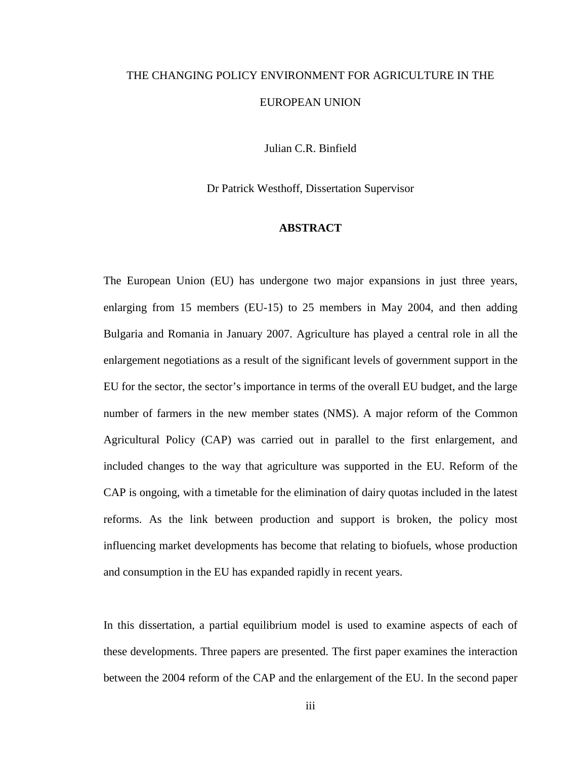# THE CHANGING POLICY ENVIRONMENT FOR AGRICULTURE IN THE EUROPEAN UNION

Julian C.R. Binfield

Dr Patrick Westhoff, Dissertation Supervisor

### **ABSTRACT**

<span id="page-4-0"></span>The European Union (EU) has undergone two major expansions in just three years, enlarging from 15 members (EU-15) to 25 members in May 2004, and then adding Bulgaria and Romania in January 2007. Agriculture has played a central role in all the enlargement negotiations as a result of the significant levels of government support in the EU for the sector, the sector's importance in terms of the overall EU budget, and the large number of farmers in the new member states (NMS). A major reform of the Common Agricultural Policy (CAP) was carried out in parallel to the first enlargement, and included changes to the way that agriculture was supported in the EU. Reform of the CAP is ongoing, with a timetable for the elimination of dairy quotas included in the latest reforms. As the link between production and support is broken, the policy most influencing market developments has become that relating to biofuels, whose production and consumption in the EU has expanded rapidly in recent years.

In this dissertation, a partial equilibrium model is used to examine aspects of each of these developments. Three papers are presented. The first paper examines the interaction between the 2004 reform of the CAP and the enlargement of the EU. In the second paper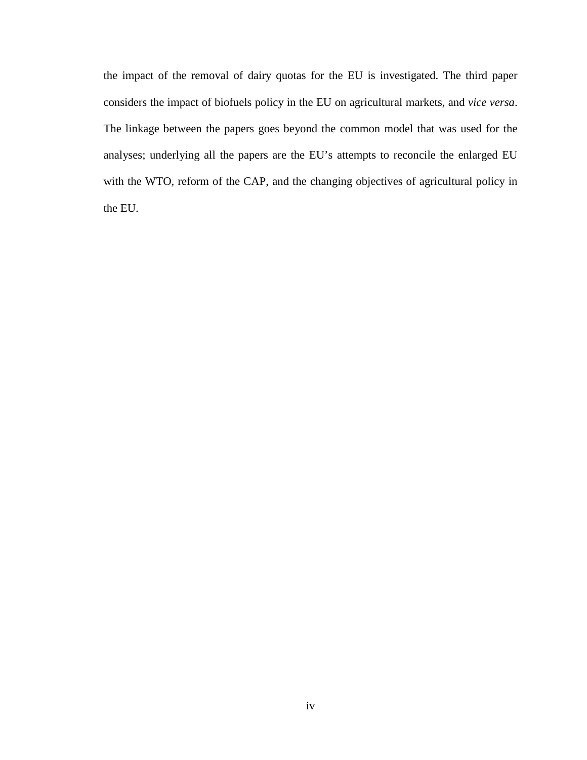the impact of the removal of dairy quotas for the EU is investigated. The third paper considers the impact of biofuels policy in the EU on agricultural markets, and *vice versa*. The linkage between the papers goes beyond the common model that was used for the analyses; underlying all the papers are the EU's attempts to reconcile the enlarged EU with the WTO, reform of the CAP, and the changing objectives of agricultural policy in the EU.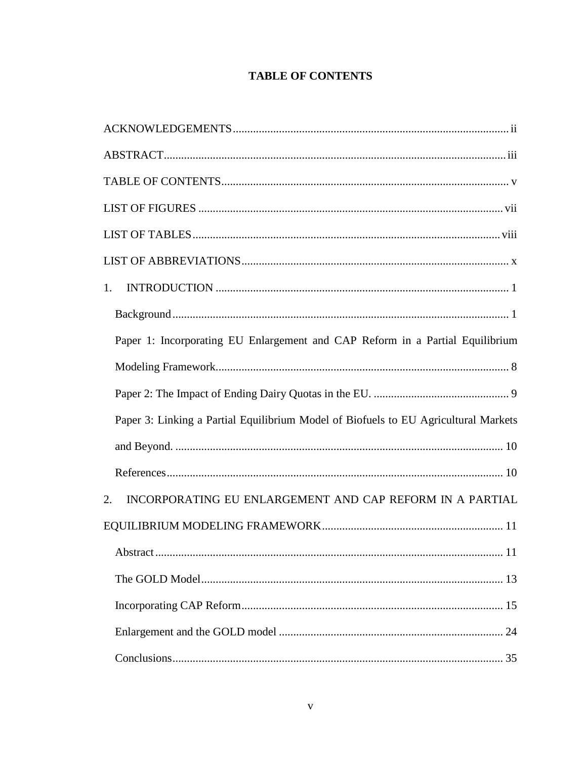### **TABLE OF CONTENTS**

<span id="page-6-0"></span>

| 1.                                                                                  |
|-------------------------------------------------------------------------------------|
|                                                                                     |
| Paper 1: Incorporating EU Enlargement and CAP Reform in a Partial Equilibrium       |
|                                                                                     |
|                                                                                     |
| Paper 3: Linking a Partial Equilibrium Model of Biofuels to EU Agricultural Markets |
|                                                                                     |
|                                                                                     |
| INCORPORATING EU ENLARGEMENT AND CAP REFORM IN A PARTIAL<br>2.                      |
|                                                                                     |
|                                                                                     |
|                                                                                     |
|                                                                                     |
|                                                                                     |
|                                                                                     |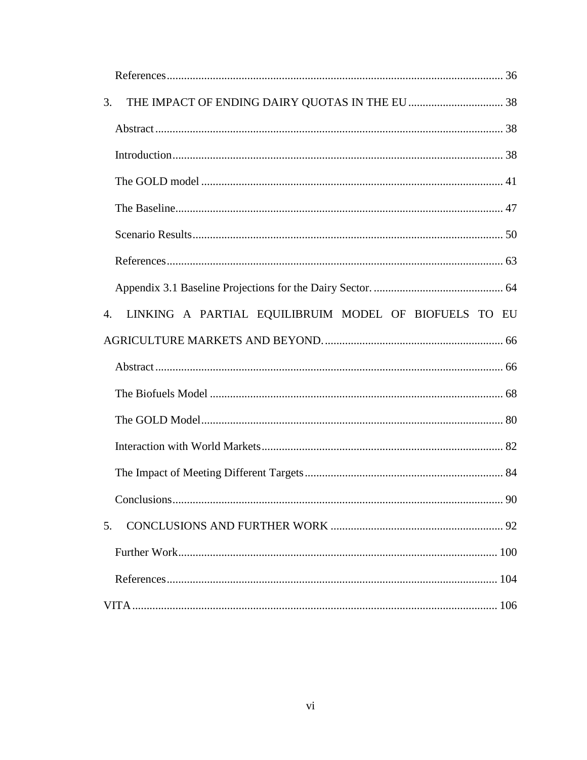| 3.                                                          |
|-------------------------------------------------------------|
|                                                             |
|                                                             |
|                                                             |
|                                                             |
|                                                             |
|                                                             |
|                                                             |
| LINKING A PARTIAL EQUILIBRUIM MODEL OF BIOFUELS TO EU<br>4. |
|                                                             |
|                                                             |
|                                                             |
|                                                             |
|                                                             |
|                                                             |
|                                                             |
| 5.                                                          |
|                                                             |
|                                                             |
|                                                             |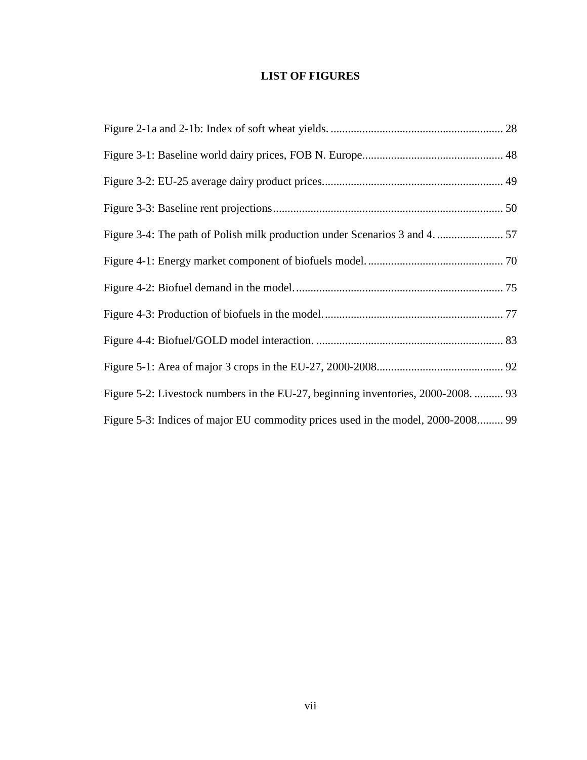### **LIST OF FIGURES**

<span id="page-8-0"></span>

| Figure 5-2: Livestock numbers in the EU-27, beginning inventories, 2000-2008.  93 |  |
|-----------------------------------------------------------------------------------|--|
| Figure 5-3: Indices of major EU commodity prices used in the model, 2000-2008 99  |  |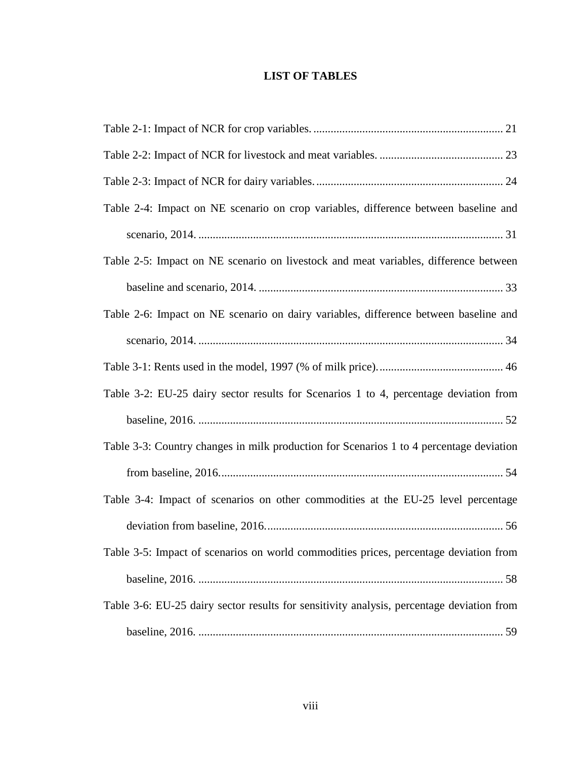### **LIST OF TABLES**

<span id="page-9-0"></span>

| Table 2-4: Impact on NE scenario on crop variables, difference between baseline and       |
|-------------------------------------------------------------------------------------------|
|                                                                                           |
| Table 2-5: Impact on NE scenario on livestock and meat variables, difference between      |
|                                                                                           |
| Table 2-6: Impact on NE scenario on dairy variables, difference between baseline and      |
|                                                                                           |
|                                                                                           |
| Table 3-2: EU-25 dairy sector results for Scenarios 1 to 4, percentage deviation from     |
|                                                                                           |
| Table 3-3: Country changes in milk production for Scenarios 1 to 4 percentage deviation   |
|                                                                                           |
| Table 3-4: Impact of scenarios on other commodities at the EU-25 level percentage         |
|                                                                                           |
| Table 3-5: Impact of scenarios on world commodities prices, percentage deviation from     |
|                                                                                           |
| Table 3-6: EU-25 dairy sector results for sensitivity analysis, percentage deviation from |
|                                                                                           |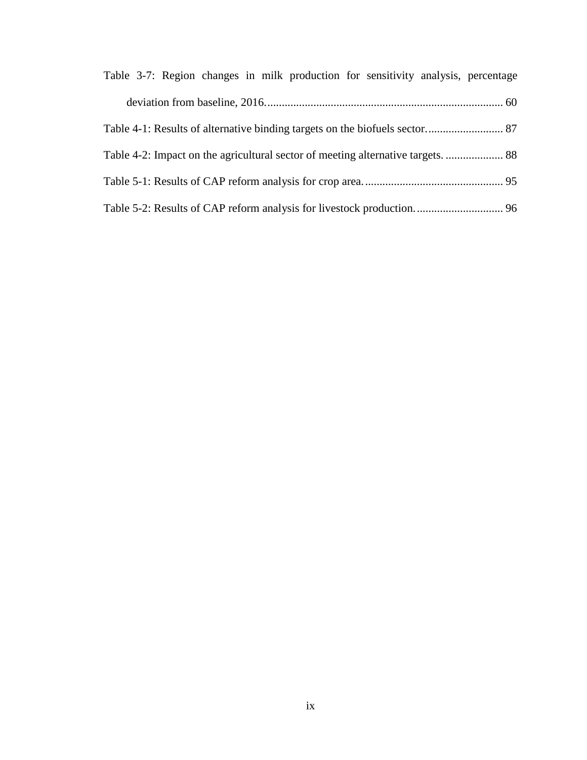| Table 3-7: Region changes in milk production for sensitivity analysis, percentage |  |
|-----------------------------------------------------------------------------------|--|
|                                                                                   |  |
|                                                                                   |  |
|                                                                                   |  |
|                                                                                   |  |
|                                                                                   |  |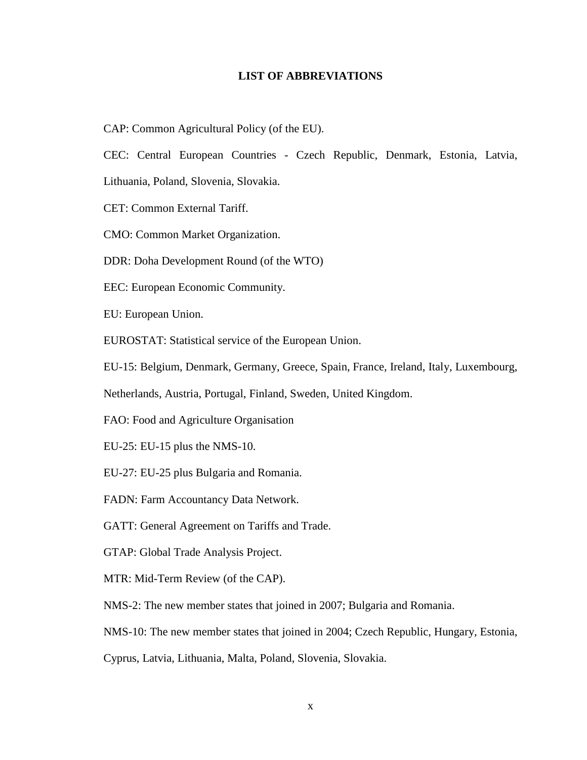### **LIST OF ABBREVIATIONS**

<span id="page-11-0"></span>CAP: Common Agricultural Policy (of the EU).

CEC: Central European Countries - Czech Republic, Denmark, Estonia, Latvia,

Lithuania, Poland, Slovenia, Slovakia.

CET: Common External Tariff.

CMO: Common Market Organization.

DDR: Doha Development Round (of the WTO)

EEC: European Economic Community.

EU: European Union.

EUROSTAT: Statistical service of the European Union.

EU-15: Belgium, Denmark, Germany, Greece, Spain, France, Ireland, Italy, Luxembourg,

Netherlands, Austria, Portugal, Finland, Sweden, United Kingdom.

FAO: Food and Agriculture Organisation

EU-25: EU-15 plus the NMS-10.

EU-27: EU-25 plus Bulgaria and Romania.

FADN: Farm Accountancy Data Network.

GATT: General Agreement on Tariffs and Trade.

GTAP: Global Trade Analysis Project.

MTR: Mid-Term Review (of the CAP).

NMS-2: The new member states that joined in 2007; Bulgaria and Romania.

NMS-10: The new member states that joined in 2004; Czech Republic, Hungary, Estonia,

Cyprus, Latvia, Lithuania, Malta, Poland, Slovenia, Slovakia.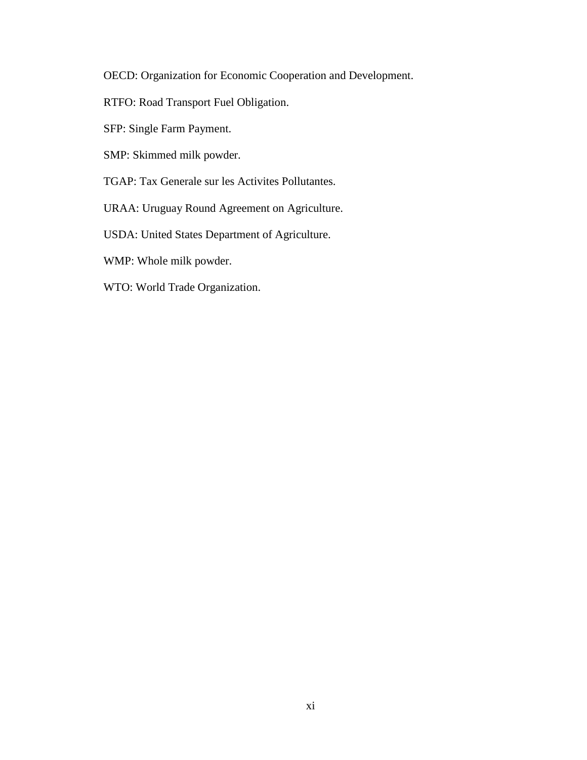OECD: Organization for Economic Cooperation and Development.

- RTFO: Road Transport Fuel Obligation.
- SFP: Single Farm Payment.
- SMP: Skimmed milk powder.
- TGAP: Tax Generale sur les Activites Pollutantes.
- URAA: Uruguay Round Agreement on Agriculture.
- USDA: United States Department of Agriculture.
- WMP: Whole milk powder.
- WTO: World Trade Organization.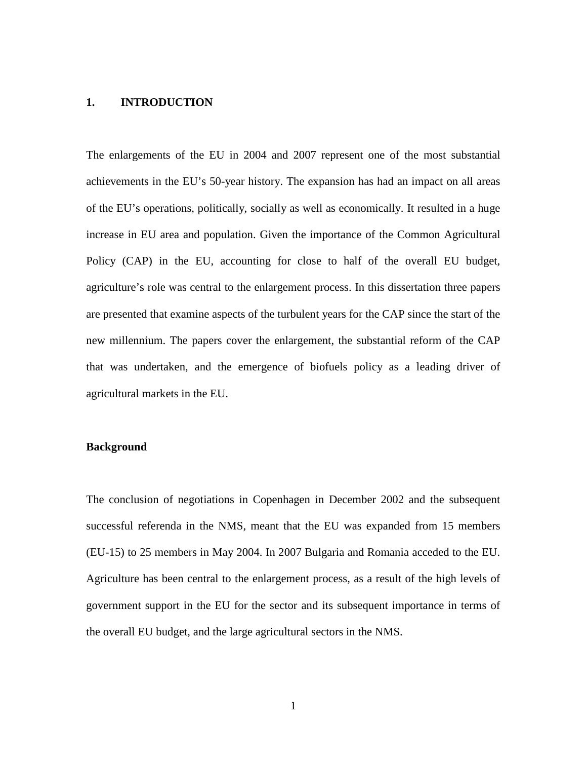### <span id="page-13-0"></span>**1. INTRODUCTION**

The enlargements of the EU in 2004 and 2007 represent one of the most substantial achievements in the EU's 50-year history. The expansion has had an impact on all areas of the EU's operations, politically, socially as well as economically. It resulted in a huge increase in EU area and population. Given the importance of the Common Agricultural Policy (CAP) in the EU, accounting for close to half of the overall EU budget, agriculture's role was central to the enlargement process. In this dissertation three papers are presented that examine aspects of the turbulent years for the CAP since the start of the new millennium. The papers cover the enlargement, the substantial reform of the CAP that was undertaken, and the emergence of biofuels policy as a leading driver of agricultural markets in the EU.

### <span id="page-13-1"></span>**Background**

The conclusion of negotiations in Copenhagen in December 2002 and the subsequent successful referenda in the NMS, meant that the EU was expanded from 15 members (EU-15) to 25 members in May 2004. In 2007 Bulgaria and Romania acceded to the EU. Agriculture has been central to the enlargement process, as a result of the high levels of government support in the EU for the sector and its subsequent importance in terms of the overall EU budget, and the large agricultural sectors in the NMS.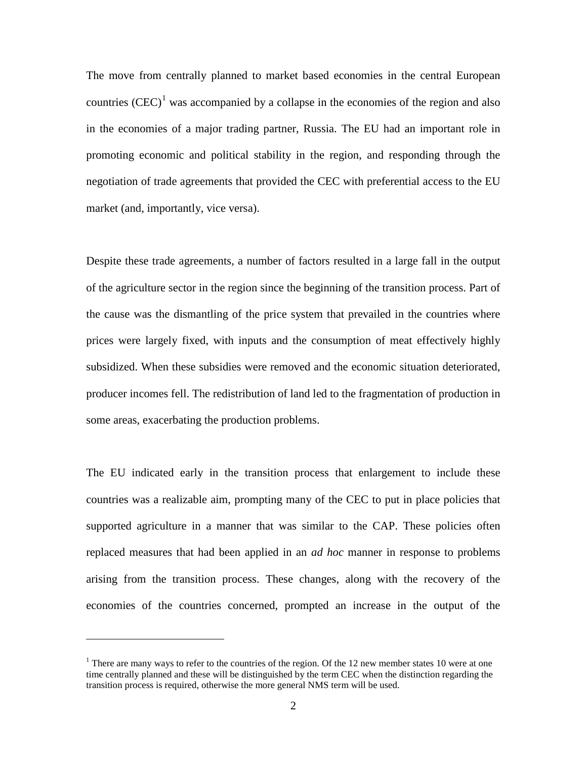The move from centrally planned to market based economies in the central European countries  $(CEC)^1$  $(CEC)^1$  was accompanied by a collapse in the economies of the region and also in the economies of a major trading partner, Russia. The EU had an important role in promoting economic and political stability in the region, and responding through the negotiation of trade agreements that provided the CEC with preferential access to the EU market (and, importantly, vice versa).

Despite these trade agreements, a number of factors resulted in a large fall in the output of the agriculture sector in the region since the beginning of the transition process. Part of the cause was the dismantling of the price system that prevailed in the countries where prices were largely fixed, with inputs and the consumption of meat effectively highly subsidized. When these subsidies were removed and the economic situation deteriorated, producer incomes fell. The redistribution of land led to the fragmentation of production in some areas, exacerbating the production problems.

The EU indicated early in the transition process that enlargement to include these countries was a realizable aim, prompting many of the CEC to put in place policies that supported agriculture in a manner that was similar to the CAP. These policies often replaced measures that had been applied in an *ad hoc* manner in response to problems arising from the transition process. These changes, along with the recovery of the economies of the countries concerned, prompted an increase in the output of the

 $\overline{a}$ 

<span id="page-14-0"></span><sup>&</sup>lt;sup>1</sup> There are many ways to refer to the countries of the region. Of the 12 new member states 10 were at one time centrally planned and these will be distinguished by the term CEC when the distinction regarding the transition process is required, otherwise the more general NMS term will be used.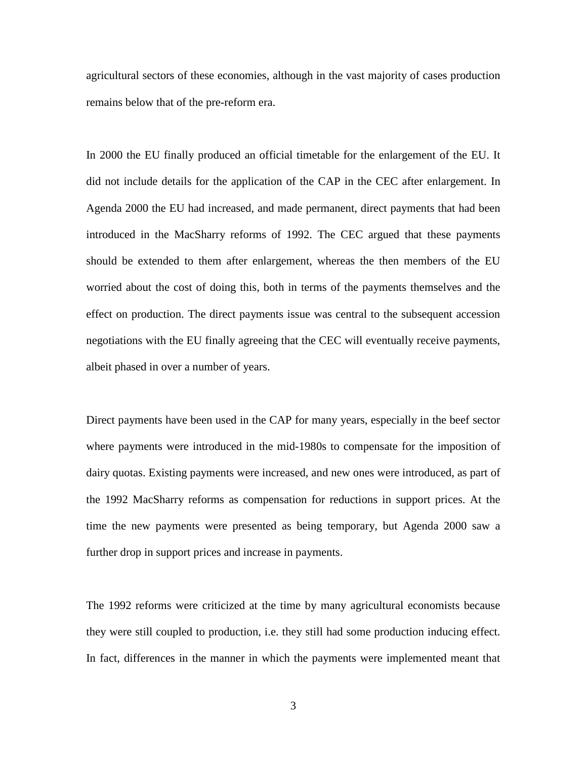agricultural sectors of these economies, although in the vast majority of cases production remains below that of the pre-reform era.

In 2000 the EU finally produced an official timetable for the enlargement of the EU. It did not include details for the application of the CAP in the CEC after enlargement. In Agenda 2000 the EU had increased, and made permanent, direct payments that had been introduced in the MacSharry reforms of 1992. The CEC argued that these payments should be extended to them after enlargement, whereas the then members of the EU worried about the cost of doing this, both in terms of the payments themselves and the effect on production. The direct payments issue was central to the subsequent accession negotiations with the EU finally agreeing that the CEC will eventually receive payments, albeit phased in over a number of years.

Direct payments have been used in the CAP for many years, especially in the beef sector where payments were introduced in the mid-1980s to compensate for the imposition of dairy quotas. Existing payments were increased, and new ones were introduced, as part of the 1992 MacSharry reforms as compensation for reductions in support prices. At the time the new payments were presented as being temporary, but Agenda 2000 saw a further drop in support prices and increase in payments.

The 1992 reforms were criticized at the time by many agricultural economists because they were still coupled to production, i.e. they still had some production inducing effect. In fact, differences in the manner in which the payments were implemented meant that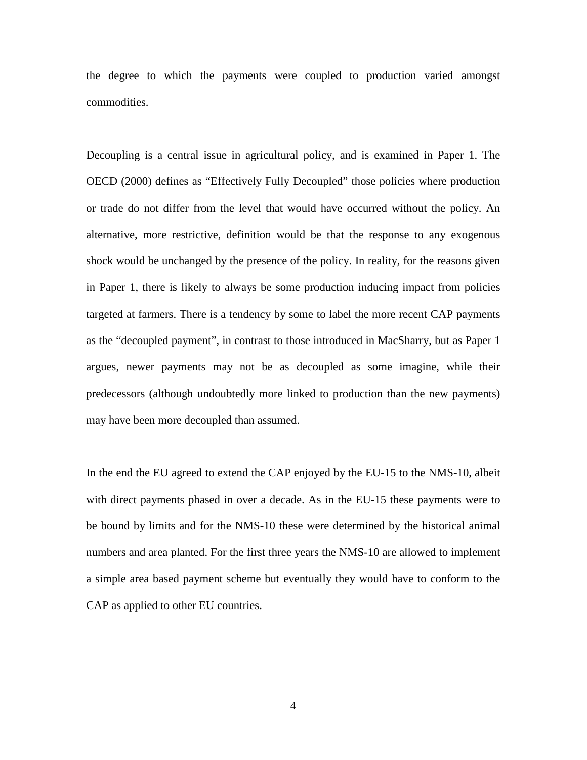the degree to which the payments were coupled to production varied amongst commodities.

Decoupling is a central issue in agricultural policy, and is examined in Paper 1. The OECD (2000) defines as "Effectively Fully Decoupled" those policies where production or trade do not differ from the level that would have occurred without the policy. An alternative, more restrictive, definition would be that the response to any exogenous shock would be unchanged by the presence of the policy. In reality, for the reasons given in Paper 1, there is likely to always be some production inducing impact from policies targeted at farmers. There is a tendency by some to label the more recent CAP payments as the "decoupled payment", in contrast to those introduced in MacSharry, but as Paper 1 argues, newer payments may not be as decoupled as some imagine, while their predecessors (although undoubtedly more linked to production than the new payments) may have been more decoupled than assumed.

In the end the EU agreed to extend the CAP enjoyed by the EU-15 to the NMS-10, albeit with direct payments phased in over a decade. As in the EU-15 these payments were to be bound by limits and for the NMS-10 these were determined by the historical animal numbers and area planted. For the first three years the NMS-10 are allowed to implement a simple area based payment scheme but eventually they would have to conform to the CAP as applied to other EU countries.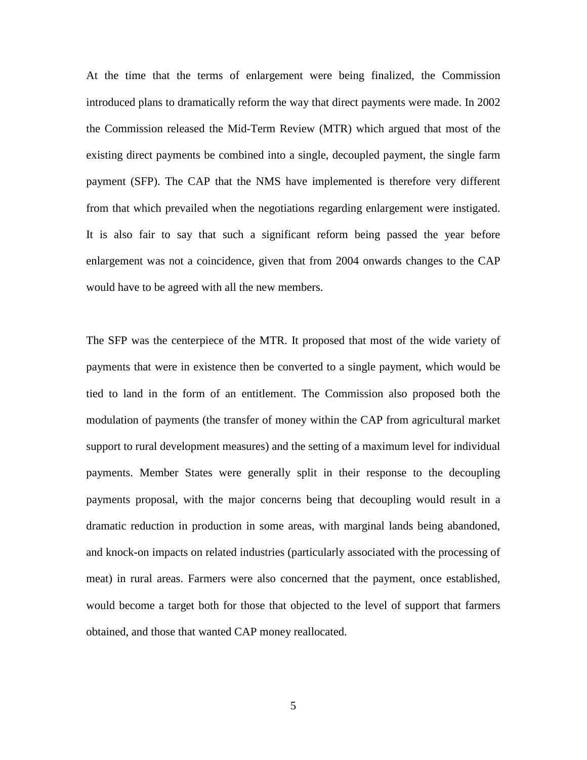At the time that the terms of enlargement were being finalized, the Commission introduced plans to dramatically reform the way that direct payments were made. In 2002 the Commission released the Mid-Term Review (MTR) which argued that most of the existing direct payments be combined into a single, decoupled payment, the single farm payment (SFP). The CAP that the NMS have implemented is therefore very different from that which prevailed when the negotiations regarding enlargement were instigated. It is also fair to say that such a significant reform being passed the year before enlargement was not a coincidence, given that from 2004 onwards changes to the CAP would have to be agreed with all the new members.

The SFP was the centerpiece of the MTR. It proposed that most of the wide variety of payments that were in existence then be converted to a single payment, which would be tied to land in the form of an entitlement. The Commission also proposed both the modulation of payments (the transfer of money within the CAP from agricultural market support to rural development measures) and the setting of a maximum level for individual payments. Member States were generally split in their response to the decoupling payments proposal, with the major concerns being that decoupling would result in a dramatic reduction in production in some areas, with marginal lands being abandoned, and knock-on impacts on related industries (particularly associated with the processing of meat) in rural areas. Farmers were also concerned that the payment, once established, would become a target both for those that objected to the level of support that farmers obtained, and those that wanted CAP money reallocated.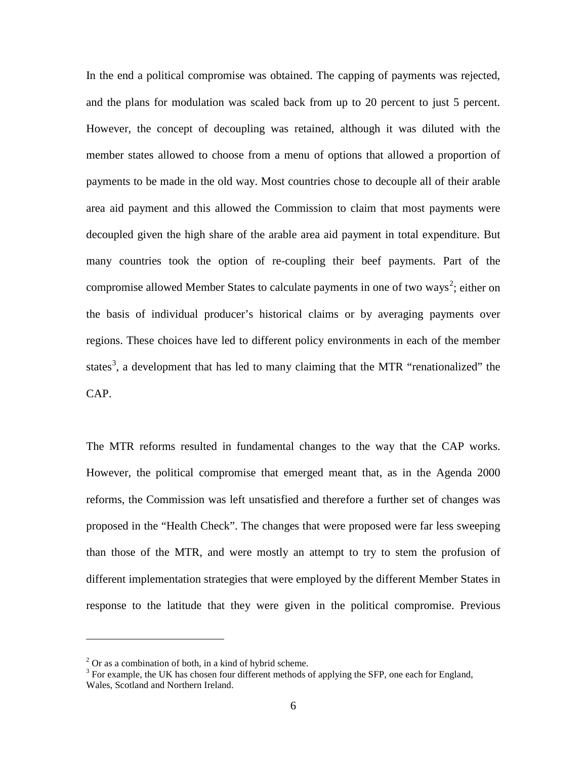In the end a political compromise was obtained. The capping of payments was rejected, and the plans for modulation was scaled back from up to 20 percent to just 5 percent. However, the concept of decoupling was retained, although it was diluted with the member states allowed to choose from a menu of options that allowed a proportion of payments to be made in the old way. Most countries chose to decouple all of their arable area aid payment and this allowed the Commission to claim that most payments were decoupled given the high share of the arable area aid payment in total expenditure. But many countries took the option of re-coupling their beef payments. Part of the compromise allowed Member States to calculate payments in one of two ways<sup>[2](#page-18-0)</sup>; either on the basis of individual producer's historical claims or by averaging payments over regions. These choices have led to different policy environments in each of the member states<sup>[3](#page-18-1)</sup>, a development that has led to many claiming that the MTR "renationalized" the CAP.

The MTR reforms resulted in fundamental changes to the way that the CAP works. However, the political compromise that emerged meant that, as in the Agenda 2000 reforms, the Commission was left unsatisfied and therefore a further set of changes was proposed in the "Health Check". The changes that were proposed were far less sweeping than those of the MTR, and were mostly an attempt to try to stem the profusion of different implementation strategies that were employed by the different Member States in response to the latitude that they were given in the political compromise. Previous

 $\overline{a}$ 

<span id="page-18-0"></span> $2$  Or as a combination of both, in a kind of hybrid scheme.

<span id="page-18-1"></span><sup>&</sup>lt;sup>3</sup> For example, the UK has chosen four different methods of applying the SFP, one each for England, Wales, Scotland and Northern Ireland.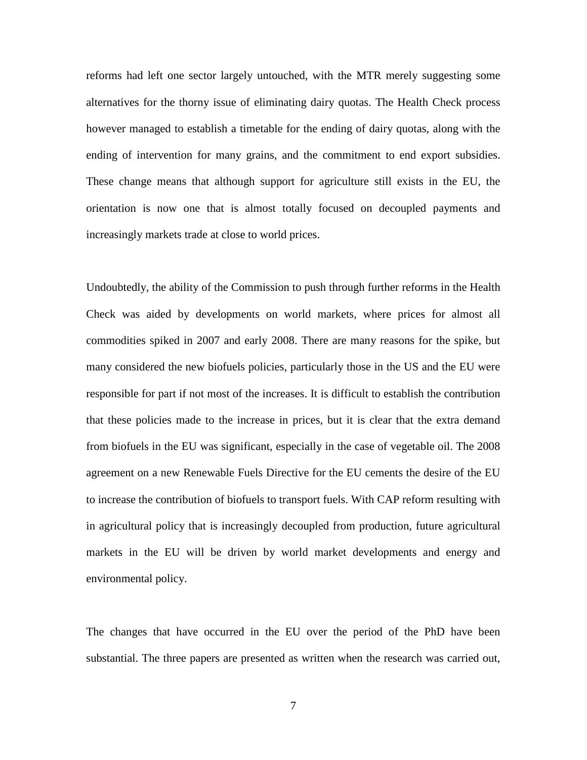reforms had left one sector largely untouched, with the MTR merely suggesting some alternatives for the thorny issue of eliminating dairy quotas. The Health Check process however managed to establish a timetable for the ending of dairy quotas, along with the ending of intervention for many grains, and the commitment to end export subsidies. These change means that although support for agriculture still exists in the EU, the orientation is now one that is almost totally focused on decoupled payments and increasingly markets trade at close to world prices.

Undoubtedly, the ability of the Commission to push through further reforms in the Health Check was aided by developments on world markets, where prices for almost all commodities spiked in 2007 and early 2008. There are many reasons for the spike, but many considered the new biofuels policies, particularly those in the US and the EU were responsible for part if not most of the increases. It is difficult to establish the contribution that these policies made to the increase in prices, but it is clear that the extra demand from biofuels in the EU was significant, especially in the case of vegetable oil. The 2008 agreement on a new Renewable Fuels Directive for the EU cements the desire of the EU to increase the contribution of biofuels to transport fuels. With CAP reform resulting with in agricultural policy that is increasingly decoupled from production, future agricultural markets in the EU will be driven by world market developments and energy and environmental policy.

The changes that have occurred in the EU over the period of the PhD have been substantial. The three papers are presented as written when the research was carried out,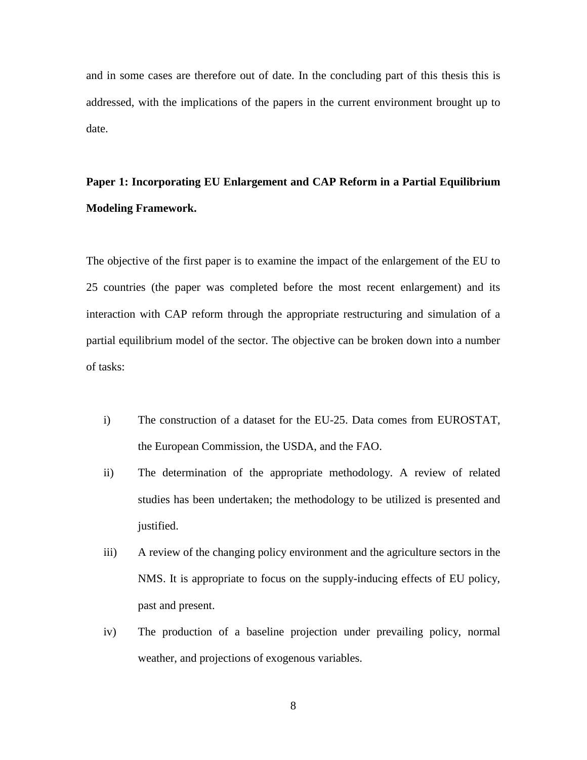and in some cases are therefore out of date. In the concluding part of this thesis this is addressed, with the implications of the papers in the current environment brought up to date.

# <span id="page-20-0"></span>**Paper 1: Incorporating EU Enlargement and CAP Reform in a Partial Equilibrium Modeling Framework.**

The objective of the first paper is to examine the impact of the enlargement of the EU to 25 countries (the paper was completed before the most recent enlargement) and its interaction with CAP reform through the appropriate restructuring and simulation of a partial equilibrium model of the sector. The objective can be broken down into a number of tasks:

- i) The construction of a dataset for the EU-25. Data comes from EUROSTAT, the European Commission, the USDA, and the FAO.
- ii) The determination of the appropriate methodology. A review of related studies has been undertaken; the methodology to be utilized is presented and justified.
- iii) A review of the changing policy environment and the agriculture sectors in the NMS. It is appropriate to focus on the supply-inducing effects of EU policy, past and present.
- iv) The production of a baseline projection under prevailing policy, normal weather, and projections of exogenous variables.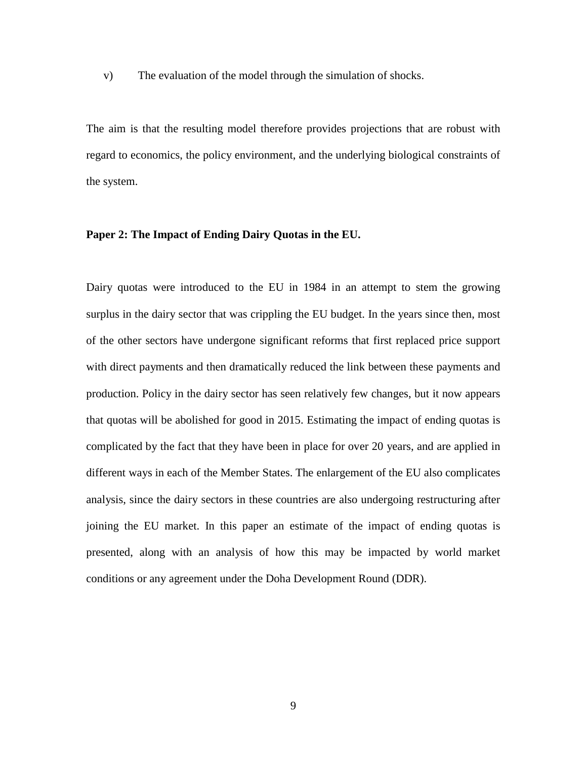v) The evaluation of the model through the simulation of shocks.

The aim is that the resulting model therefore provides projections that are robust with regard to economics, the policy environment, and the underlying biological constraints of the system.

### <span id="page-21-0"></span>**Paper 2: The Impact of Ending Dairy Quotas in the EU.**

Dairy quotas were introduced to the EU in 1984 in an attempt to stem the growing surplus in the dairy sector that was crippling the EU budget. In the years since then, most of the other sectors have undergone significant reforms that first replaced price support with direct payments and then dramatically reduced the link between these payments and production. Policy in the dairy sector has seen relatively few changes, but it now appears that quotas will be abolished for good in 2015. Estimating the impact of ending quotas is complicated by the fact that they have been in place for over 20 years, and are applied in different ways in each of the Member States. The enlargement of the EU also complicates analysis, since the dairy sectors in these countries are also undergoing restructuring after joining the EU market. In this paper an estimate of the impact of ending quotas is presented, along with an analysis of how this may be impacted by world market conditions or any agreement under the Doha Development Round (DDR).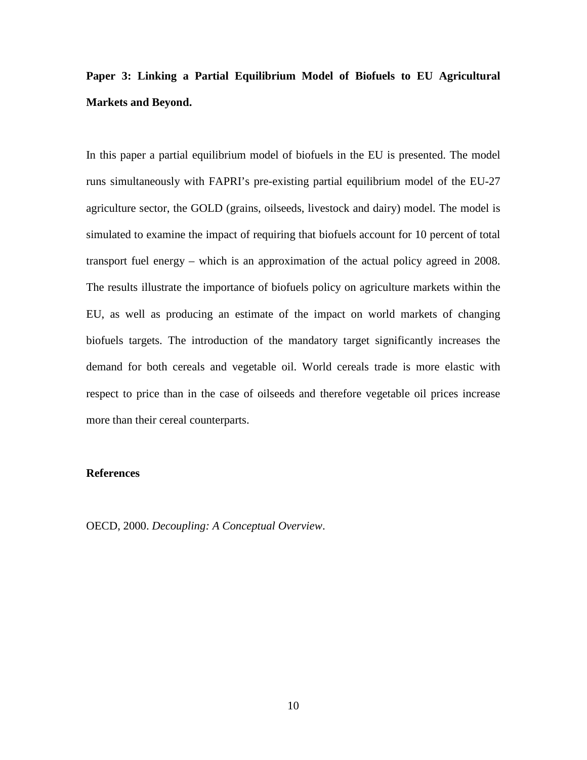## <span id="page-22-0"></span>**Paper 3: Linking a Partial Equilibrium Model of Biofuels to EU Agricultural Markets and Beyond.**

In this paper a partial equilibrium model of biofuels in the EU is presented. The model runs simultaneously with FAPRI's pre-existing partial equilibrium model of the EU-27 agriculture sector, the GOLD (grains, oilseeds, livestock and dairy) model. The model is simulated to examine the impact of requiring that biofuels account for 10 percent of total transport fuel energy – which is an approximation of the actual policy agreed in 2008. The results illustrate the importance of biofuels policy on agriculture markets within the EU, as well as producing an estimate of the impact on world markets of changing biofuels targets. The introduction of the mandatory target significantly increases the demand for both cereals and vegetable oil. World cereals trade is more elastic with respect to price than in the case of oilseeds and therefore vegetable oil prices increase more than their cereal counterparts.

### <span id="page-22-1"></span>**References**

OECD, 2000. *Decoupling: A Conceptual Overview*.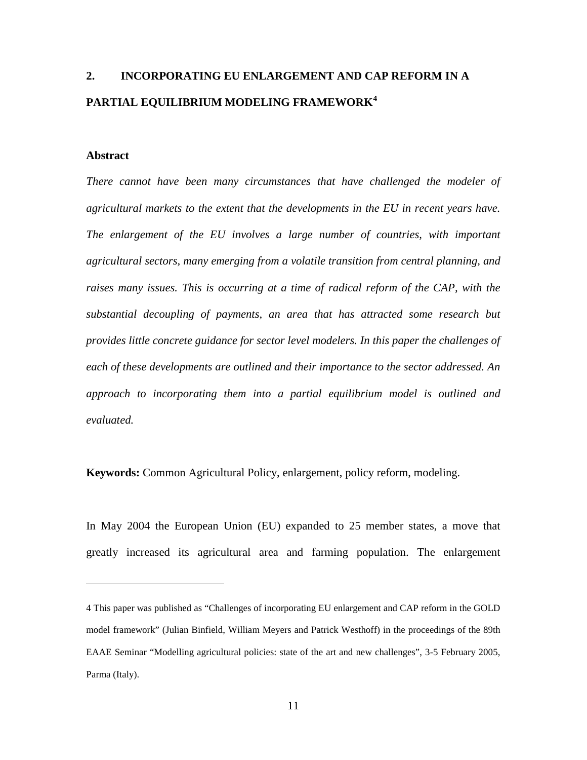# <span id="page-23-0"></span>**2. INCORPORATING EU ENLARGEMENT AND CAP REFORM IN A PARTIAL EQUILIBRIUM MODELING FRAMEWORK[4](#page-23-2)**

### <span id="page-23-1"></span>**Abstract**

 $\overline{a}$ 

*There cannot have been many circumstances that have challenged the modeler of agricultural markets to the extent that the developments in the EU in recent years have. The enlargement of the EU involves a large number of countries, with important agricultural sectors, many emerging from a volatile transition from central planning, and* raises many issues. This is occurring at a time of radical reform of the CAP, with the *substantial decoupling of payments, an area that has attracted some research but provides little concrete guidance for sector level modelers. In this paper the challenges of each of these developments are outlined and their importance to the sector addressed. An approach to incorporating them into a partial equilibrium model is outlined and evaluated.*

**Keywords:** Common Agricultural Policy, enlargement, policy reform, modeling.

In May 2004 the European Union (EU) expanded to 25 member states, a move that greatly increased its agricultural area and farming population. The enlargement

<span id="page-23-2"></span><sup>4</sup> This paper was published as "Challenges of incorporating EU enlargement and CAP reform in the GOLD model framework" (Julian Binfield, William Meyers and Patrick Westhoff) in the proceedings of the [89th](http://www.lei.dlo.nl/eaae/en/content/seminar_links/89th%20Parma.doc)  [EAAE Seminar](http://www.lei.dlo.nl/eaae/en/content/seminar_links/89th%20Parma.doc) "Modelling agricultural policies: state of the art and new challenges", 3-5 February 2005, Parma (Italy).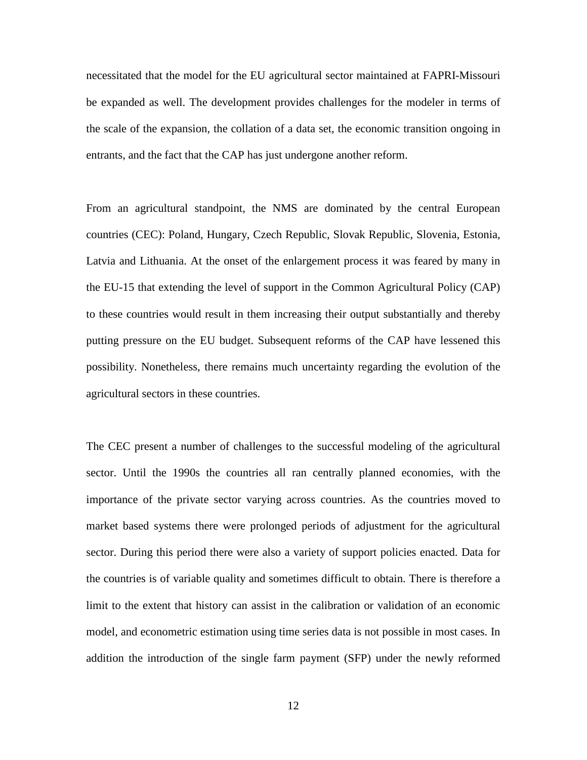necessitated that the model for the EU agricultural sector maintained at FAPRI-Missouri be expanded as well. The development provides challenges for the modeler in terms of the scale of the expansion, the collation of a data set, the economic transition ongoing in entrants, and the fact that the CAP has just undergone another reform.

From an agricultural standpoint, the NMS are dominated by the central European countries (CEC): Poland, Hungary, Czech Republic, Slovak Republic, Slovenia, Estonia, Latvia and Lithuania. At the onset of the enlargement process it was feared by many in the EU-15 that extending the level of support in the Common Agricultural Policy (CAP) to these countries would result in them increasing their output substantially and thereby putting pressure on the EU budget. Subsequent reforms of the CAP have lessened this possibility. Nonetheless, there remains much uncertainty regarding the evolution of the agricultural sectors in these countries.

The CEC present a number of challenges to the successful modeling of the agricultural sector. Until the 1990s the countries all ran centrally planned economies, with the importance of the private sector varying across countries. As the countries moved to market based systems there were prolonged periods of adjustment for the agricultural sector. During this period there were also a variety of support policies enacted. Data for the countries is of variable quality and sometimes difficult to obtain. There is therefore a limit to the extent that history can assist in the calibration or validation of an economic model, and econometric estimation using time series data is not possible in most cases. In addition the introduction of the single farm payment (SFP) under the newly reformed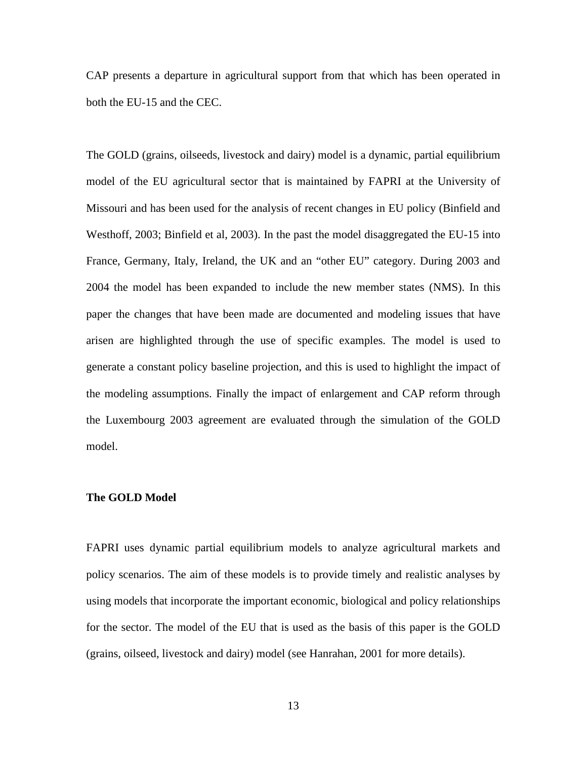CAP presents a departure in agricultural support from that which has been operated in both the EU-15 and the CEC.

The GOLD (grains, oilseeds, livestock and dairy) model is a dynamic, partial equilibrium model of the EU agricultural sector that is maintained by FAPRI at the University of Missouri and has been used for the analysis of recent changes in EU policy (Binfield and Westhoff, 2003; Binfield et al, 2003). In the past the model disaggregated the EU-15 into France, Germany, Italy, Ireland, the UK and an "other EU" category. During 2003 and 2004 the model has been expanded to include the new member states (NMS). In this paper the changes that have been made are documented and modeling issues that have arisen are highlighted through the use of specific examples. The model is used to generate a constant policy baseline projection, and this is used to highlight the impact of the modeling assumptions. Finally the impact of enlargement and CAP reform through the Luxembourg 2003 agreement are evaluated through the simulation of the GOLD model.

### <span id="page-25-0"></span>**The GOLD Model**

FAPRI uses dynamic partial equilibrium models to analyze agricultural markets and policy scenarios. The aim of these models is to provide timely and realistic analyses by using models that incorporate the important economic, biological and policy relationships for the sector. The model of the EU that is used as the basis of this paper is the GOLD (grains, oilseed, livestock and dairy) model (see Hanrahan, 2001 for more details).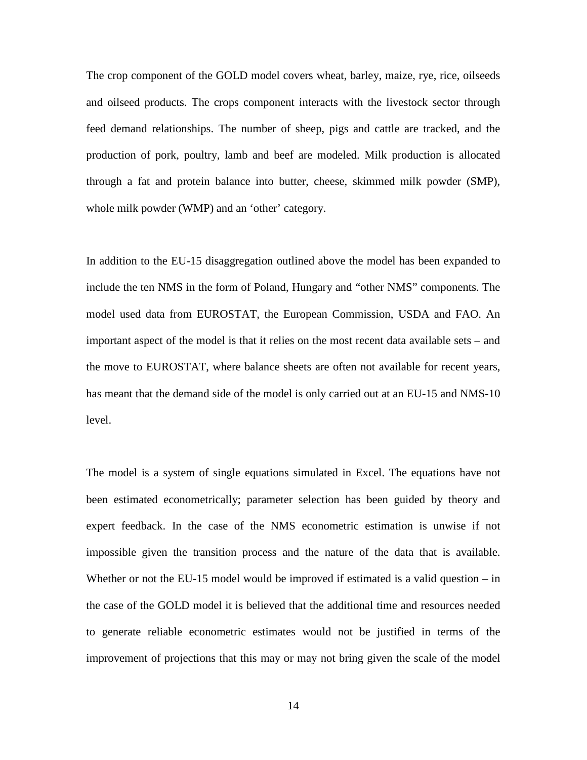The crop component of the GOLD model covers wheat, barley, maize, rye, rice, oilseeds and oilseed products. The crops component interacts with the livestock sector through feed demand relationships. The number of sheep, pigs and cattle are tracked, and the production of pork, poultry, lamb and beef are modeled. Milk production is allocated through a fat and protein balance into butter, cheese, skimmed milk powder (SMP), whole milk powder (WMP) and an 'other' category.

In addition to the EU-15 disaggregation outlined above the model has been expanded to include the ten NMS in the form of Poland, Hungary and "other NMS" components. The model used data from EUROSTAT, the European Commission, USDA and FAO. An important aspect of the model is that it relies on the most recent data available sets – and the move to EUROSTAT, where balance sheets are often not available for recent years, has meant that the demand side of the model is only carried out at an EU-15 and NMS-10 level.

The model is a system of single equations simulated in Excel. The equations have not been estimated econometrically; parameter selection has been guided by theory and expert feedback. In the case of the NMS econometric estimation is unwise if not impossible given the transition process and the nature of the data that is available. Whether or not the EU-15 model would be improved if estimated is a valid question – in the case of the GOLD model it is believed that the additional time and resources needed to generate reliable econometric estimates would not be justified in terms of the improvement of projections that this may or may not bring given the scale of the model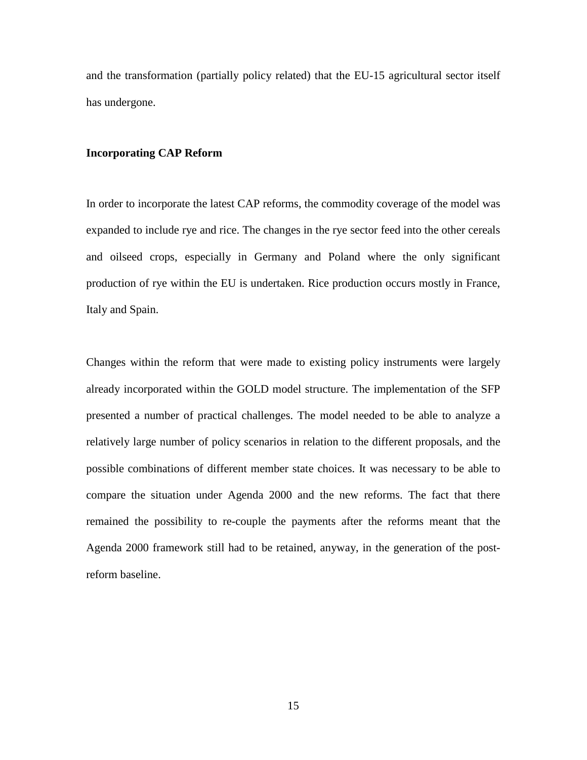and the transformation (partially policy related) that the EU-15 agricultural sector itself has undergone.

### <span id="page-27-0"></span>**Incorporating CAP Reform**

In order to incorporate the latest CAP reforms, the commodity coverage of the model was expanded to include rye and rice. The changes in the rye sector feed into the other cereals and oilseed crops, especially in Germany and Poland where the only significant production of rye within the EU is undertaken. Rice production occurs mostly in France, Italy and Spain.

Changes within the reform that were made to existing policy instruments were largely already incorporated within the GOLD model structure. The implementation of the SFP presented a number of practical challenges. The model needed to be able to analyze a relatively large number of policy scenarios in relation to the different proposals, and the possible combinations of different member state choices. It was necessary to be able to compare the situation under Agenda 2000 and the new reforms. The fact that there remained the possibility to re-couple the payments after the reforms meant that the Agenda 2000 framework still had to be retained, anyway, in the generation of the postreform baseline.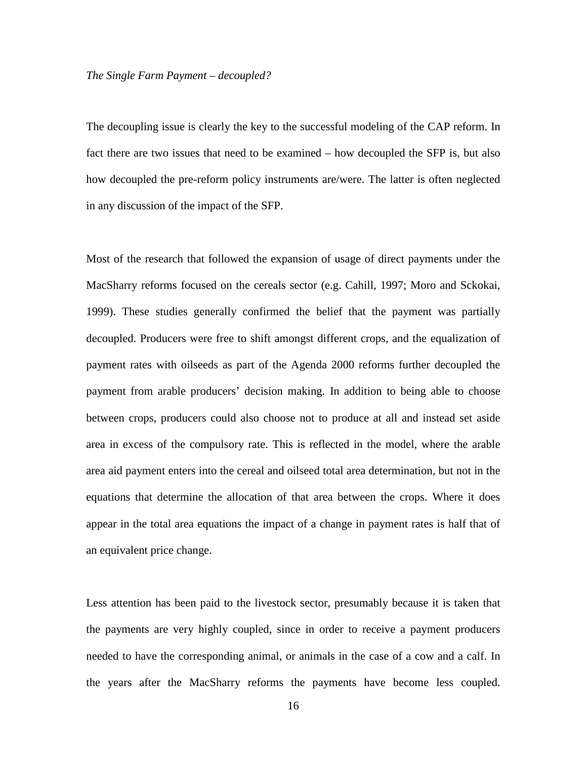#### *The Single Farm Payment – decoupled?*

The decoupling issue is clearly the key to the successful modeling of the CAP reform. In fact there are two issues that need to be examined – how decoupled the SFP is, but also how decoupled the pre-reform policy instruments are/were. The latter is often neglected in any discussion of the impact of the SFP.

Most of the research that followed the expansion of usage of direct payments under the MacSharry reforms focused on the cereals sector (e.g. Cahill, 1997; Moro and Sckokai, 1999). These studies generally confirmed the belief that the payment was partially decoupled. Producers were free to shift amongst different crops, and the equalization of payment rates with oilseeds as part of the Agenda 2000 reforms further decoupled the payment from arable producers' decision making. In addition to being able to choose between crops, producers could also choose not to produce at all and instead set aside area in excess of the compulsory rate. This is reflected in the model, where the arable area aid payment enters into the cereal and oilseed total area determination, but not in the equations that determine the allocation of that area between the crops. Where it does appear in the total area equations the impact of a change in payment rates is half that of an equivalent price change.

Less attention has been paid to the livestock sector, presumably because it is taken that the payments are very highly coupled, since in order to receive a payment producers needed to have the corresponding animal, or animals in the case of a cow and a calf. In the years after the MacSharry reforms the payments have become less coupled.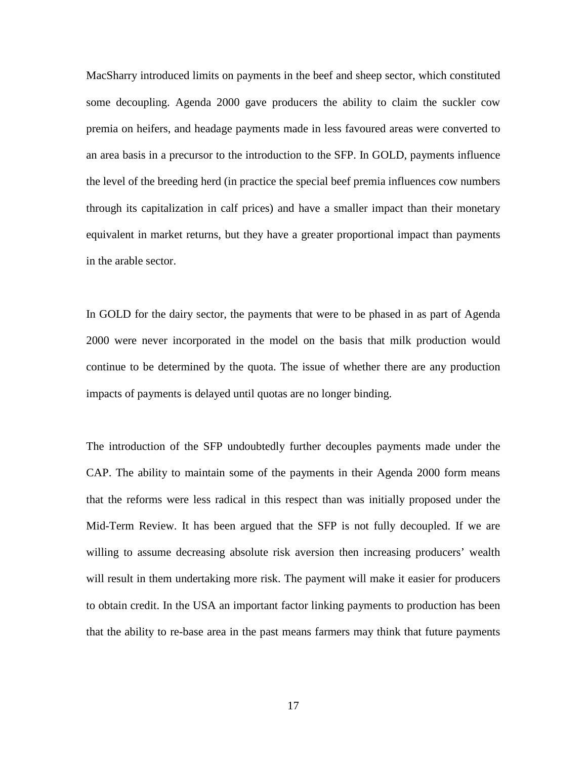MacSharry introduced limits on payments in the beef and sheep sector, which constituted some decoupling. Agenda 2000 gave producers the ability to claim the suckler cow premia on heifers, and headage payments made in less favoured areas were converted to an area basis in a precursor to the introduction to the SFP. In GOLD, payments influence the level of the breeding herd (in practice the special beef premia influences cow numbers through its capitalization in calf prices) and have a smaller impact than their monetary equivalent in market returns, but they have a greater proportional impact than payments in the arable sector.

In GOLD for the dairy sector, the payments that were to be phased in as part of Agenda 2000 were never incorporated in the model on the basis that milk production would continue to be determined by the quota. The issue of whether there are any production impacts of payments is delayed until quotas are no longer binding.

The introduction of the SFP undoubtedly further decouples payments made under the CAP. The ability to maintain some of the payments in their Agenda 2000 form means that the reforms were less radical in this respect than was initially proposed under the Mid-Term Review. It has been argued that the SFP is not fully decoupled. If we are willing to assume decreasing absolute risk aversion then increasing producers' wealth will result in them undertaking more risk. The payment will make it easier for producers to obtain credit. In the USA an important factor linking payments to production has been that the ability to re-base area in the past means farmers may think that future payments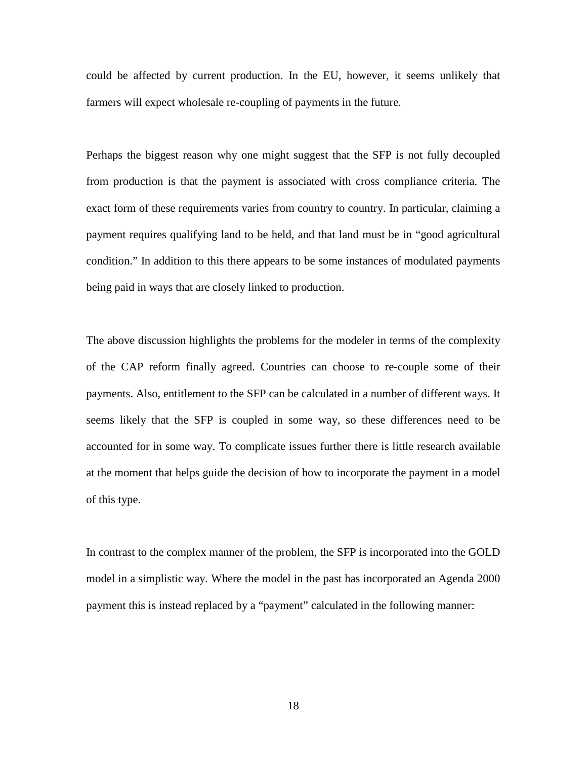could be affected by current production. In the EU, however, it seems unlikely that farmers will expect wholesale re-coupling of payments in the future.

Perhaps the biggest reason why one might suggest that the SFP is not fully decoupled from production is that the payment is associated with cross compliance criteria. The exact form of these requirements varies from country to country. In particular, claiming a payment requires qualifying land to be held, and that land must be in "good agricultural condition." In addition to this there appears to be some instances of modulated payments being paid in ways that are closely linked to production.

The above discussion highlights the problems for the modeler in terms of the complexity of the CAP reform finally agreed. Countries can choose to re-couple some of their payments. Also, entitlement to the SFP can be calculated in a number of different ways. It seems likely that the SFP is coupled in some way, so these differences need to be accounted for in some way. To complicate issues further there is little research available at the moment that helps guide the decision of how to incorporate the payment in a model of this type.

In contrast to the complex manner of the problem, the SFP is incorporated into the GOLD model in a simplistic way. Where the model in the past has incorporated an Agenda 2000 payment this is instead replaced by a "payment" calculated in the following manner: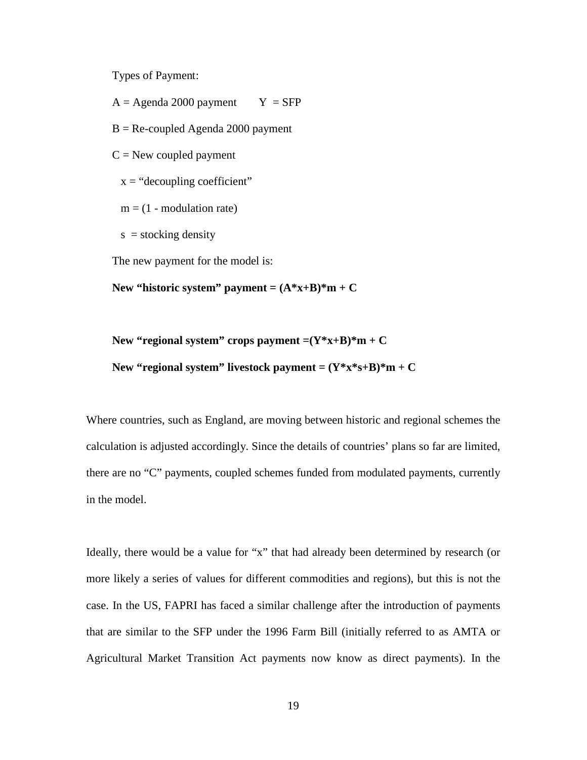Types of Payment:

 $A = Agenda 2000 payment$   $Y = SFP$ 

 $B = Re$ -coupled Agenda 2000 payment

 $C =$  New coupled payment

 $x =$ "decoupling coefficient"

 $m = (1 - modulation rate)$ 

 $s =$  stocking density

The new payment for the model is:

New "historic system" payment =  $(A^*x+B)^*m + C$ 

New "regional system" crops payment  $=(Y^*x+B)^*m + C$ New "regional system" livestock payment =  $(Y*x*s+B)*m + C$ 

Where countries, such as England, are moving between historic and regional schemes the calculation is adjusted accordingly. Since the details of countries' plans so far are limited, there are no "C" payments, coupled schemes funded from modulated payments, currently in the model.

Ideally, there would be a value for "x" that had already been determined by research (or more likely a series of values for different commodities and regions), but this is not the case. In the US, FAPRI has faced a similar challenge after the introduction of payments that are similar to the SFP under the 1996 Farm Bill (initially referred to as AMTA or Agricultural Market Transition Act payments now know as direct payments). In the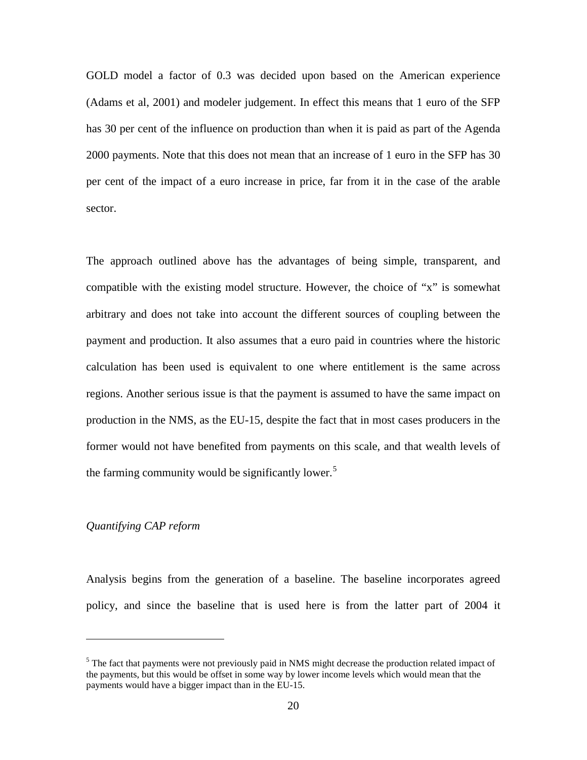GOLD model a factor of 0.3 was decided upon based on the American experience (Adams et al, 2001) and modeler judgement. In effect this means that 1 euro of the SFP has 30 per cent of the influence on production than when it is paid as part of the Agenda 2000 payments. Note that this does not mean that an increase of 1 euro in the SFP has 30 per cent of the impact of a euro increase in price, far from it in the case of the arable sector.

The approach outlined above has the advantages of being simple, transparent, and compatible with the existing model structure. However, the choice of "x" is somewhat arbitrary and does not take into account the different sources of coupling between the payment and production. It also assumes that a euro paid in countries where the historic calculation has been used is equivalent to one where entitlement is the same across regions. Another serious issue is that the payment is assumed to have the same impact on production in the NMS, as the EU-15, despite the fact that in most cases producers in the former would not have benefited from payments on this scale, and that wealth levels of the farming community would be significantly lower.<sup>[5](#page-32-0)</sup>

### *Quantifying CAP reform*

 $\overline{a}$ 

Analysis begins from the generation of a baseline. The baseline incorporates agreed policy, and since the baseline that is used here is from the latter part of 2004 it

<span id="page-32-0"></span> $<sup>5</sup>$  The fact that payments were not previously paid in NMS might decrease the production related impact of</sup> the payments, but this would be offset in some way by lower income levels which would mean that the payments would have a bigger impact than in the EU-15.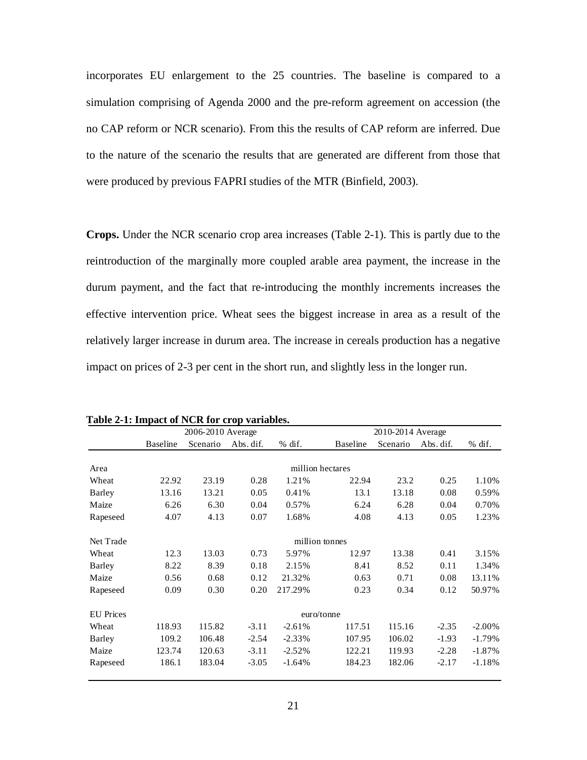incorporates EU enlargement to the 25 countries. The baseline is compared to a simulation comprising of Agenda 2000 and the pre-reform agreement on accession (the no CAP reform or NCR scenario). From this the results of CAP reform are inferred. Due to the nature of the scenario the results that are generated are different from those that were produced by previous FAPRI studies of the MTR (Binfield, 2003).

**Crops.** Under the NCR scenario crop area increases [\(Table 2-1\)](#page-33-0). This is partly due to the reintroduction of the marginally more coupled arable area payment, the increase in the durum payment, and the fact that re-introducing the monthly increments increases the effective intervention price. Wheat sees the biggest increase in area as a result of the relatively larger increase in durum area. The increase in cereals production has a negative impact on prices of 2-3 per cent in the short run, and slightly less in the longer run.

|                  | 2006-2010 Average |          |           |           |                 | 2010-2014 Average |           |           |  |
|------------------|-------------------|----------|-----------|-----------|-----------------|-------------------|-----------|-----------|--|
|                  | <b>Baseline</b>   | Scenario | Abs. dif. | $%$ dif.  | <b>Baseline</b> | Scenario          | Abs. dif. | $%$ dif.  |  |
|                  |                   |          |           |           |                 |                   |           |           |  |
| Area             | million hectares  |          |           |           |                 |                   |           |           |  |
| Wheat            | 22.92             | 23.19    | 0.28      | 1.21%     | 22.94           | 23.2              | 0.25      | 1.10%     |  |
| Barley           | 13.16             | 13.21    | 0.05      | 0.41%     | 13.1            | 13.18             | 0.08      | 0.59%     |  |
| Maize            | 6.26              | 6.30     | 0.04      | 0.57%     | 6.24            | 6.28              | 0.04      | 0.70%     |  |
| Rapeseed         | 4.07              | 4.13     | 0.07      | 1.68%     | 4.08            | 4.13              | 0.05      | 1.23%     |  |
| Net Trade        | million tonnes    |          |           |           |                 |                   |           |           |  |
| Wheat            | 12.3              | 13.03    | 0.73      | 5.97%     | 12.97           | 13.38             | 0.41      | 3.15%     |  |
| Barley           | 8.22              | 8.39     | 0.18      | 2.15%     | 8.41            | 8.52              | 0.11      | 1.34%     |  |
| Maize            | 0.56              | 0.68     | 0.12      | 21.32%    | 0.63            | 0.71              | 0.08      | 13.11%    |  |
| Rapeseed         | 0.09              | 0.30     | 0.20      | 217.29%   | 0.23            | 0.34              | 0.12      | 50.97%    |  |
| <b>EU</b> Prices | euro/tonne        |          |           |           |                 |                   |           |           |  |
| Wheat            | 118.93            | 115.82   | $-3.11$   | $-2.61%$  | 117.51          | 115.16            | $-2.35$   | $-2.00\%$ |  |
| Barley           | 109.2             | 106.48   | $-2.54$   | $-2.33\%$ | 107.95          | 106.02            | $-1.93$   | $-1.79%$  |  |
| Maize            | 123.74            | 120.63   | $-3.11$   | $-2.52%$  | 122.21          | 119.93            | $-2.28$   | $-1.87%$  |  |
| Rapeseed         | 186.1             | 183.04   | $-3.05$   | $-1.64%$  | 184.23          | 182.06            | $-2.17$   | $-1.18%$  |  |

<span id="page-33-0"></span>**Table 2-1: Impact of NCR for crop variables.**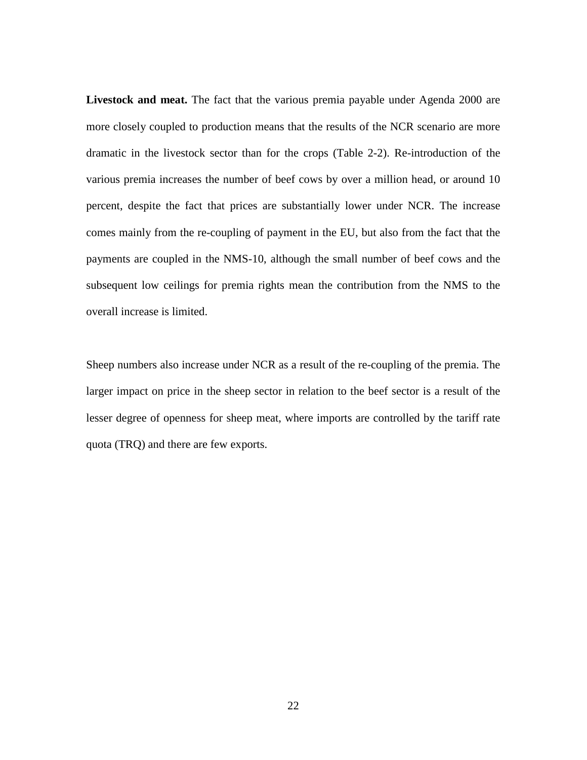**Livestock and meat.** The fact that the various premia payable under Agenda 2000 are more closely coupled to production means that the results of the NCR scenario are more dramatic in the livestock sector than for the crops [\(Table 2-2\)](#page-35-0). Re-introduction of the various premia increases the number of beef cows by over a million head, or around 10 percent, despite the fact that prices are substantially lower under NCR. The increase comes mainly from the re-coupling of payment in the EU, but also from the fact that the payments are coupled in the NMS-10, although the small number of beef cows and the subsequent low ceilings for premia rights mean the contribution from the NMS to the overall increase is limited.

Sheep numbers also increase under NCR as a result of the re-coupling of the premia. The larger impact on price in the sheep sector in relation to the beef sector is a result of the lesser degree of openness for sheep meat, where imports are controlled by the tariff rate quota (TRQ) and there are few exports.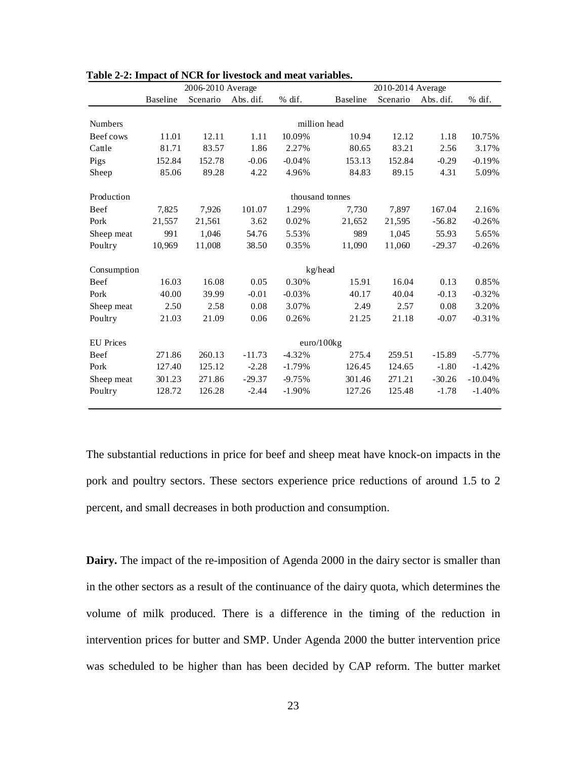|                  | 2006-2010 Average |          |           |          | 2010-2014 Average |          |           |           |
|------------------|-------------------|----------|-----------|----------|-------------------|----------|-----------|-----------|
|                  | <b>Baseline</b>   | Scenario | Abs. dif. | % dif.   | <b>Baseline</b>   | Scenario | Abs. dif. | $%$ dif.  |
|                  |                   |          |           |          |                   |          |           |           |
| <b>Numbers</b>   |                   |          |           |          | million head      |          |           |           |
| Beef cows        | 11.01             | 12.11    | 1.11      | 10.09%   | 10.94             | 12.12    | 1.18      | 10.75%    |
| Cattle           | 81.71             | 83.57    | 1.86      | 2.27%    | 80.65             | 83.21    | 2.56      | 3.17%     |
| Pigs             | 152.84            | 152.78   | $-0.06$   | $-0.04%$ | 153.13            | 152.84   | $-0.29$   | $-0.19%$  |
| Sheep            | 85.06             | 89.28    | 4.22      | 4.96%    | 84.83             | 89.15    | 4.31      | 5.09%     |
| Production       | thousand tonnes   |          |           |          |                   |          |           |           |
| Beef             | 7,825             | 7,926    | 101.07    | 1.29%    | 7,730             | 7,897    | 167.04    | 2.16%     |
| Pork             | 21,557            | 21,561   | 3.62      | 0.02%    | 21,652            | 21,595   | $-56.82$  | $-0.26%$  |
| Sheep meat       | 991               | 1.046    | 54.76     | 5.53%    | 989               | 1.045    | 55.93     | 5.65%     |
| Poultry          | 10,969            | 11,008   | 38.50     | 0.35%    | 11,090            | 11,060   | $-29.37$  | $-0.26%$  |
| Consumption      | kg/head           |          |           |          |                   |          |           |           |
| Beef             | 16.03             | 16.08    | 0.05      | 0.30%    | 15.91             | 16.04    | 0.13      | 0.85%     |
| Pork             | 40.00             | 39.99    | $-0.01$   | $-0.03%$ | 40.17             | 40.04    | $-0.13$   | $-0.32%$  |
| Sheep meat       | 2.50              | 2.58     | 0.08      | 3.07%    | 2.49              | 2.57     | 0.08      | 3.20%     |
| Poultry          | 21.03             | 21.09    | 0.06      | 0.26%    | 21.25             | 21.18    | $-0.07$   | $-0.31%$  |
| <b>EU</b> Prices | euro/100kg        |          |           |          |                   |          |           |           |
| Beef             | 271.86            | 260.13   | $-11.73$  | $-4.32%$ | 275.4             | 259.51   | $-15.89$  | $-5.77%$  |
| Pork             | 127.40            | 125.12   | $-2.28$   | $-1.79%$ | 126.45            | 124.65   | $-1.80$   | $-1.42%$  |
| Sheep meat       | 301.23            | 271.86   | $-29.37$  | $-9.75%$ | 301.46            | 271.21   | $-30.26$  | $-10.04%$ |
| Poultry          | 128.72            | 126.28   | $-2.44$   | $-1.90%$ | 127.26            | 125.48   | $-1.78$   | $-1.40%$  |

<span id="page-35-0"></span>**Table 2-2: Impact of NCR for livestock and meat variables.**

The substantial reductions in price for beef and sheep meat have knock-on impacts in the pork and poultry sectors. These sectors experience price reductions of around 1.5 to 2 percent, and small decreases in both production and consumption.

**Dairy.** The impact of the re-imposition of Agenda 2000 in the dairy sector is smaller than in the other sectors as a result of the continuance of the dairy quota, which determines the volume of milk produced. There is a difference in the timing of the reduction in intervention prices for butter and SMP. Under Agenda 2000 the butter intervention price was scheduled to be higher than has been decided by CAP reform. The butter market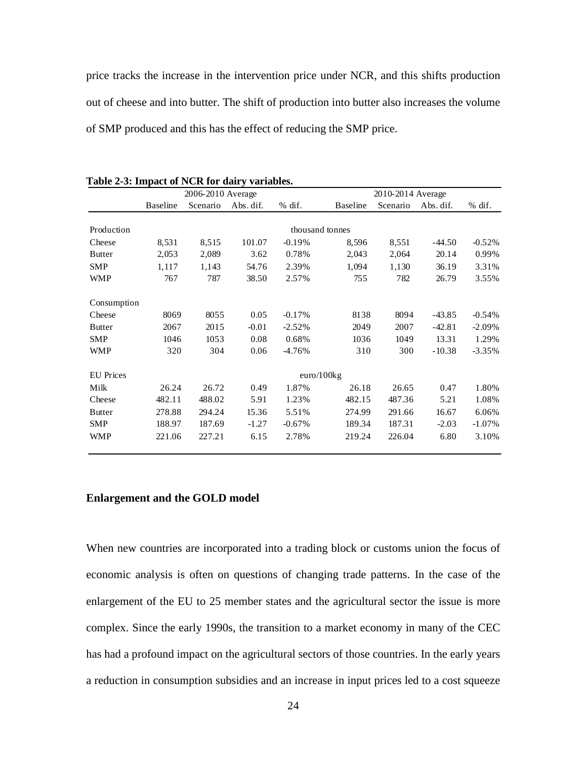price tracks the increase in the intervention price under NCR, and this shifts production out of cheese and into butter. The shift of production into butter also increases the volume of SMP produced and this has the effect of reducing the SMP price.

|                  | 2006-2010 Average |          |           |           | 2010-2014 Average |          |           |           |
|------------------|-------------------|----------|-----------|-----------|-------------------|----------|-----------|-----------|
|                  | <b>Baseline</b>   | Scenario | Abs. dif. | $%$ dif.  | <b>Baseline</b>   | Scenario | Abs. dif. | $%$ dif.  |
|                  |                   |          |           |           |                   |          |           |           |
| Production       |                   |          |           |           | thousand tonnes   |          |           |           |
| Cheese           | 8,531             | 8,515    | 101.07    | $-0.19%$  | 8,596             | 8,551    | $-44.50$  | $-0.52%$  |
| <b>Butter</b>    | 2,053             | 2,089    | 3.62      | 0.78%     | 2,043             | 2,064    | 20.14     | 0.99%     |
| <b>SMP</b>       | 1,117             | 1,143    | 54.76     | 2.39%     | 1,094             | 1,130    | 36.19     | 3.31%     |
| <b>WMP</b>       | 767               | 787      | 38.50     | 2.57%     | 755               | 782      | 26.79     | 3.55%     |
| Consumption      |                   |          |           |           |                   |          |           |           |
| Cheese           | 8069              | 8055     | 0.05      | $-0.17%$  | 8138              | 8094     | $-43.85$  | $-0.54%$  |
| <b>Butter</b>    | 2067              | 2015     | $-0.01$   | $-2.52%$  | 2049              | 2007     | $-42.81$  | $-2.09\%$ |
| <b>SMP</b>       | 1046              | 1053     | 0.08      | 0.68%     | 1036              | 1049     | 13.31     | 1.29%     |
| <b>WMP</b>       | 320               | 304      | 0.06      | $-4.76%$  | 310               | 300      | $-10.38$  | $-3.35%$  |
| <b>EU</b> Prices |                   |          |           |           | euro/100kg        |          |           |           |
| Milk             | 26.24             | 26.72    | 0.49      | 1.87%     | 26.18             | 26.65    | 0.47      | 1.80%     |
| Cheese           | 482.11            | 488.02   | 5.91      | 1.23%     | 482.15            | 487.36   | 5.21      | 1.08%     |
| <b>Butter</b>    | 278.88            | 294.24   | 15.36     | 5.51%     | 274.99            | 291.66   | 16.67     | 6.06%     |
| <b>SMP</b>       | 188.97            | 187.69   | $-1.27$   | $-0.67\%$ | 189.34            | 187.31   | $-2.03$   | $-1.07\%$ |
| <b>WMP</b>       | 221.06            | 227.21   | 6.15      | 2.78%     | 219.24            | 226.04   | 6.80      | 3.10%     |

**Table 2-3: Impact of NCR for dairy variables.**

## **Enlargement and the GOLD model**

When new countries are incorporated into a trading block or customs union the focus of economic analysis is often on questions of changing trade patterns. In the case of the enlargement of the EU to 25 member states and the agricultural sector the issue is more complex. Since the early 1990s, the transition to a market economy in many of the CEC has had a profound impact on the agricultural sectors of those countries. In the early years a reduction in consumption subsidies and an increase in input prices led to a cost squeeze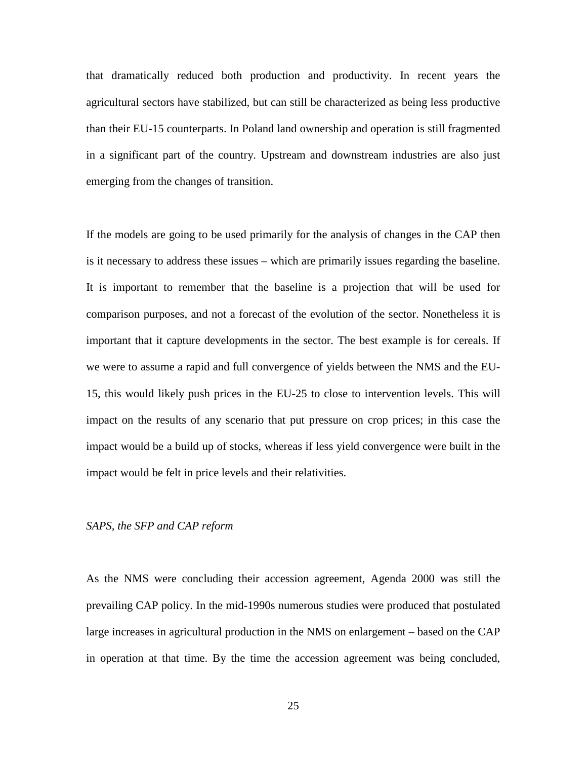that dramatically reduced both production and productivity. In recent years the agricultural sectors have stabilized, but can still be characterized as being less productive than their EU-15 counterparts. In Poland land ownership and operation is still fragmented in a significant part of the country. Upstream and downstream industries are also just emerging from the changes of transition.

If the models are going to be used primarily for the analysis of changes in the CAP then is it necessary to address these issues – which are primarily issues regarding the baseline. It is important to remember that the baseline is a projection that will be used for comparison purposes, and not a forecast of the evolution of the sector. Nonetheless it is important that it capture developments in the sector. The best example is for cereals. If we were to assume a rapid and full convergence of yields between the NMS and the EU-15, this would likely push prices in the EU-25 to close to intervention levels. This will impact on the results of any scenario that put pressure on crop prices; in this case the impact would be a build up of stocks, whereas if less yield convergence were built in the impact would be felt in price levels and their relativities.

#### *SAPS, the SFP and CAP reform*

As the NMS were concluding their accession agreement, Agenda 2000 was still the prevailing CAP policy. In the mid-1990s numerous studies were produced that postulated large increases in agricultural production in the NMS on enlargement – based on the CAP in operation at that time. By the time the accession agreement was being concluded,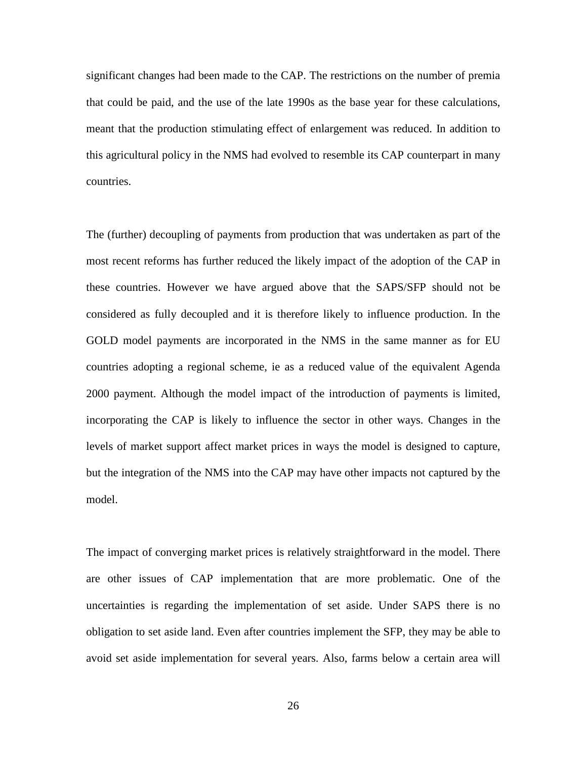significant changes had been made to the CAP. The restrictions on the number of premia that could be paid, and the use of the late 1990s as the base year for these calculations, meant that the production stimulating effect of enlargement was reduced. In addition to this agricultural policy in the NMS had evolved to resemble its CAP counterpart in many countries.

The (further) decoupling of payments from production that was undertaken as part of the most recent reforms has further reduced the likely impact of the adoption of the CAP in these countries. However we have argued above that the SAPS/SFP should not be considered as fully decoupled and it is therefore likely to influence production. In the GOLD model payments are incorporated in the NMS in the same manner as for EU countries adopting a regional scheme, ie as a reduced value of the equivalent Agenda 2000 payment. Although the model impact of the introduction of payments is limited, incorporating the CAP is likely to influence the sector in other ways. Changes in the levels of market support affect market prices in ways the model is designed to capture, but the integration of the NMS into the CAP may have other impacts not captured by the model.

The impact of converging market prices is relatively straightforward in the model. There are other issues of CAP implementation that are more problematic. One of the uncertainties is regarding the implementation of set aside. Under SAPS there is no obligation to set aside land. Even after countries implement the SFP, they may be able to avoid set aside implementation for several years. Also, farms below a certain area will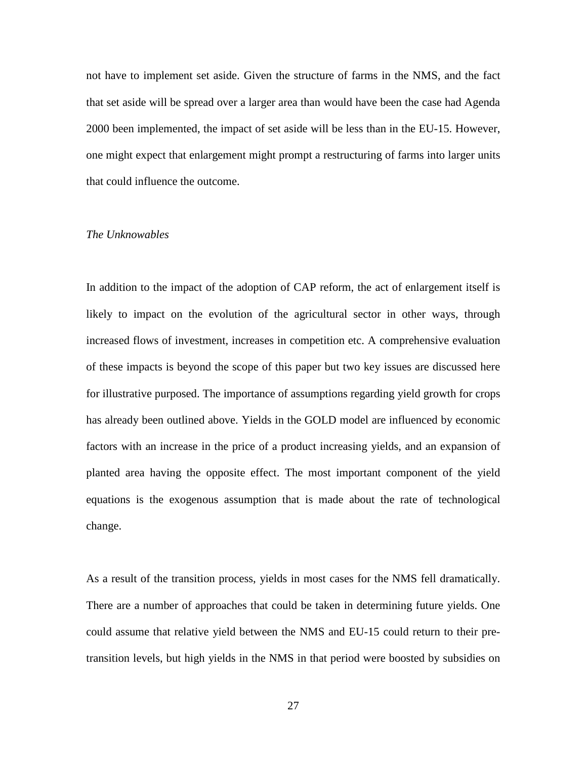not have to implement set aside. Given the structure of farms in the NMS, and the fact that set aside will be spread over a larger area than would have been the case had Agenda 2000 been implemented, the impact of set aside will be less than in the EU-15. However, one might expect that enlargement might prompt a restructuring of farms into larger units that could influence the outcome.

### *The Unknowables*

In addition to the impact of the adoption of CAP reform, the act of enlargement itself is likely to impact on the evolution of the agricultural sector in other ways, through increased flows of investment, increases in competition etc. A comprehensive evaluation of these impacts is beyond the scope of this paper but two key issues are discussed here for illustrative purposed. The importance of assumptions regarding yield growth for crops has already been outlined above. Yields in the GOLD model are influenced by economic factors with an increase in the price of a product increasing yields, and an expansion of planted area having the opposite effect. The most important component of the yield equations is the exogenous assumption that is made about the rate of technological change.

As a result of the transition process, yields in most cases for the NMS fell dramatically. There are a number of approaches that could be taken in determining future yields. One could assume that relative yield between the NMS and EU-15 could return to their pretransition levels, but high yields in the NMS in that period were boosted by subsidies on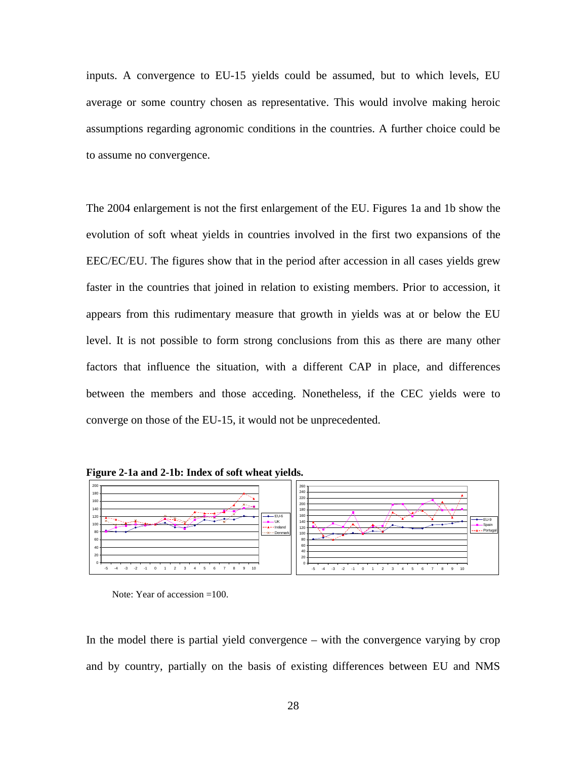inputs. A convergence to EU-15 yields could be assumed, but to which levels, EU average or some country chosen as representative. This would involve making heroic assumptions regarding agronomic conditions in the countries. A further choice could be to assume no convergence.

The 2004 enlargement is not the first enlargement of the EU. Figures 1a and 1b show the evolution of soft wheat yields in countries involved in the first two expansions of the EEC/EC/EU. The figures show that in the period after accession in all cases yields grew faster in the countries that joined in relation to existing members. Prior to accession, it appears from this rudimentary measure that growth in yields was at or below the EU level. It is not possible to form strong conclusions from this as there are many other factors that influence the situation, with a different CAP in place, and differences between the members and those acceding. Nonetheless, if the CEC yields were to converge on those of the EU-15, it would not be unprecedented.





Note: Year of accession =100.

In the model there is partial yield convergence – with the convergence varying by crop and by country, partially on the basis of existing differences between EU and NMS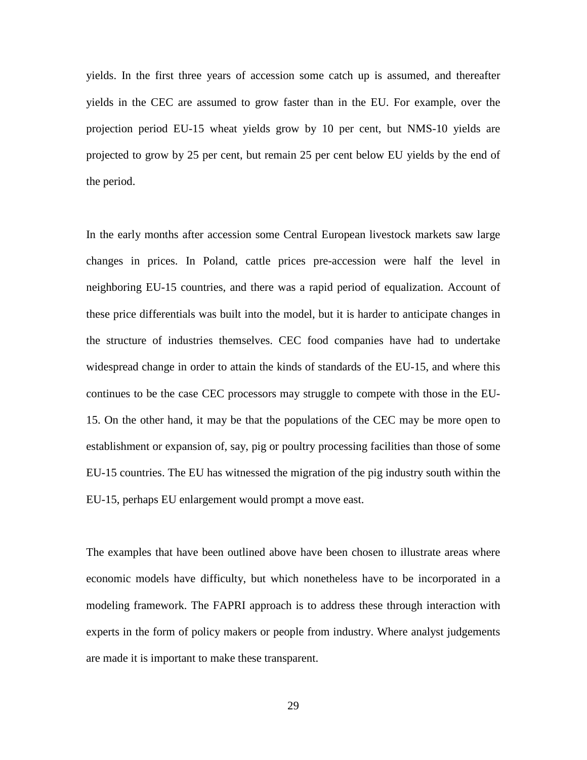yields. In the first three years of accession some catch up is assumed, and thereafter yields in the CEC are assumed to grow faster than in the EU. For example, over the projection period EU-15 wheat yields grow by 10 per cent, but NMS-10 yields are projected to grow by 25 per cent, but remain 25 per cent below EU yields by the end of the period.

In the early months after accession some Central European livestock markets saw large changes in prices. In Poland, cattle prices pre-accession were half the level in neighboring EU-15 countries, and there was a rapid period of equalization. Account of these price differentials was built into the model, but it is harder to anticipate changes in the structure of industries themselves. CEC food companies have had to undertake widespread change in order to attain the kinds of standards of the EU-15, and where this continues to be the case CEC processors may struggle to compete with those in the EU-15. On the other hand, it may be that the populations of the CEC may be more open to establishment or expansion of, say, pig or poultry processing facilities than those of some EU-15 countries. The EU has witnessed the migration of the pig industry south within the EU-15, perhaps EU enlargement would prompt a move east.

The examples that have been outlined above have been chosen to illustrate areas where economic models have difficulty, but which nonetheless have to be incorporated in a modeling framework. The FAPRI approach is to address these through interaction with experts in the form of policy makers or people from industry. Where analyst judgements are made it is important to make these transparent.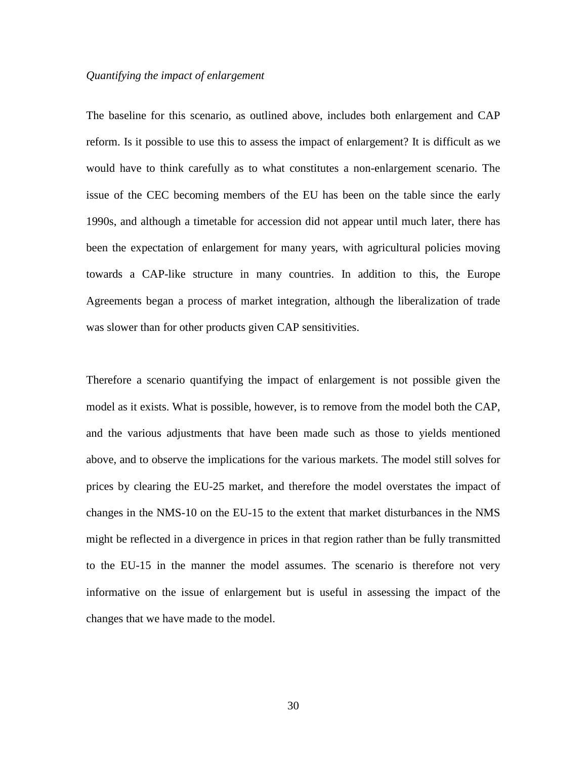## *Quantifying the impact of enlargement*

The baseline for this scenario, as outlined above, includes both enlargement and CAP reform. Is it possible to use this to assess the impact of enlargement? It is difficult as we would have to think carefully as to what constitutes a non-enlargement scenario. The issue of the CEC becoming members of the EU has been on the table since the early 1990s, and although a timetable for accession did not appear until much later, there has been the expectation of enlargement for many years, with agricultural policies moving towards a CAP-like structure in many countries. In addition to this, the Europe Agreements began a process of market integration, although the liberalization of trade was slower than for other products given CAP sensitivities.

Therefore a scenario quantifying the impact of enlargement is not possible given the model as it exists. What is possible, however, is to remove from the model both the CAP, and the various adjustments that have been made such as those to yields mentioned above, and to observe the implications for the various markets. The model still solves for prices by clearing the EU-25 market, and therefore the model overstates the impact of changes in the NMS-10 on the EU-15 to the extent that market disturbances in the NMS might be reflected in a divergence in prices in that region rather than be fully transmitted to the EU-15 in the manner the model assumes. The scenario is therefore not very informative on the issue of enlargement but is useful in assessing the impact of the changes that we have made to the model.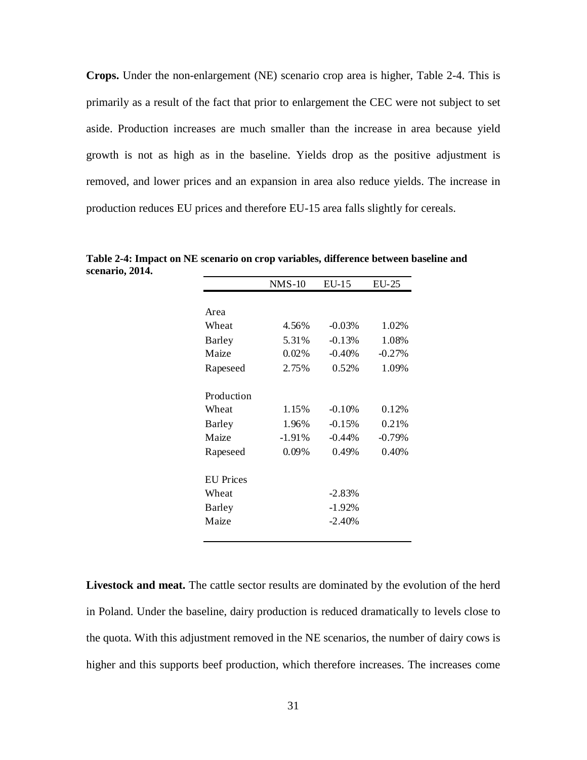**Crops.** Under the non-enlargement (NE) scenario crop area is higher, [Table 2-4.](#page-43-0) This is primarily as a result of the fact that prior to enlargement the CEC were not subject to set aside. Production increases are much smaller than the increase in area because yield growth is not as high as in the baseline. Yields drop as the positive adjustment is removed, and lower prices and an expansion in area also reduce yields. The increase in production reduces EU prices and therefore EU-15 area falls slightly for cereals.

|                  | $NMS-10$ | $EU-15$  | $EU-25$  |
|------------------|----------|----------|----------|
|                  |          |          |          |
| Area             |          |          |          |
| Wheat            | 4.56%    | $-0.03%$ | 1.02%    |
| Barley           | 5.31%    | $-0.13%$ | 1.08%    |
| Maize            | $0.02\%$ | $-0.40%$ | $-0.27%$ |
| Rapeseed         | 2.75%    | 0.52%    | 1.09%    |
| Production       |          |          |          |
| Wheat            | 1.15%    | $-0.10%$ | 0.12%    |
| Barley           | 1.96%    | $-0.15%$ | 0.21%    |
| Maize            | $-1.91%$ | $-0.44%$ | $-0.79%$ |
| Rapeseed         | $0.09\%$ | 0.49%    | 0.40%    |
| <b>EU</b> Prices |          |          |          |
| Wheat            |          | $-2.83%$ |          |
| <b>Barley</b>    |          | $-1.92%$ |          |
| Maize            |          | $-2.40%$ |          |

<span id="page-43-0"></span>**Table 2-4: Impact on NE scenario on crop variables, difference between baseline and scenario, 2014.**

**Livestock and meat.** The cattle sector results are dominated by the evolution of the herd in Poland. Under the baseline, dairy production is reduced dramatically to levels close to the quota. With this adjustment removed in the NE scenarios, the number of dairy cows is higher and this supports beef production, which therefore increases. The increases come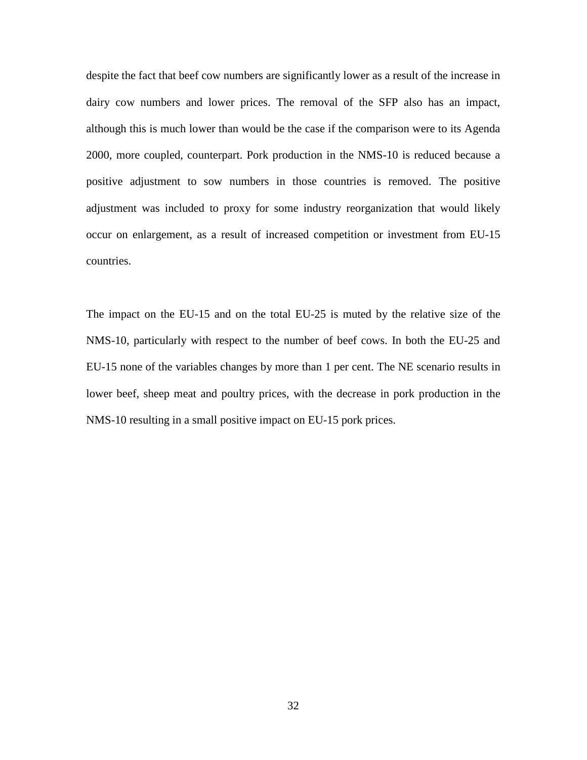despite the fact that beef cow numbers are significantly lower as a result of the increase in dairy cow numbers and lower prices. The removal of the SFP also has an impact, although this is much lower than would be the case if the comparison were to its Agenda 2000, more coupled, counterpart. Pork production in the NMS-10 is reduced because a positive adjustment to sow numbers in those countries is removed. The positive adjustment was included to proxy for some industry reorganization that would likely occur on enlargement, as a result of increased competition or investment from EU-15 countries.

The impact on the EU-15 and on the total EU-25 is muted by the relative size of the NMS-10, particularly with respect to the number of beef cows. In both the EU-25 and EU-15 none of the variables changes by more than 1 per cent. The NE scenario results in lower beef, sheep meat and poultry prices, with the decrease in pork production in the NMS-10 resulting in a small positive impact on EU-15 pork prices.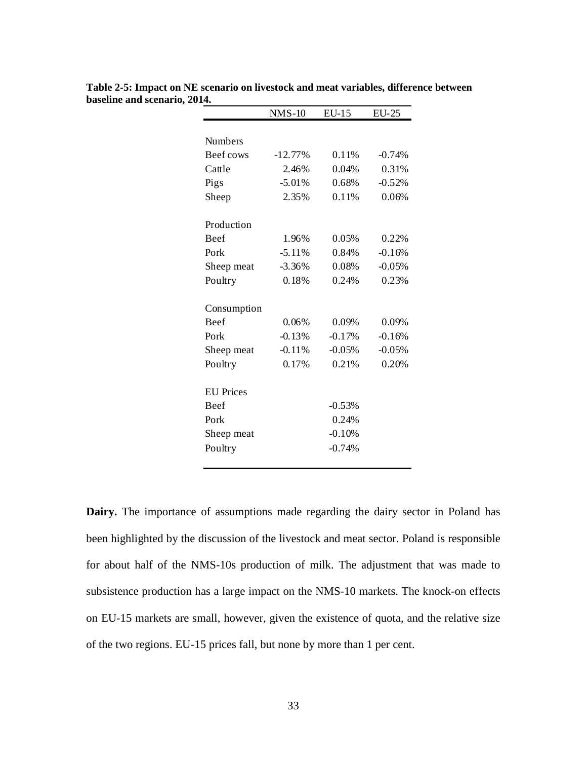|                  | $NMS-10$  | $EU-15$  | <b>EU-25</b> |
|------------------|-----------|----------|--------------|
|                  |           |          |              |
| <b>Numbers</b>   |           |          |              |
| Beef cows        | $-12.77%$ | 0.11%    | $-0.74%$     |
| Cattle           | 2.46%     | 0.04%    | 0.31%        |
| Pigs             | $-5.01%$  | 0.68%    | $-0.52%$     |
| Sheep            | 2.35%     | 0.11%    | 0.06%        |
| Production       |           |          |              |
| Beef             | 1.96%     | 0.05%    | 0.22%        |
| Pork             | $-5.11%$  | 0.84%    | $-0.16%$     |
| Sheep meat       | $-3.36%$  | 0.08%    | $-0.05%$     |
| Poultry          | 0.18%     | 0.24%    | 0.23%        |
| Consumption      |           |          |              |
| <b>Beef</b>      | 0.06%     | 0.09%    | 0.09%        |
| Pork             | $-0.13%$  | $-0.17%$ | $-0.16%$     |
| Sheep meat       | $-0.11%$  | $-0.05%$ | $-0.05%$     |
| Poultry          | 0.17%     | 0.21%    | 0.20%        |
| <b>EU</b> Prices |           |          |              |
| Beef             |           | $-0.53%$ |              |
| Pork             |           | 0.24%    |              |
| Sheep meat       |           | $-0.10%$ |              |
| Poultry          |           | $-0.74%$ |              |

**Table 2-5: Impact on NE scenario on livestock and meat variables, difference between baseline and scenario, 2014.**

**Dairy.** The importance of assumptions made regarding the dairy sector in Poland has been highlighted by the discussion of the livestock and meat sector. Poland is responsible for about half of the NMS-10s production of milk. The adjustment that was made to subsistence production has a large impact on the NMS-10 markets. The knock-on effects on EU-15 markets are small, however, given the existence of quota, and the relative size of the two regions. EU-15 prices fall, but none by more than 1 per cent.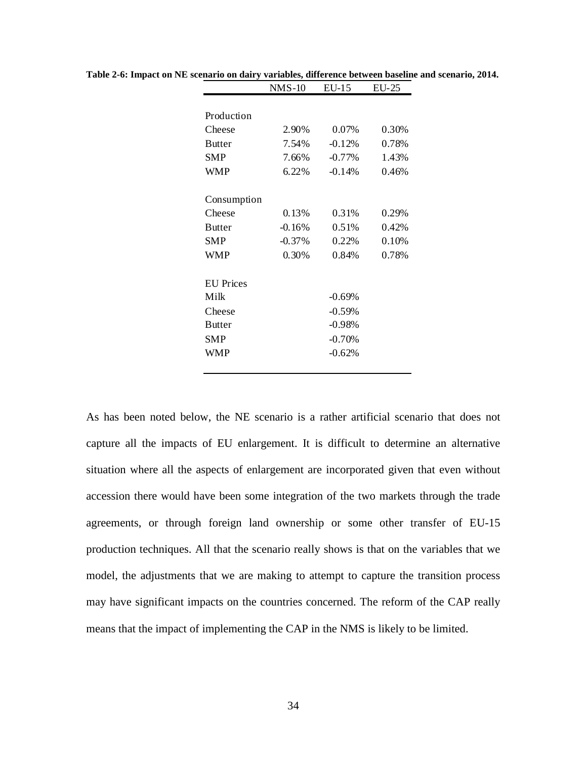|                  | $NMS-10$ | EU-15    | EU-25 |
|------------------|----------|----------|-------|
|                  |          |          |       |
| Production       |          |          |       |
| Cheese           | 2.90%    | 0.07%    | 0.30% |
| <b>Butter</b>    | 7.54%    | $-0.12%$ | 0.78% |
| SMP              | 7.66%    | $-0.77%$ | 1.43% |
| WMP              | 6.22%    | $-0.14%$ | 0.46% |
| Consumption      |          |          |       |
| Cheese           | 0.13%    | 0.31%    | 0.29% |
| <b>Butter</b>    | $-0.16%$ | 0.51%    | 0.42% |
| SMP              | $-0.37%$ | 0.22%    | 0.10% |
| WMP              | 0.30%    | 0.84%    | 0.78% |
| <b>EU</b> Prices |          |          |       |
| Milk             |          | $-0.69%$ |       |
| Cheese           |          | $-0.59%$ |       |
| <b>Butter</b>    |          | $-0.98%$ |       |
| SMP              |          | $-0.70%$ |       |
| WMP              |          | $-0.62%$ |       |
|                  |          |          |       |

**Table 2-6: Impact on NE scenario on dairy variables, difference between baseline and scenario, 2014.**

As has been noted below, the NE scenario is a rather artificial scenario that does not capture all the impacts of EU enlargement. It is difficult to determine an alternative situation where all the aspects of enlargement are incorporated given that even without accession there would have been some integration of the two markets through the trade agreements, or through foreign land ownership or some other transfer of EU-15 production techniques. All that the scenario really shows is that on the variables that we model, the adjustments that we are making to attempt to capture the transition process may have significant impacts on the countries concerned. The reform of the CAP really means that the impact of implementing the CAP in the NMS is likely to be limited.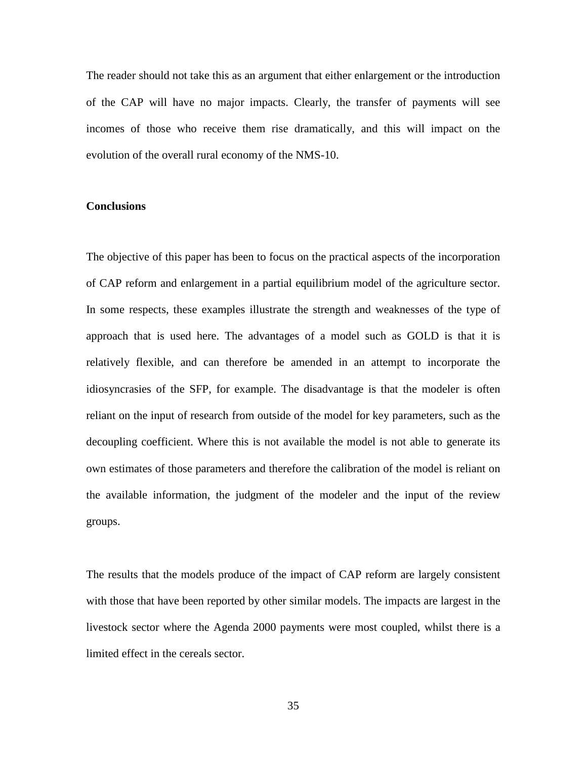The reader should not take this as an argument that either enlargement or the introduction of the CAP will have no major impacts. Clearly, the transfer of payments will see incomes of those who receive them rise dramatically, and this will impact on the evolution of the overall rural economy of the NMS-10.

# **Conclusions**

The objective of this paper has been to focus on the practical aspects of the incorporation of CAP reform and enlargement in a partial equilibrium model of the agriculture sector. In some respects, these examples illustrate the strength and weaknesses of the type of approach that is used here. The advantages of a model such as GOLD is that it is relatively flexible, and can therefore be amended in an attempt to incorporate the idiosyncrasies of the SFP, for example. The disadvantage is that the modeler is often reliant on the input of research from outside of the model for key parameters, such as the decoupling coefficient. Where this is not available the model is not able to generate its own estimates of those parameters and therefore the calibration of the model is reliant on the available information, the judgment of the modeler and the input of the review groups.

The results that the models produce of the impact of CAP reform are largely consistent with those that have been reported by other similar models. The impacts are largest in the livestock sector where the Agenda 2000 payments were most coupled, whilst there is a limited effect in the cereals sector.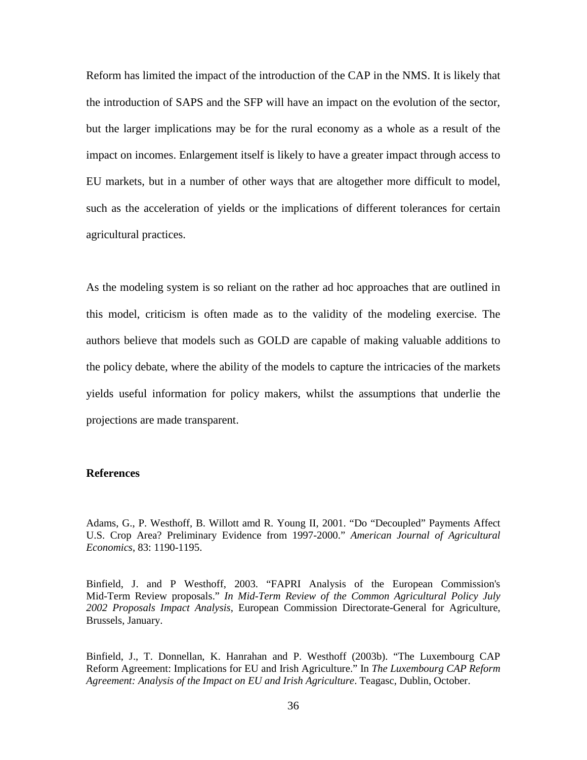Reform has limited the impact of the introduction of the CAP in the NMS. It is likely that the introduction of SAPS and the SFP will have an impact on the evolution of the sector, but the larger implications may be for the rural economy as a whole as a result of the impact on incomes. Enlargement itself is likely to have a greater impact through access to EU markets, but in a number of other ways that are altogether more difficult to model, such as the acceleration of yields or the implications of different tolerances for certain agricultural practices.

As the modeling system is so reliant on the rather ad hoc approaches that are outlined in this model, criticism is often made as to the validity of the modeling exercise. The authors believe that models such as GOLD are capable of making valuable additions to the policy debate, where the ability of the models to capture the intricacies of the markets yields useful information for policy makers, whilst the assumptions that underlie the projections are made transparent.

#### **References**

Adams, G., P. Westhoff, B. Willott amd R. Young II, 2001. "Do "Decoupled" Payments Affect U.S. Crop Area? Preliminary Evidence from 1997-2000." *American Journal of Agricultural Economics*, 83: 1190-1195.

Binfield, J. and P Westhoff, 2003. "FAPRI Analysis of the European Commission's Mid-Term Review proposals." *In Mid-Term Review of the Common Agricultural Policy July 2002 Proposals Impact Analysis*, European Commission Directorate-General for Agriculture, Brussels, January.

Binfield, J., T. Donnellan, K. Hanrahan and P. Westhoff (2003b). "The Luxembourg CAP Reform Agreement: Implications for EU and Irish Agriculture." In *The Luxembourg CAP Reform Agreement: Analysis of the Impact on EU and Irish Agriculture*. Teagasc, Dublin, October.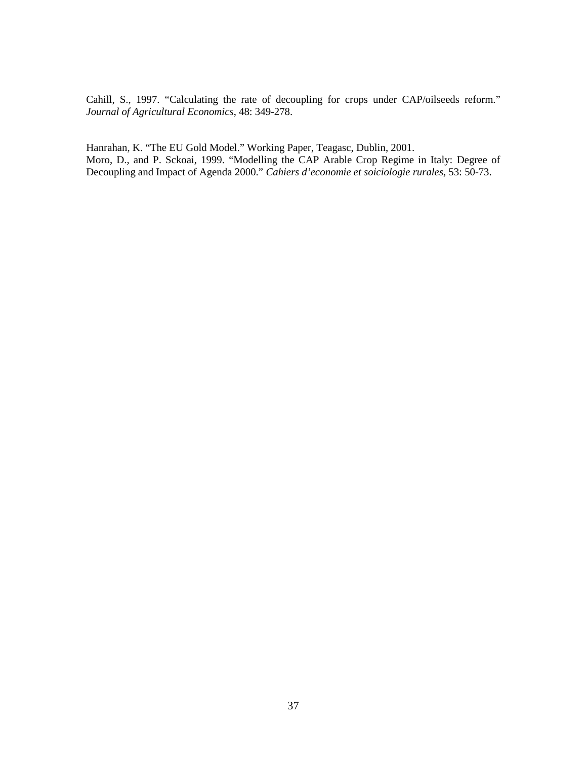Cahill, S., 1997. "Calculating the rate of decoupling for crops under CAP/oilseeds reform." *Journal of Agricultural Economics*, 48: 349-278.

Hanrahan, K. "The EU Gold Model." Working Paper, Teagasc, Dublin, 2001. Moro, D., and P. Sckoai, 1999. "Modelling the CAP Arable Crop Regime in Italy: Degree of Decoupling and Impact of Agenda 2000." *Cahiers d'economie et soiciologie rurales*, 53: 50-73.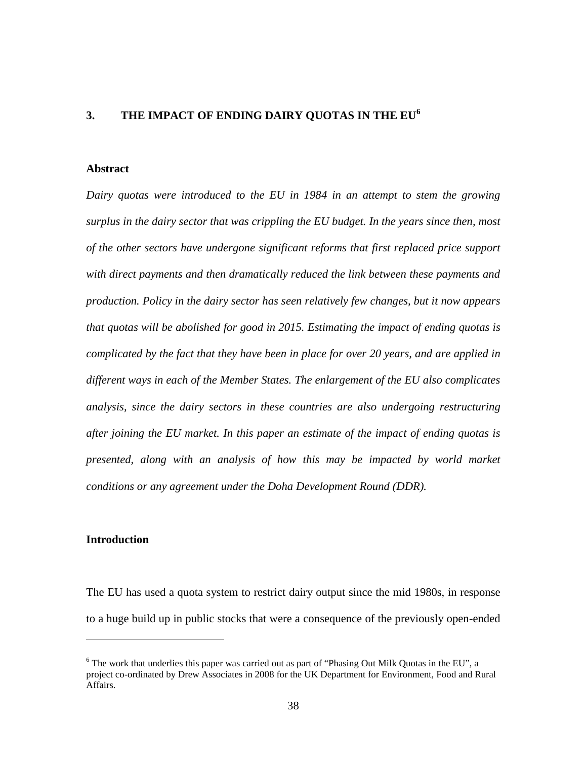## **3. THE IMPACT OF ENDING DAIRY QUOTAS IN THE EU[6](#page-50-0)**

# **Abstract**

*Dairy quotas were introduced to the EU in 1984 in an attempt to stem the growing surplus in the dairy sector that was crippling the EU budget. In the years since then, most of the other sectors have undergone significant reforms that first replaced price support with direct payments and then dramatically reduced the link between these payments and production. Policy in the dairy sector has seen relatively few changes, but it now appears that quotas will be abolished for good in 2015. Estimating the impact of ending quotas is complicated by the fact that they have been in place for over 20 years, and are applied in different ways in each of the Member States. The enlargement of the EU also complicates analysis, since the dairy sectors in these countries are also undergoing restructuring after joining the EU market. In this paper an estimate of the impact of ending quotas is presented, along with an analysis of how this may be impacted by world market conditions or any agreement under the Doha Development Round (DDR).*

### **Introduction**

 $\overline{a}$ 

The EU has used a quota system to restrict dairy output since the mid 1980s, in response to a huge build up in public stocks that were a consequence of the previously open-ended

<span id="page-50-0"></span><sup>&</sup>lt;sup>6</sup> The work that underlies this paper was carried out as part of "Phasing Out Milk Quotas in the EU", a project co-ordinated by Drew Associates in 2008 for the UK Department for Environment, Food and Rural Affairs.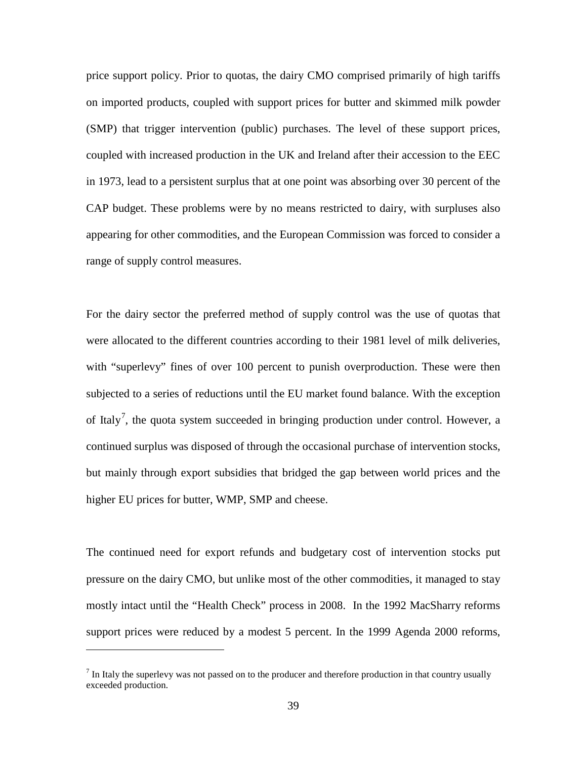price support policy. Prior to quotas, the dairy CMO comprised primarily of high tariffs on imported products, coupled with support prices for butter and skimmed milk powder (SMP) that trigger intervention (public) purchases. The level of these support prices, coupled with increased production in the UK and Ireland after their accession to the EEC in 1973, lead to a persistent surplus that at one point was absorbing over 30 percent of the CAP budget. These problems were by no means restricted to dairy, with surpluses also appearing for other commodities, and the European Commission was forced to consider a range of supply control measures.

For the dairy sector the preferred method of supply control was the use of quotas that were allocated to the different countries according to their 1981 level of milk deliveries, with "superlevy" fines of over 100 percent to punish overproduction. These were then subjected to a series of reductions until the EU market found balance. With the exception of Italy<sup>[7](#page-51-0)</sup>, the quota system succeeded in bringing production under control. However, a continued surplus was disposed of through the occasional purchase of intervention stocks, but mainly through export subsidies that bridged the gap between world prices and the higher EU prices for butter, WMP, SMP and cheese.

The continued need for export refunds and budgetary cost of intervention stocks put pressure on the dairy CMO, but unlike most of the other commodities, it managed to stay mostly intact until the "Health Check" process in 2008. In the 1992 MacSharry reforms support prices were reduced by a modest 5 percent. In the 1999 Agenda 2000 reforms,

<span id="page-51-0"></span> $<sup>7</sup>$  In Italy the superlevy was not passed on to the producer and therefore production in that country usually</sup> exceeded production.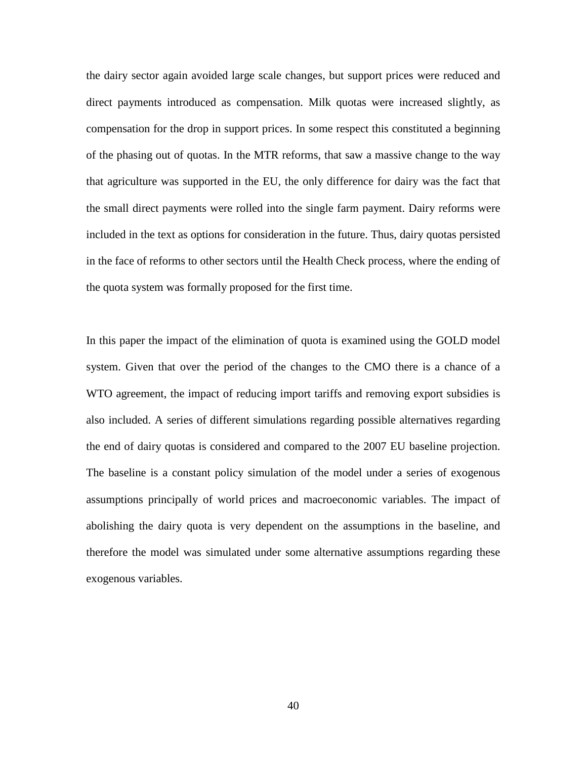the dairy sector again avoided large scale changes, but support prices were reduced and direct payments introduced as compensation. Milk quotas were increased slightly, as compensation for the drop in support prices. In some respect this constituted a beginning of the phasing out of quotas. In the MTR reforms, that saw a massive change to the way that agriculture was supported in the EU, the only difference for dairy was the fact that the small direct payments were rolled into the single farm payment. Dairy reforms were included in the text as options for consideration in the future. Thus, dairy quotas persisted in the face of reforms to other sectors until the Health Check process, where the ending of the quota system was formally proposed for the first time.

In this paper the impact of the elimination of quota is examined using the GOLD model system. Given that over the period of the changes to the CMO there is a chance of a WTO agreement, the impact of reducing import tariffs and removing export subsidies is also included. A series of different simulations regarding possible alternatives regarding the end of dairy quotas is considered and compared to the 2007 EU baseline projection. The baseline is a constant policy simulation of the model under a series of exogenous assumptions principally of world prices and macroeconomic variables. The impact of abolishing the dairy quota is very dependent on the assumptions in the baseline, and therefore the model was simulated under some alternative assumptions regarding these exogenous variables.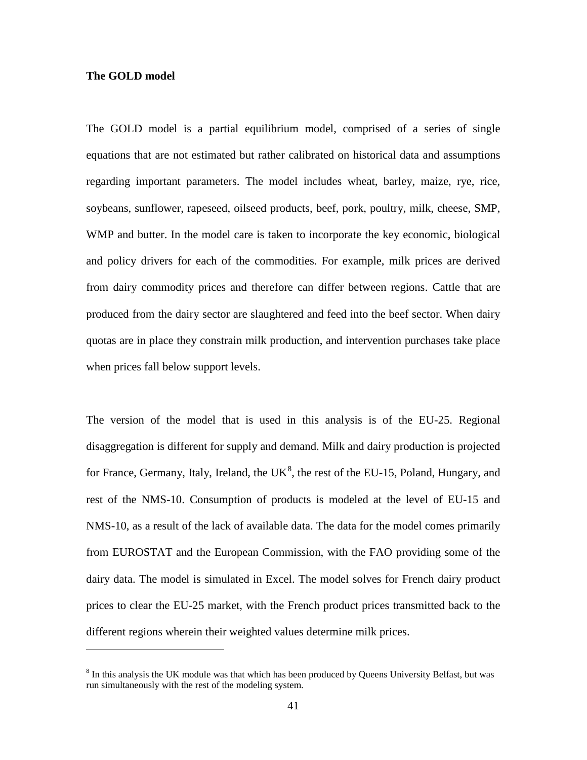## **The GOLD model**

 $\overline{a}$ 

The GOLD model is a partial equilibrium model, comprised of a series of single equations that are not estimated but rather calibrated on historical data and assumptions regarding important parameters. The model includes wheat, barley, maize, rye, rice, soybeans, sunflower, rapeseed, oilseed products, beef, pork, poultry, milk, cheese, SMP, WMP and butter. In the model care is taken to incorporate the key economic, biological and policy drivers for each of the commodities. For example, milk prices are derived from dairy commodity prices and therefore can differ between regions. Cattle that are produced from the dairy sector are slaughtered and feed into the beef sector. When dairy quotas are in place they constrain milk production, and intervention purchases take place when prices fall below support levels.

The version of the model that is used in this analysis is of the EU-25. Regional disaggregation is different for supply and demand. Milk and dairy production is projected for France, Germany, Italy, Ireland, the UK $^{8}$  $^{8}$  $^{8}$ , the rest of the EU-15, Poland, Hungary, and rest of the NMS-10. Consumption of products is modeled at the level of EU-15 and NMS-10, as a result of the lack of available data. The data for the model comes primarily from EUROSTAT and the European Commission, with the FAO providing some of the dairy data. The model is simulated in Excel. The model solves for French dairy product prices to clear the EU-25 market, with the French product prices transmitted back to the different regions wherein their weighted values determine milk prices.

<span id="page-53-0"></span><sup>&</sup>lt;sup>8</sup> In this analysis the UK module was that which has been produced by Queens University Belfast, but was run simultaneously with the rest of the modeling system.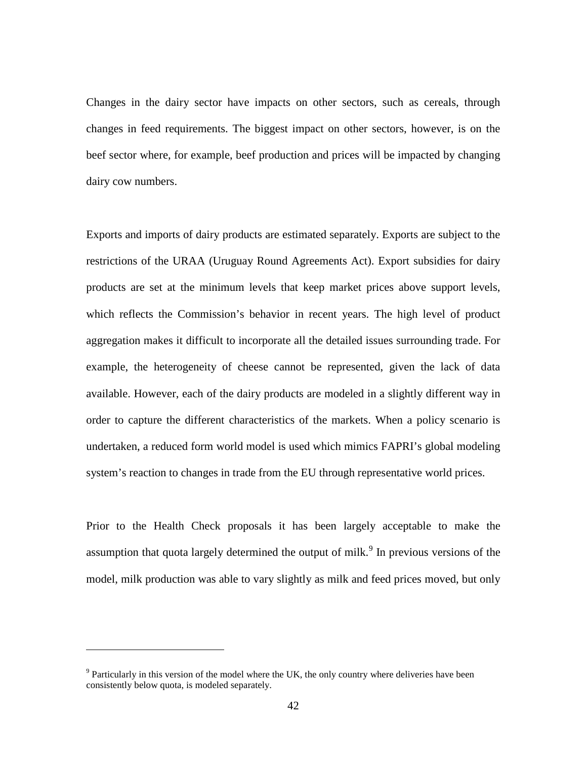Changes in the dairy sector have impacts on other sectors, such as cereals, through changes in feed requirements. The biggest impact on other sectors, however, is on the beef sector where, for example, beef production and prices will be impacted by changing dairy cow numbers.

Exports and imports of dairy products are estimated separately. Exports are subject to the restrictions of the URAA (Uruguay Round Agreements Act). Export subsidies for dairy products are set at the minimum levels that keep market prices above support levels, which reflects the Commission's behavior in recent years. The high level of product aggregation makes it difficult to incorporate all the detailed issues surrounding trade. For example, the heterogeneity of cheese cannot be represented, given the lack of data available. However, each of the dairy products are modeled in a slightly different way in order to capture the different characteristics of the markets. When a policy scenario is undertaken, a reduced form world model is used which mimics FAPRI's global modeling system's reaction to changes in trade from the EU through representative world prices.

Prior to the Health Check proposals it has been largely acceptable to make the assumption that quota largely determined the output of milk.<sup>[9](#page-54-0)</sup> In previous versions of the model, milk production was able to vary slightly as milk and feed prices moved, but only

<span id="page-54-0"></span> $9$  Particularly in this version of the model where the UK, the only country where deliveries have been consistently below quota, is modeled separately.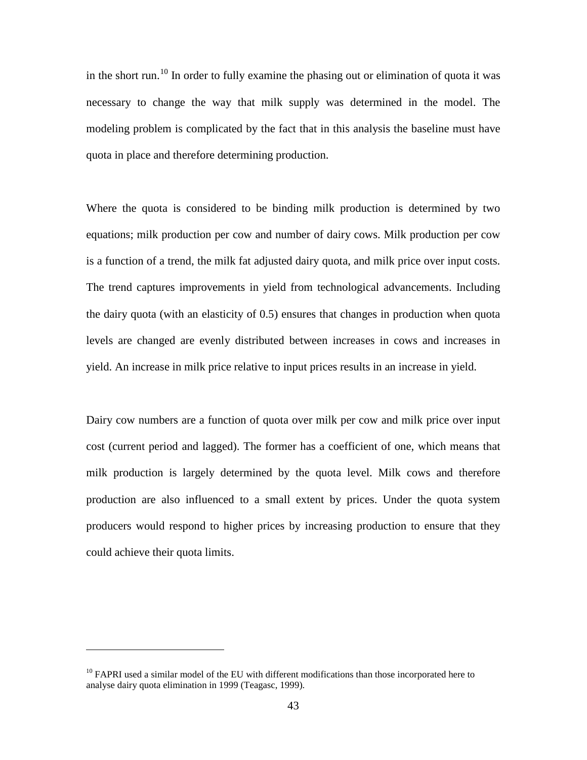in the short run.<sup>[10](#page-55-0)</sup> In order to fully examine the phasing out or elimination of quota it was necessary to change the way that milk supply was determined in the model. The modeling problem is complicated by the fact that in this analysis the baseline must have quota in place and therefore determining production.

Where the quota is considered to be binding milk production is determined by two equations; milk production per cow and number of dairy cows. Milk production per cow is a function of a trend, the milk fat adjusted dairy quota, and milk price over input costs. The trend captures improvements in yield from technological advancements. Including the dairy quota (with an elasticity of 0.5) ensures that changes in production when quota levels are changed are evenly distributed between increases in cows and increases in yield. An increase in milk price relative to input prices results in an increase in yield.

Dairy cow numbers are a function of quota over milk per cow and milk price over input cost (current period and lagged). The former has a coefficient of one, which means that milk production is largely determined by the quota level. Milk cows and therefore production are also influenced to a small extent by prices. Under the quota system producers would respond to higher prices by increasing production to ensure that they could achieve their quota limits.

<span id="page-55-0"></span> $10$  FAPRI used a similar model of the EU with different modifications than those incorporated here to analyse dairy quota elimination in 1999 (Teagasc, 1999).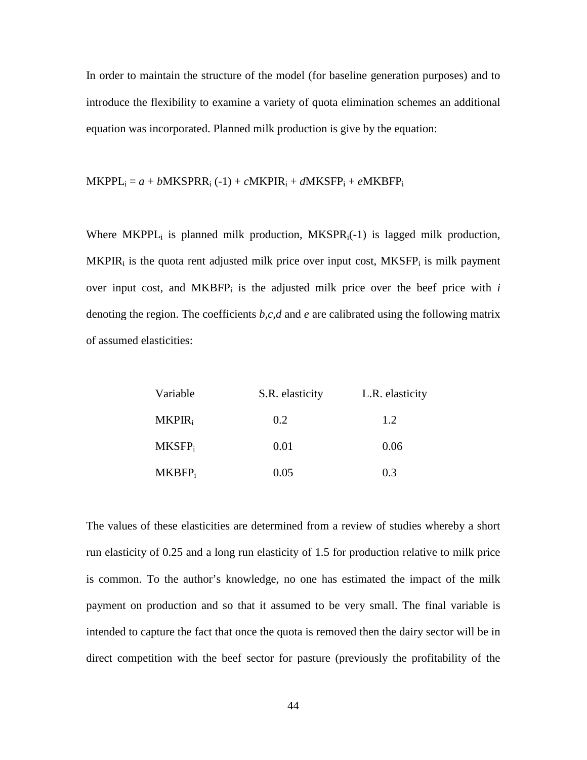In order to maintain the structure of the model (for baseline generation purposes) and to introduce the flexibility to examine a variety of quota elimination schemes an additional equation was incorporated. Planned milk production is give by the equation:

$$
MKPPL_i = a + bMKSPRR_i (-1) + cMKPIR_i + dMKSFP_i + eMKBFP_i
$$

Where MKPPL<sub>i</sub> is planned milk production, MKSPR<sub>i</sub>(-1) is lagged milk production,  $MKPIR<sub>i</sub>$  is the quota rent adjusted milk price over input cost,  $MKSFP<sub>i</sub>$  is milk payment over input cost, and  $MKBFP<sub>i</sub>$  is the adjusted milk price over the beef price with  $i$ denoting the region. The coefficients *b,c,d* and *e* are calibrated using the following matrix of assumed elasticities:

| Variable           | S.R. elasticity | L.R. elasticity |
|--------------------|-----------------|-----------------|
| $MKPIR_i$          | 0.2             | 1.2             |
| MKSFP <sub>i</sub> | 0.01            | 0.06            |
| MKBFP <sub>i</sub> | 0.05            | 0.3             |

The values of these elasticities are determined from a review of studies whereby a short run elasticity of 0.25 and a long run elasticity of 1.5 for production relative to milk price is common. To the author's knowledge, no one has estimated the impact of the milk payment on production and so that it assumed to be very small. The final variable is intended to capture the fact that once the quota is removed then the dairy sector will be in direct competition with the beef sector for pasture (previously the profitability of the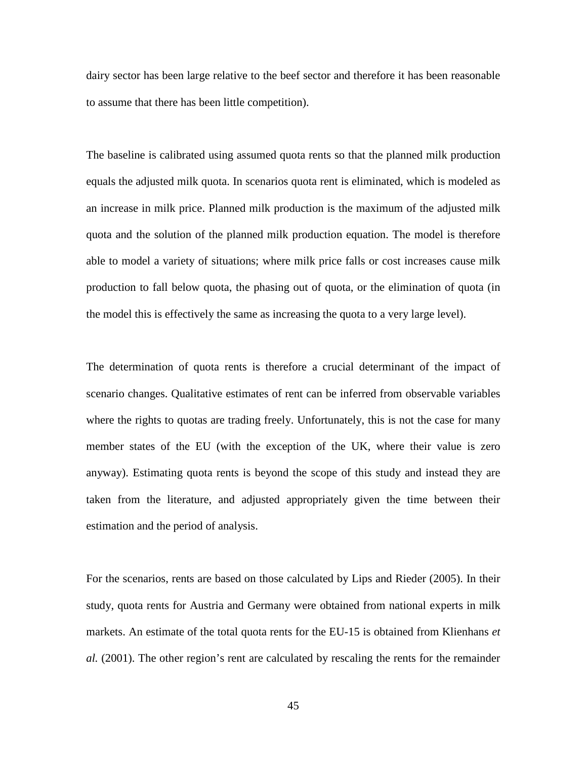dairy sector has been large relative to the beef sector and therefore it has been reasonable to assume that there has been little competition).

The baseline is calibrated using assumed quota rents so that the planned milk production equals the adjusted milk quota. In scenarios quota rent is eliminated, which is modeled as an increase in milk price. Planned milk production is the maximum of the adjusted milk quota and the solution of the planned milk production equation. The model is therefore able to model a variety of situations; where milk price falls or cost increases cause milk production to fall below quota, the phasing out of quota, or the elimination of quota (in the model this is effectively the same as increasing the quota to a very large level).

The determination of quota rents is therefore a crucial determinant of the impact of scenario changes. Qualitative estimates of rent can be inferred from observable variables where the rights to quotas are trading freely. Unfortunately, this is not the case for many member states of the EU (with the exception of the UK, where their value is zero anyway). Estimating quota rents is beyond the scope of this study and instead they are taken from the literature, and adjusted appropriately given the time between their estimation and the period of analysis.

For the scenarios, rents are based on those calculated by Lips and Rieder (2005). In their study, quota rents for Austria and Germany were obtained from national experts in milk markets. An estimate of the total quota rents for the EU-15 is obtained from Klienhans *et al.* (2001). The other region's rent are calculated by rescaling the rents for the remainder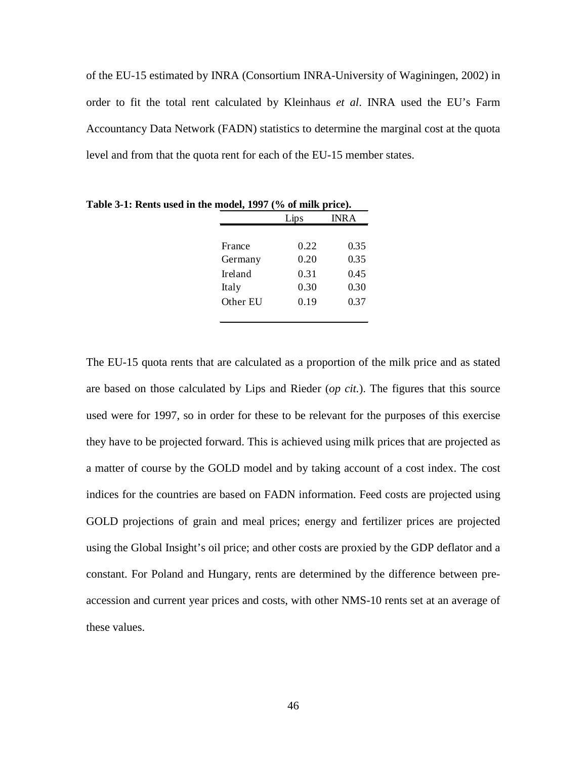of the EU-15 estimated by INRA (Consortium INRA-University of Waginingen, 2002) in order to fit the total rent calculated by Kleinhaus *et al*. INRA used the EU's Farm Accountancy Data Network (FADN) statistics to determine the marginal cost at the quota level and from that the quota rent for each of the EU-15 member states.

|          | Lips | INR A |
|----------|------|-------|
|          |      |       |
| France   | 0.22 | 0.35  |
| Germany  | 0.20 | 0.35  |
| Ireland  | 0.31 | 0.45  |
| Italy    | 0.30 | 0.30  |
| Other EU | 0.19 | 0.37  |

**Table 3-1: Rents used in the model, 1997 (% of milk price).**

The EU-15 quota rents that are calculated as a proportion of the milk price and as stated are based on those calculated by Lips and Rieder (*op cit.*). The figures that this source used were for 1997, so in order for these to be relevant for the purposes of this exercise they have to be projected forward. This is achieved using milk prices that are projected as a matter of course by the GOLD model and by taking account of a cost index. The cost indices for the countries are based on FADN information. Feed costs are projected using GOLD projections of grain and meal prices; energy and fertilizer prices are projected using the Global Insight's oil price; and other costs are proxied by the GDP deflator and a constant. For Poland and Hungary, rents are determined by the difference between preaccession and current year prices and costs, with other NMS-10 rents set at an average of these values.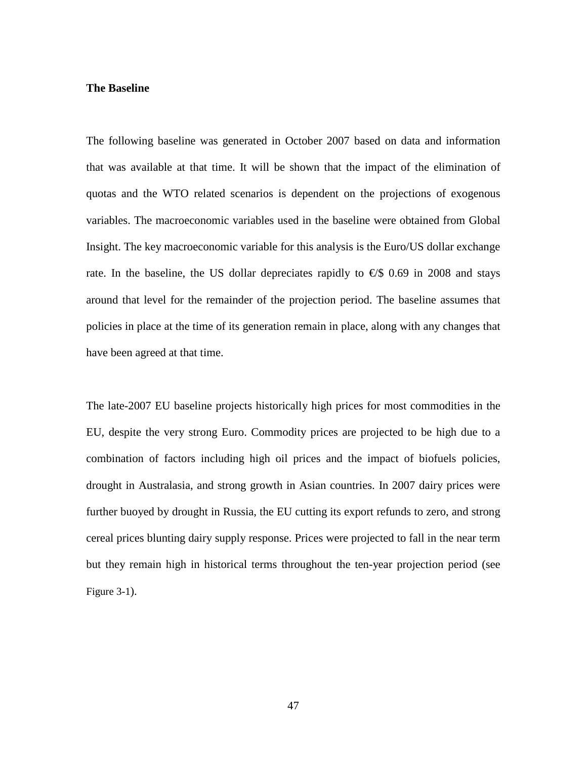#### **The Baseline**

The following baseline was generated in October 2007 based on data and information that was available at that time. It will be shown that the impact of the elimination of quotas and the WTO related scenarios is dependent on the projections of exogenous variables. The macroeconomic variables used in the baseline were obtained from Global Insight. The key macroeconomic variable for this analysis is the Euro/US dollar exchange rate. In the baseline, the US dollar depreciates rapidly to  $\epsilon$ \$ 0.69 in 2008 and stays around that level for the remainder of the projection period. The baseline assumes that policies in place at the time of its generation remain in place, along with any changes that have been agreed at that time.

The late-2007 EU baseline projects historically high prices for most commodities in the EU, despite the very strong Euro. Commodity prices are projected to be high due to a combination of factors including high oil prices and the impact of biofuels policies, drought in Australasia, and strong growth in Asian countries. In 2007 dairy prices were further buoyed by drought in Russia, the EU cutting its export refunds to zero, and strong cereal prices blunting dairy supply response. Prices were projected to fall in the near term but they remain high in historical terms throughout the ten-year projection period (see Figure 3-1).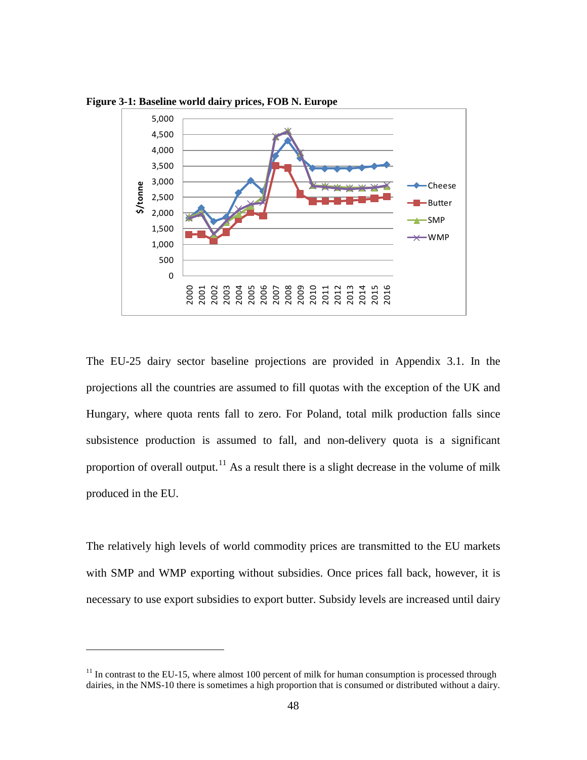

**Figure 3-1: Baseline world dairy prices, FOB N. Europe**

The EU-25 dairy sector baseline projections are provided in Appendix 3.1. In the projections all the countries are assumed to fill quotas with the exception of the UK and Hungary, where quota rents fall to zero. For Poland, total milk production falls since subsistence production is assumed to fall, and non-delivery quota is a significant proportion of overall output.<sup>[11](#page-60-0)</sup> As a result there is a slight decrease in the volume of milk produced in the EU.

The relatively high levels of world commodity prices are transmitted to the EU markets with SMP and WMP exporting without subsidies. Once prices fall back, however, it is necessary to use export subsidies to export butter. Subsidy levels are increased until dairy

<span id="page-60-0"></span> $11$  In contrast to the EU-15, where almost 100 percent of milk for human consumption is processed through dairies, in the NMS-10 there is sometimes a high proportion that is consumed or distributed without a dairy.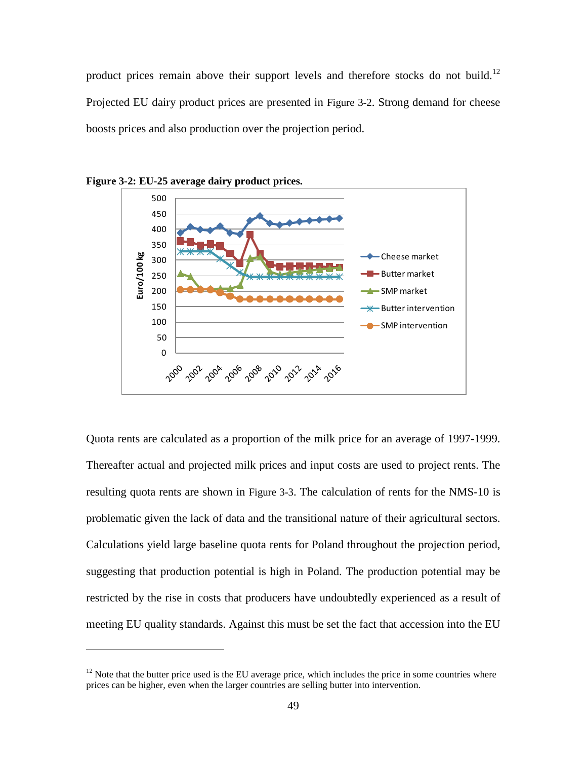product prices remain above their support levels and therefore stocks do not build.<sup>[12](#page-61-0)</sup> Projected EU dairy product prices are presented in Figure 3-2. Strong demand for cheese boosts prices and also production over the projection period.





 $\overline{a}$ 

Quota rents are calculated as a proportion of the milk price for an average of 1997-1999. Thereafter actual and projected milk prices and input costs are used to project rents. The resulting quota rents are shown in Figure 3-3. The calculation of rents for the NMS-10 is problematic given the lack of data and the transitional nature of their agricultural sectors. Calculations yield large baseline quota rents for Poland throughout the projection period, suggesting that production potential is high in Poland. The production potential may be restricted by the rise in costs that producers have undoubtedly experienced as a result of meeting EU quality standards. Against this must be set the fact that accession into the EU

<span id="page-61-0"></span> $12$  Note that the butter price used is the EU average price, which includes the price in some countries where prices can be higher, even when the larger countries are selling butter into intervention.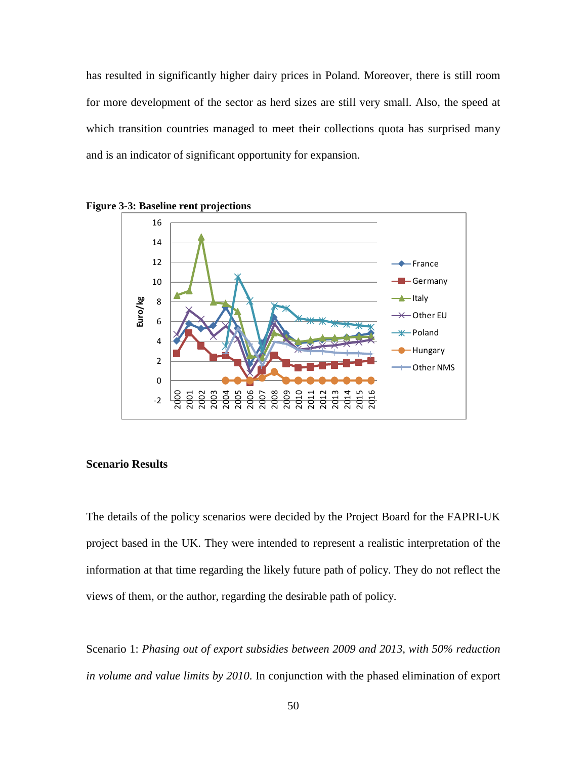has resulted in significantly higher dairy prices in Poland. Moreover, there is still room for more development of the sector as herd sizes are still very small. Also, the speed at which transition countries managed to meet their collections quota has surprised many and is an indicator of significant opportunity for expansion.



**Figure 3-3: Baseline rent projections**

#### **Scenario Results**

The details of the policy scenarios were decided by the Project Board for the FAPRI-UK project based in the UK. They were intended to represent a realistic interpretation of the information at that time regarding the likely future path of policy. They do not reflect the views of them, or the author, regarding the desirable path of policy.

Scenario 1: *Phasing out of export subsidies between 2009 and 2013, with 50% reduction in volume and value limits by 2010*. In conjunction with the phased elimination of export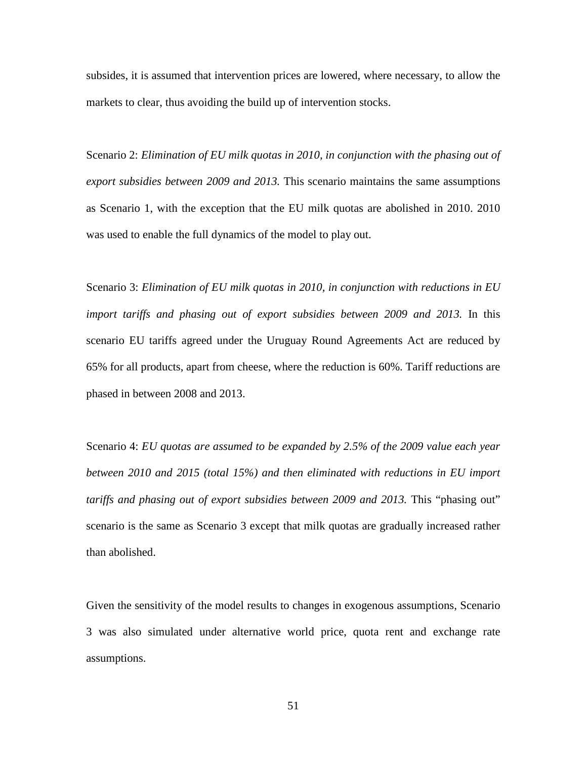subsides, it is assumed that intervention prices are lowered, where necessary, to allow the markets to clear, thus avoiding the build up of intervention stocks.

Scenario 2: *Elimination of EU milk quotas in 2010, in conjunction with the phasing out of export subsidies between 2009 and 2013.* This scenario maintains the same assumptions as Scenario 1, with the exception that the EU milk quotas are abolished in 2010. 2010 was used to enable the full dynamics of the model to play out.

Scenario 3: *Elimination of EU milk quotas in 2010, in conjunction with reductions in EU import tariffs and phasing out of export subsidies between 2009 and 2013.* In this scenario EU tariffs agreed under the Uruguay Round Agreements Act are reduced by 65% for all products, apart from cheese, where the reduction is 60%. Tariff reductions are phased in between 2008 and 2013.

Scenario 4: *EU quotas are assumed to be expanded by 2.5% of the 2009 value each year between 2010 and 2015 (total 15%) and then eliminated with reductions in EU import tariffs and phasing out of export subsidies between 2009 and 2013.* This "phasing out" scenario is the same as Scenario 3 except that milk quotas are gradually increased rather than abolished.

Given the sensitivity of the model results to changes in exogenous assumptions, Scenario 3 was also simulated under alternative world price, quota rent and exchange rate assumptions.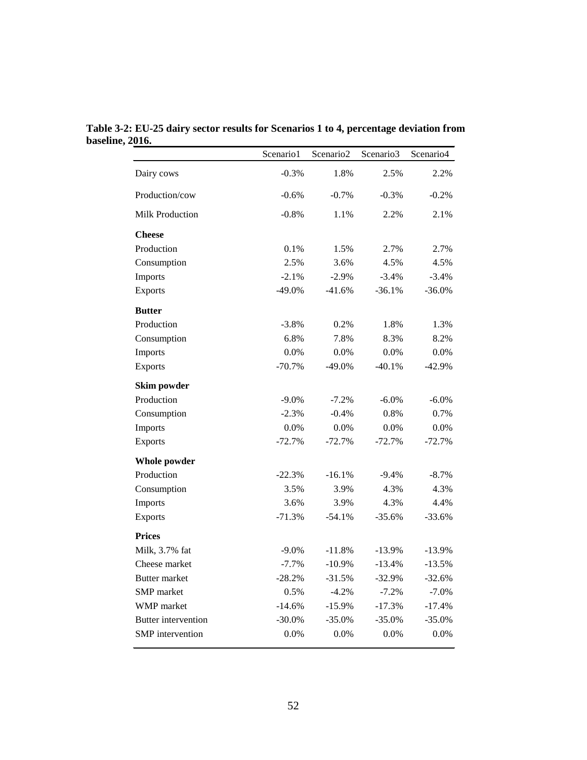|                            | Scenario1 | Scenario <sub>2</sub> | Scenario3 | Scenario4 |
|----------------------------|-----------|-----------------------|-----------|-----------|
| Dairy cows                 | $-0.3%$   | 1.8%                  | 2.5%      | 2.2%      |
| Production/cow             | $-0.6%$   | $-0.7%$               | $-0.3\%$  | $-0.2\%$  |
| <b>Milk Production</b>     | $-0.8%$   | 1.1%                  | 2.2%      | 2.1%      |
| <b>Cheese</b>              |           |                       |           |           |
| Production                 | 0.1%      | 1.5%                  | 2.7%      | 2.7%      |
| Consumption                | 2.5%      | 3.6%                  | 4.5%      | 4.5%      |
| Imports                    | $-2.1%$   | $-2.9%$               | $-3.4%$   | $-3.4\%$  |
| <b>Exports</b>             | $-49.0%$  | $-41.6%$              | $-36.1%$  | $-36.0%$  |
| <b>Butter</b>              |           |                       |           |           |
| Production                 | $-3.8%$   | 0.2%                  | 1.8%      | 1.3%      |
| Consumption                | 6.8%      | 7.8%                  | 8.3%      | 8.2%      |
| Imports                    | 0.0%      | 0.0%                  | 0.0%      | 0.0%      |
| <b>Exports</b>             | $-70.7%$  | $-49.0%$              | $-40.1%$  | $-42.9%$  |
| Skim powder                |           |                       |           |           |
| Production                 | $-9.0%$   | $-7.2%$               | $-6.0\%$  | $-6.0%$   |
| Consumption                | $-2.3%$   | $-0.4%$               | 0.8%      | 0.7%      |
| Imports                    | 0.0%      | 0.0%                  | 0.0%      | 0.0%      |
| Exports                    | $-72.7%$  | $-72.7%$              | $-72.7%$  | $-72.7%$  |
| Whole powder               |           |                       |           |           |
| Production                 | $-22.3%$  | $-16.1%$              | $-9.4%$   | $-8.7\%$  |
| Consumption                | 3.5%      | 3.9%                  | 4.3%      | 4.3%      |
| Imports                    | 3.6%      | 3.9%                  | 4.3%      | 4.4%      |
| <b>Exports</b>             | $-71.3%$  | $-54.1%$              | $-35.6%$  | $-33.6%$  |
| <b>Prices</b>              |           |                       |           |           |
| Milk, 3.7% fat             | $-9.0\%$  | $-11.8%$              | $-13.9%$  | $-13.9%$  |
| Cheese market              | $-7.7%$   | $-10.9%$              | $-13.4%$  | $-13.5%$  |
| <b>Butter market</b>       | $-28.2%$  | $-31.5%$              | $-32.9%$  | $-32.6%$  |
| SMP market                 | 0.5%      | $-4.2%$               | $-7.2%$   | $-7.0%$   |
| WMP market                 | $-14.6%$  | $-15.9%$              | $-17.3%$  | $-17.4%$  |
| <b>Butter</b> intervention | $-30.0%$  | $-35.0%$              | $-35.0%$  | $-35.0%$  |
| SMP intervention           | 0.0%      | 0.0%                  | 0.0%      | 0.0%      |

**Table 3-2: EU-25 dairy sector results for Scenarios 1 to 4, percentage deviation from baseline, 2016.**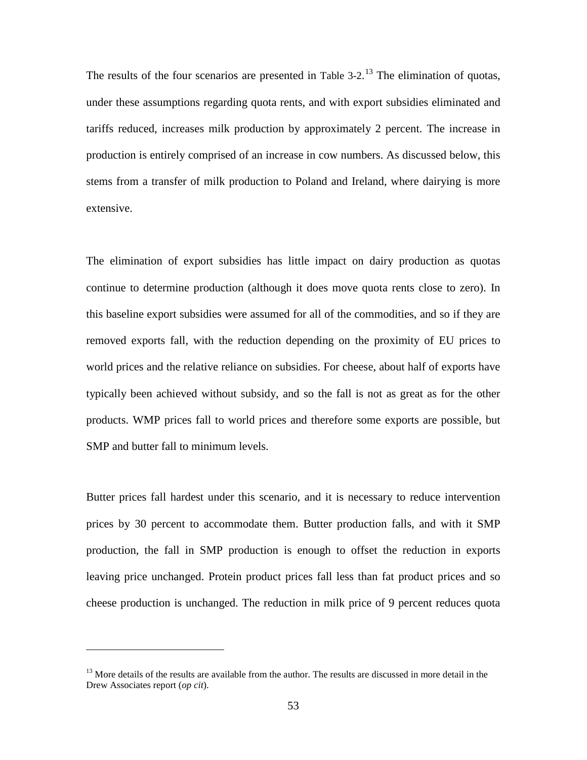The results of the four scenarios are presented in Table  $3-2$ .<sup>[13](#page-65-0)</sup> The elimination of quotas, under these assumptions regarding quota rents, and with export subsidies eliminated and tariffs reduced, increases milk production by approximately 2 percent. The increase in production is entirely comprised of an increase in cow numbers. As discussed below, this stems from a transfer of milk production to Poland and Ireland, where dairying is more extensive.

The elimination of export subsidies has little impact on dairy production as quotas continue to determine production (although it does move quota rents close to zero). In this baseline export subsidies were assumed for all of the commodities, and so if they are removed exports fall, with the reduction depending on the proximity of EU prices to world prices and the relative reliance on subsidies. For cheese, about half of exports have typically been achieved without subsidy, and so the fall is not as great as for the other products. WMP prices fall to world prices and therefore some exports are possible, but SMP and butter fall to minimum levels.

Butter prices fall hardest under this scenario, and it is necessary to reduce intervention prices by 30 percent to accommodate them. Butter production falls, and with it SMP production, the fall in SMP production is enough to offset the reduction in exports leaving price unchanged. Protein product prices fall less than fat product prices and so cheese production is unchanged. The reduction in milk price of 9 percent reduces quota

<span id="page-65-0"></span> $13$  More details of the results are available from the author. The results are discussed in more detail in the Drew Associates report (*op cit*).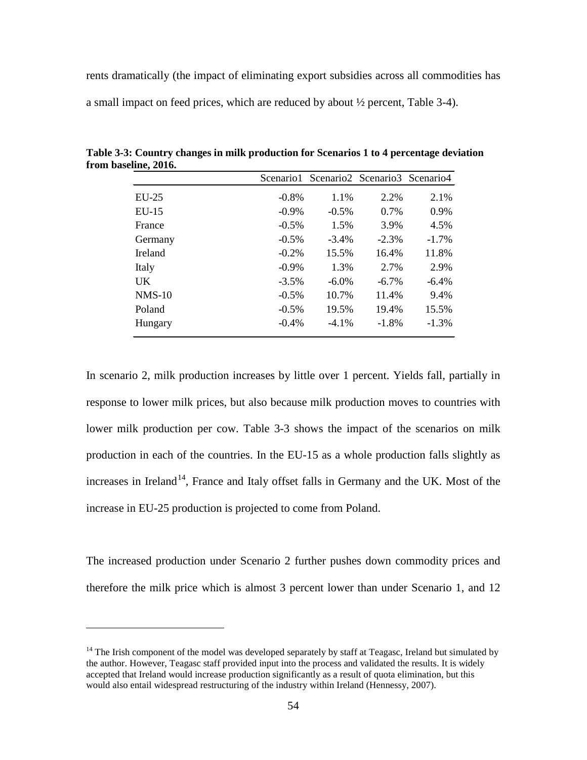rents dramatically (the impact of eliminating export subsidies across all commodities has a small impact on feed prices, which are reduced by about ½ percent, Table 3-4).

|          |          | Scenario1 Scenario2 Scenario3 Scenario4 |          |          |
|----------|----------|-----------------------------------------|----------|----------|
| $EU-25$  | $-0.8\%$ | 1.1%                                    | 2.2%     | 2.1%     |
| $EU-15$  | $-0.9\%$ | $-0.5\%$                                | $0.7\%$  | 0.9%     |
| France   | $-0.5\%$ | 1.5%                                    | 3.9%     | 4.5%     |
| Germany  | $-0.5\%$ | $-3.4\%$                                | $-2.3%$  | $-1.7\%$ |
| Ireland  | $-0.2%$  | 15.5%                                   | 16.4%    | 11.8%    |
| Italy    | $-0.9\%$ | 1.3%                                    | 2.7%     | 2.9%     |
| UK       | $-3.5\%$ | $-6.0\%$                                | $-6.7\%$ | $-6.4\%$ |
| $NMS-10$ | $-0.5\%$ | 10.7%                                   | 11.4%    | 9.4%     |
| Poland   | $-0.5\%$ | 19.5%                                   | 19.4%    | 15.5%    |
| Hungary  | $-0.4\%$ | $-4.1\%$                                | $-1.8%$  | $-1.3\%$ |

**Table 3-3: Country changes in milk production for Scenarios 1 to 4 percentage deviation from baseline, 2016.**

In scenario 2, milk production increases by little over 1 percent. Yields fall, partially in response to lower milk prices, but also because milk production moves to countries with lower milk production per cow. Table 3-3 shows the impact of the scenarios on milk production in each of the countries. In the EU-15 as a whole production falls slightly as increases in Ireland<sup>[14](#page-66-0)</sup>, France and Italy offset falls in Germany and the UK. Most of the increase in EU-25 production is projected to come from Poland.

The increased production under Scenario 2 further pushes down commodity prices and therefore the milk price which is almost 3 percent lower than under Scenario 1, and 12

<span id="page-66-0"></span> $14$  The Irish component of the model was developed separately by staff at Teagasc, Ireland but simulated by the author. However, Teagasc staff provided input into the process and validated the results. It is widely accepted that Ireland would increase production significantly as a result of quota elimination, but this would also entail widespread restructuring of the industry within Ireland (Hennessy, 2007).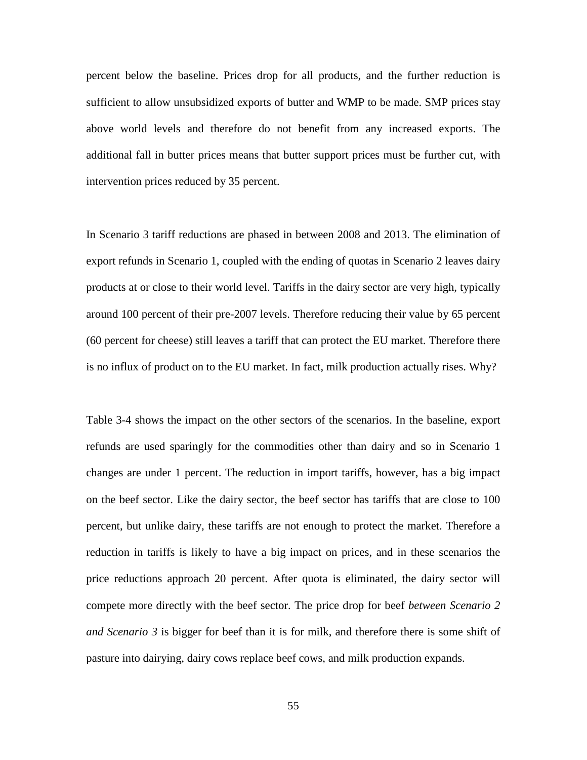percent below the baseline. Prices drop for all products, and the further reduction is sufficient to allow unsubsidized exports of butter and WMP to be made. SMP prices stay above world levels and therefore do not benefit from any increased exports. The additional fall in butter prices means that butter support prices must be further cut, with intervention prices reduced by 35 percent.

In Scenario 3 tariff reductions are phased in between 2008 and 2013. The elimination of export refunds in Scenario 1, coupled with the ending of quotas in Scenario 2 leaves dairy products at or close to their world level. Tariffs in the dairy sector are very high, typically around 100 percent of their pre-2007 levels. Therefore reducing their value by 65 percent (60 percent for cheese) still leaves a tariff that can protect the EU market. Therefore there is no influx of product on to the EU market. In fact, milk production actually rises. Why?

Table 3-4 shows the impact on the other sectors of the scenarios. In the baseline, export refunds are used sparingly for the commodities other than dairy and so in Scenario 1 changes are under 1 percent. The reduction in import tariffs, however, has a big impact on the beef sector. Like the dairy sector, the beef sector has tariffs that are close to 100 percent, but unlike dairy, these tariffs are not enough to protect the market. Therefore a reduction in tariffs is likely to have a big impact on prices, and in these scenarios the price reductions approach 20 percent. After quota is eliminated, the dairy sector will compete more directly with the beef sector. The price drop for beef *between Scenario 2 and Scenario 3* is bigger for beef than it is for milk, and therefore there is some shift of pasture into dairying, dairy cows replace beef cows, and milk production expands.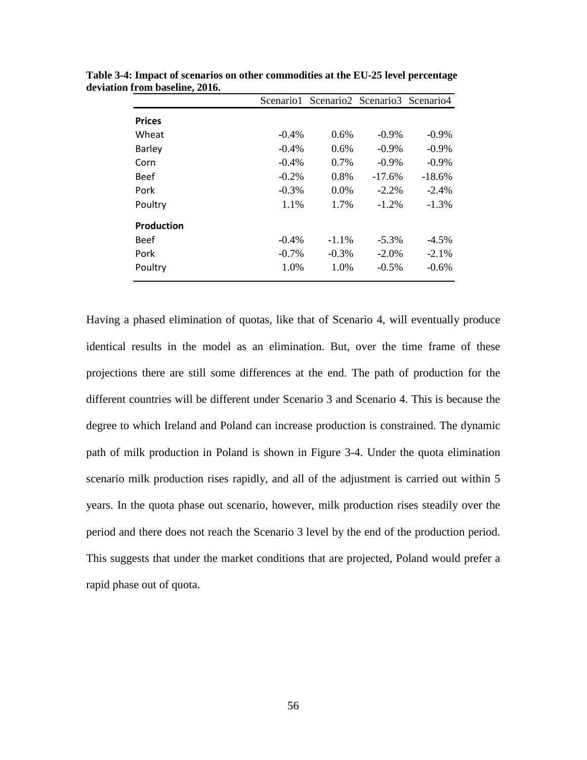|          |          |          | Scenario 1 Scenario 2 Scenario 3 Scenario 4 |
|----------|----------|----------|---------------------------------------------|
|          |          |          |                                             |
| $-0.4\%$ | $0.6\%$  | $-0.9\%$ | $-0.9\%$                                    |
| $-0.4\%$ | 0.6%     | $-0.9\%$ | $-0.9\%$                                    |
| $-0.4\%$ | $0.7\%$  | $-0.9\%$ | $-0.9\%$                                    |
| $-0.2\%$ | $0.8\%$  | $-17.6%$ | $-18.6%$                                    |
| $-0.3\%$ | $0.0\%$  | $-2.2\%$ | $-2.4%$                                     |
| 1.1%     | 1.7%     | $-1.2%$  | $-1.3\%$                                    |
|          |          |          |                                             |
| $-0.4\%$ | $-1.1\%$ | $-5.3\%$ | $-4.5\%$                                    |
| $-0.7\%$ | $-0.3\%$ | $-2.0\%$ | $-2.1\%$                                    |
| 1.0%     | 1.0%     | $-0.5\%$ | $-0.6%$                                     |
|          |          |          |                                             |

**Table 3-4: Impact of scenarios on other commodities at the EU-25 level percentage deviation from baseline, 2016.**

Having a phased elimination of quotas, like that of Scenario 4, will eventually produce identical results in the model as an elimination. But, over the time frame of these projections there are still some differences at the end. The path of production for the different countries will be different under Scenario 3 and Scenario 4. This is because the degree to which Ireland and Poland can increase production is constrained. The dynamic path of milk production in Poland is shown in [Figure 3-4.](#page-69-0) Under the quota elimination scenario milk production rises rapidly, and all of the adjustment is carried out within 5 years. In the quota phase out scenario, however, milk production rises steadily over the period and there does not reach the Scenario 3 level by the end of the production period. This suggests that under the market conditions that are projected, Poland would prefer a rapid phase out of quota.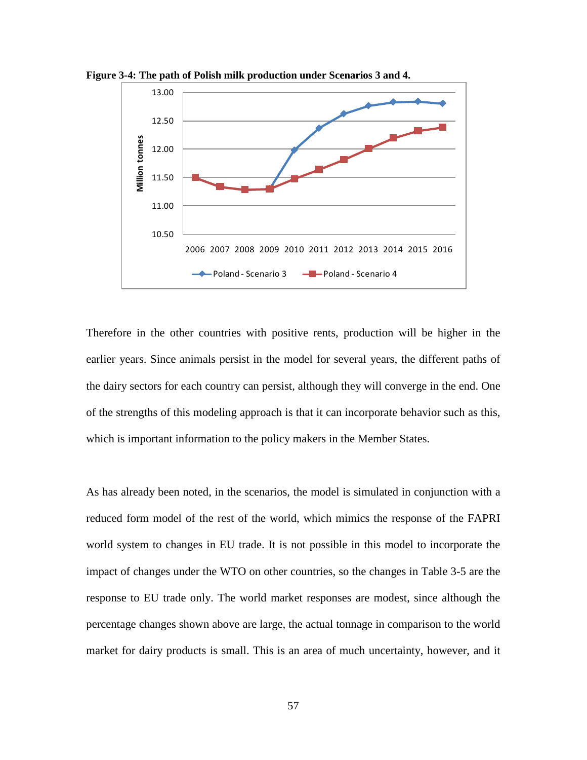

<span id="page-69-0"></span>**Figure 3-4: The path of Polish milk production under Scenarios 3 and 4.**

Therefore in the other countries with positive rents, production will be higher in the earlier years. Since animals persist in the model for several years, the different paths of the dairy sectors for each country can persist, although they will converge in the end. One of the strengths of this modeling approach is that it can incorporate behavior such as this, which is important information to the policy makers in the Member States.

As has already been noted, in the scenarios, the model is simulated in conjunction with a reduced form model of the rest of the world, which mimics the response of the FAPRI world system to changes in EU trade. It is not possible in this model to incorporate the impact of changes under the WTO on other countries, so the changes in Table 3-5 are the response to EU trade only. The world market responses are modest, since although the percentage changes shown above are large, the actual tonnage in comparison to the world market for dairy products is small. This is an area of much uncertainty, however, and it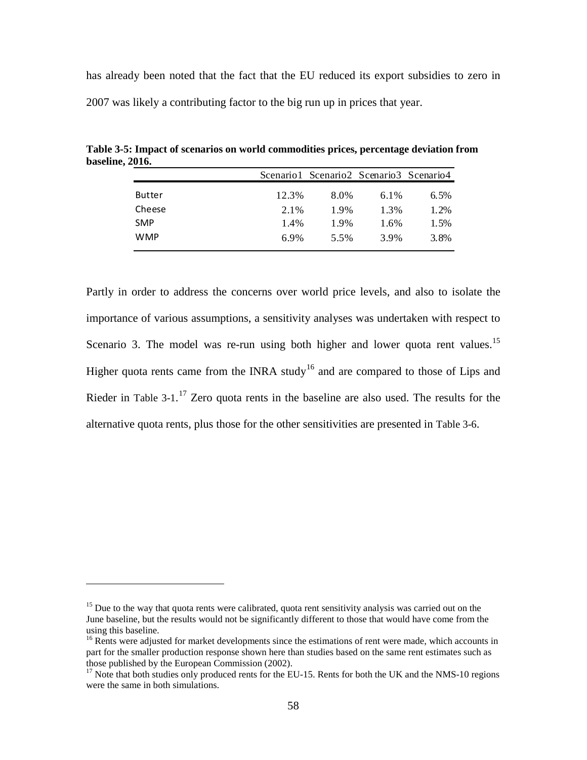has already been noted that the fact that the EU reduced its export subsidies to zero in 2007 was likely a contributing factor to the big run up in prices that year.

|               |       | Scenario 1 Scenario 2 Scenario 3 Scenario 4 |         |      |
|---------------|-------|---------------------------------------------|---------|------|
| <b>Butter</b> | 12.3% | 8.0%                                        | $6.1\%$ | 6.5% |
| Cheese        | 2.1%  | 1.9%                                        | 1.3%    | 1.2% |
| <b>SMP</b>    | 1.4%  | 1.9%                                        | 1.6%    | 1.5% |
| <b>WMP</b>    | 6.9%  | 5.5%                                        | 3.9%    | 3.8% |
|               |       |                                             |         |      |

**Table 3-5: Impact of scenarios on world commodities prices, percentage deviation from baseline, 2016.**

Partly in order to address the concerns over world price levels, and also to isolate the importance of various assumptions, a sensitivity analyses was undertaken with respect to Scenario 3. The model was re-run using both higher and lower quota rent values.<sup>[15](#page-70-0)</sup> Higher quota rents came from the INRA study<sup>[16](#page-70-1)</sup> and are compared to those of Lips and Rieder in Table 3-1.<sup>[17](#page-70-2)</sup> Zero quota rents in the baseline are also used. The results for the alternative quota rents, plus those for the other sensitivities are presented in [Table 3-6](#page-71-0).

<span id="page-70-0"></span> $15$  Due to the way that quota rents were calibrated, quota rent sensitivity analysis was carried out on the June baseline, but the results would not be significantly different to those that would have come from the using this baseline.

<span id="page-70-1"></span><sup>&</sup>lt;sup>16</sup> Rents were adjusted for market developments since the estimations of rent were made, which accounts in part for the smaller production response shown here than studies based on the same rent estimates such as those published by the European Commission (2002).

<span id="page-70-2"></span><sup>&</sup>lt;sup>17</sup> Note that both studies only produced rents for the EU-15. Rents for both the UK and the NMS-10 regions were the same in both simulations.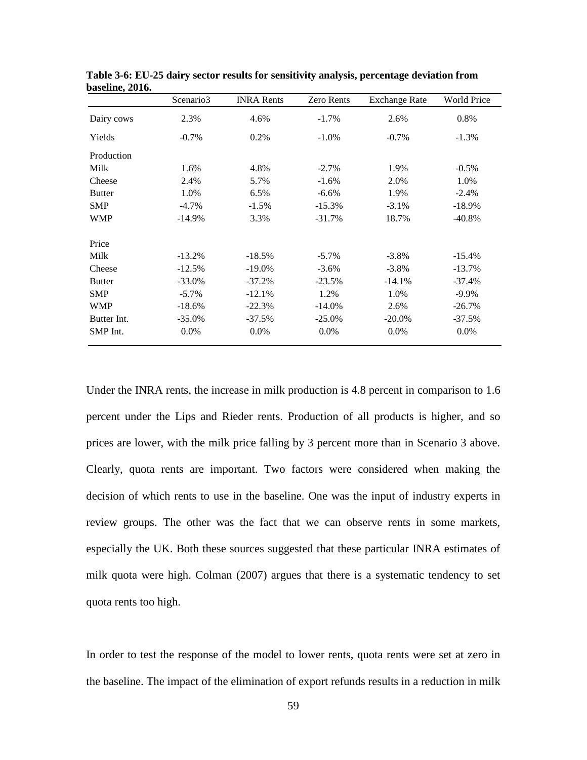|               | Scenario3 | <b>INRA Rents</b> | <b>Zero Rents</b> | <b>Exchange Rate</b> | World Price |
|---------------|-----------|-------------------|-------------------|----------------------|-------------|
| Dairy cows    | 2.3%      | 4.6%              | $-1.7%$           | 2.6%                 | 0.8%        |
| Yields        | $-0.7\%$  | 0.2%              | $-1.0\%$          | $-0.7%$              | $-1.3%$     |
| Production    |           |                   |                   |                      |             |
| Milk          | 1.6%      | 4.8%              | $-2.7\%$          | 1.9%                 | $-0.5\%$    |
| Cheese        | 2.4%      | 5.7%              | $-1.6%$           | 2.0%                 | 1.0%        |
| <b>Butter</b> | 1.0%      | 6.5%              | $-6.6%$           | 1.9%                 | $-2.4%$     |
| <b>SMP</b>    | $-4.7\%$  | $-1.5%$           | $-15.3%$          | $-3.1%$              | $-18.9\%$   |
| <b>WMP</b>    | $-14.9%$  | 3.3%              | $-31.7%$          | 18.7%                | $-40.8\%$   |
| Price         |           |                   |                   |                      |             |
| Milk          | $-13.2\%$ | $-18.5%$          | $-5.7\%$          | $-3.8\%$             | $-15.4%$    |
| Cheese        | $-12.5%$  | $-19.0\%$         | $-3.6\%$          | $-3.8\%$             | $-13.7%$    |
| <b>Butter</b> | $-33.0\%$ | $-37.2%$          | $-23.5%$          | $-14.1%$             | $-37.4%$    |
| <b>SMP</b>    | $-5.7\%$  | $-12.1%$          | 1.2%              | 1.0%                 | $-9.9\%$    |
| <b>WMP</b>    | $-18.6%$  | $-22.3%$          | $-14.0\%$         | 2.6%                 | $-26.7\%$   |
| Butter Int.   | $-35.0%$  | $-37.5%$          | $-25.0\%$         | $-20.0\%$            | $-37.5%$    |
| SMP Int.      | 0.0%      | $0.0\%$           | 0.0%              | 0.0%                 | 0.0%        |

<span id="page-71-0"></span>**Table 3-6: EU-25 dairy sector results for sensitivity analysis, percentage deviation from baseline, 2016.**

Under the INRA rents, the increase in milk production is 4.8 percent in comparison to 1.6 percent under the Lips and Rieder rents. Production of all products is higher, and so prices are lower, with the milk price falling by 3 percent more than in Scenario 3 above. Clearly, quota rents are important. Two factors were considered when making the decision of which rents to use in the baseline. One was the input of industry experts in review groups. The other was the fact that we can observe rents in some markets, especially the UK. Both these sources suggested that these particular INRA estimates of milk quota were high. Colman (2007) argues that there is a systematic tendency to set quota rents too high.

In order to test the response of the model to lower rents, quota rents were set at zero in the baseline. The impact of the elimination of export refunds results in a reduction in milk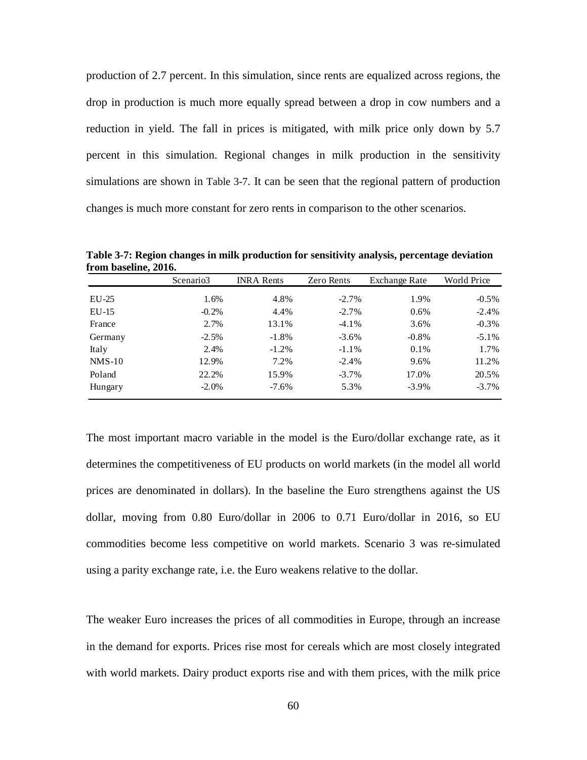production of 2.7 percent. In this simulation, since rents are equalized across regions, the drop in production is much more equally spread between a drop in cow numbers and a reduction in yield. The fall in prices is mitigated, with milk price only down by 5.7 percent in this simulation. Regional changes in milk production in the sensitivity simulations are shown in Table 3-7. It can be seen that the regional pattern of production changes is much more constant for zero rents in comparison to the other scenarios.

|          | Scenario3 | <b>INRA Rents</b> | Zero Rents | Exchange Rate | World Price |
|----------|-----------|-------------------|------------|---------------|-------------|
| $EU-25$  | 1.6%      | 4.8%              | $-2.7%$    | 1.9%          | $-0.5\%$    |
| $EU-15$  | $-0.2\%$  | 4.4%              | $-2.7%$    | 0.6%          | $-2.4\%$    |
| France   | 2.7%      | 13.1%             | $-4.1\%$   | 3.6%          | $-0.3\%$    |
| Germany  | $-2.5%$   | $-1.8%$           | $-3.6\%$   | $-0.8\%$      | $-5.1\%$    |
| Italy    | 2.4%      | $-1.2\%$          | $-1.1\%$   | 0.1%          | 1.7%        |
| $NMS-10$ | 12.9%     | 7.2%              | $-2.4%$    | 9.6%          | 11.2%       |
| Poland   | 22.2%     | 15.9%             | $-3.7\%$   | 17.0%         | 20.5%       |
| Hungary  | $-2.0\%$  | $-7.6\%$          | 5.3%       | $-3.9\%$      | $-3.7\%$    |

**Table 3-7: Region changes in milk production for sensitivity analysis, percentage deviation from baseline, 2016.**

The most important macro variable in the model is the Euro/dollar exchange rate, as it determines the competitiveness of EU products on world markets (in the model all world prices are denominated in dollars). In the baseline the Euro strengthens against the US dollar, moving from 0.80 Euro/dollar in 2006 to 0.71 Euro/dollar in 2016, so EU commodities become less competitive on world markets. Scenario 3 was re-simulated using a parity exchange rate, i.e. the Euro weakens relative to the dollar.

The weaker Euro increases the prices of all commodities in Europe, through an increase in the demand for exports. Prices rise most for cereals which are most closely integrated with world markets. Dairy product exports rise and with them prices, with the milk price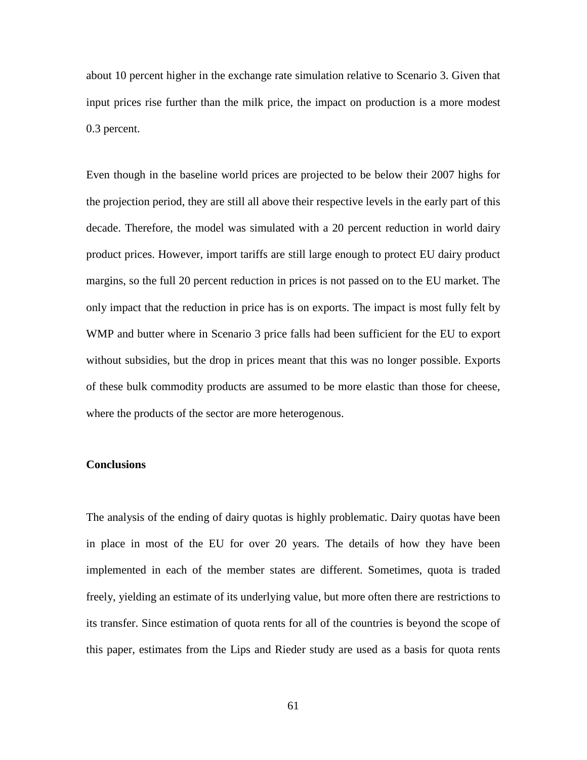about 10 percent higher in the exchange rate simulation relative to Scenario 3. Given that input prices rise further than the milk price, the impact on production is a more modest 0.3 percent.

Even though in the baseline world prices are projected to be below their 2007 highs for the projection period, they are still all above their respective levels in the early part of this decade. Therefore, the model was simulated with a 20 percent reduction in world dairy product prices. However, import tariffs are still large enough to protect EU dairy product margins, so the full 20 percent reduction in prices is not passed on to the EU market. The only impact that the reduction in price has is on exports. The impact is most fully felt by WMP and butter where in Scenario 3 price falls had been sufficient for the EU to export without subsidies, but the drop in prices meant that this was no longer possible. Exports of these bulk commodity products are assumed to be more elastic than those for cheese, where the products of the sector are more heterogenous.

## **Conclusions**

The analysis of the ending of dairy quotas is highly problematic. Dairy quotas have been in place in most of the EU for over 20 years. The details of how they have been implemented in each of the member states are different. Sometimes, quota is traded freely, yielding an estimate of its underlying value, but more often there are restrictions to its transfer. Since estimation of quota rents for all of the countries is beyond the scope of this paper, estimates from the Lips and Rieder study are used as a basis for quota rents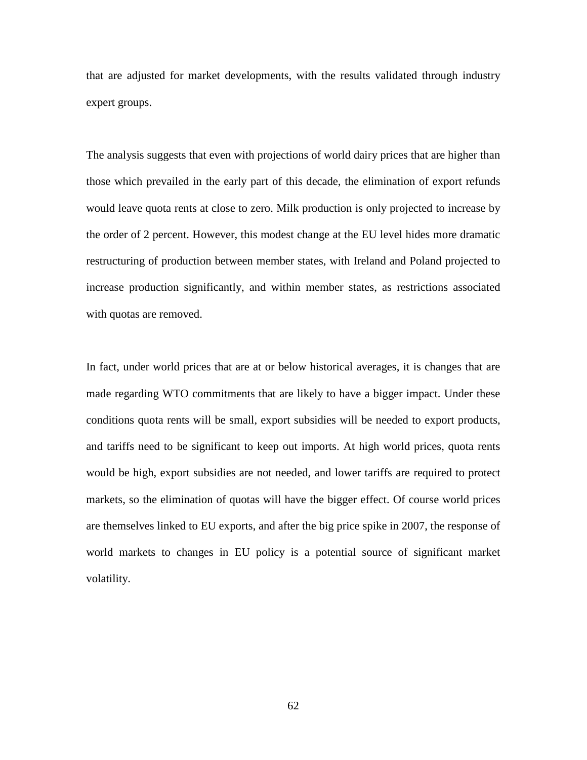that are adjusted for market developments, with the results validated through industry expert groups.

The analysis suggests that even with projections of world dairy prices that are higher than those which prevailed in the early part of this decade, the elimination of export refunds would leave quota rents at close to zero. Milk production is only projected to increase by the order of 2 percent. However, this modest change at the EU level hides more dramatic restructuring of production between member states, with Ireland and Poland projected to increase production significantly, and within member states, as restrictions associated with quotas are removed.

In fact, under world prices that are at or below historical averages, it is changes that are made regarding WTO commitments that are likely to have a bigger impact. Under these conditions quota rents will be small, export subsidies will be needed to export products, and tariffs need to be significant to keep out imports. At high world prices, quota rents would be high, export subsidies are not needed, and lower tariffs are required to protect markets, so the elimination of quotas will have the bigger effect. Of course world prices are themselves linked to EU exports, and after the big price spike in 2007, the response of world markets to changes in EU policy is a potential source of significant market volatility.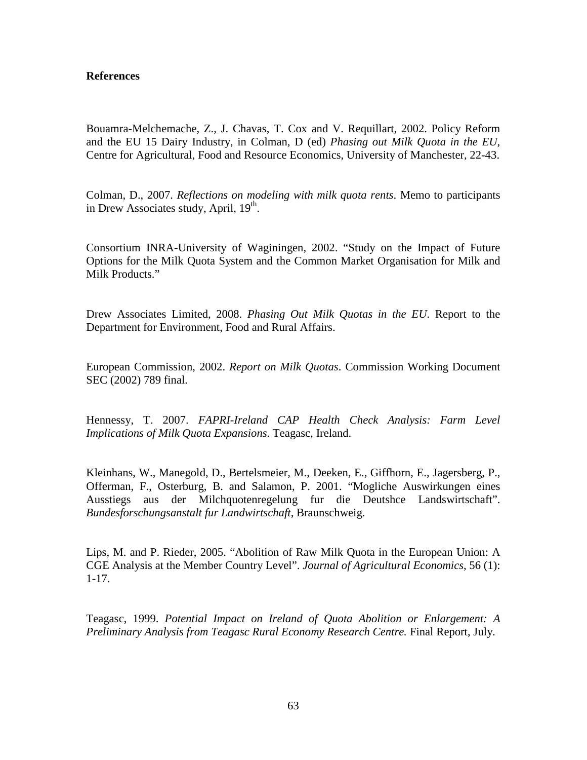### **References**

Bouamra-Melchemache, Z., J. Chavas, T. Cox and V. Requillart, 2002. Policy Reform and the EU 15 Dairy Industry, in Colman, D (ed) *Phasing out Milk Quota in the EU*, Centre for Agricultural, Food and Resource Economics, University of Manchester, 22-43.

Colman, D., 2007. *Reflections on modeling with milk quota rents*. Memo to participants in Drew Associates study, April,  $19<sup>th</sup>$ .

Consortium INRA-University of Waginingen, 2002. "Study on the Impact of Future Options for the Milk Quota System and the Common Market Organisation for Milk and Milk Products."

Drew Associates Limited, 2008. *Phasing Out Milk Quotas in the EU*. Report to the Department for Environment, Food and Rural Affairs.

European Commission, 2002. *Report on Milk Quotas*. Commission Working Document SEC (2002) 789 final.

Hennessy, T. 2007. *FAPRI-Ireland CAP Health Check Analysis: Farm Level Implications of Milk Quota Expansions*. Teagasc, Ireland.

Kleinhans, W., Manegold, D., Bertelsmeier, M., Deeken, E., Giffhorn, E., Jagersberg, P., Offerman, F., Osterburg, B. and Salamon, P. 2001. "Mogliche Auswirkungen eines Ausstiegs aus der Milchquotenregelung fur die Deutshce Landswirtschaft". *Bundesforschungsanstalt fur Landwirtschaft*, Braunschweig.

Lips, M. and P. Rieder, 2005. "Abolition of Raw Milk Quota in the European Union: A CGE Analysis at the Member Country Level". *Journal of Agricultural Economics*, 56 (1): 1-17.

Teagasc, 1999. *Potential Impact on Ireland of Quota Abolition or Enlargement: A Preliminary Analysis from Teagasc Rural Economy Research Centre.* Final Report, July.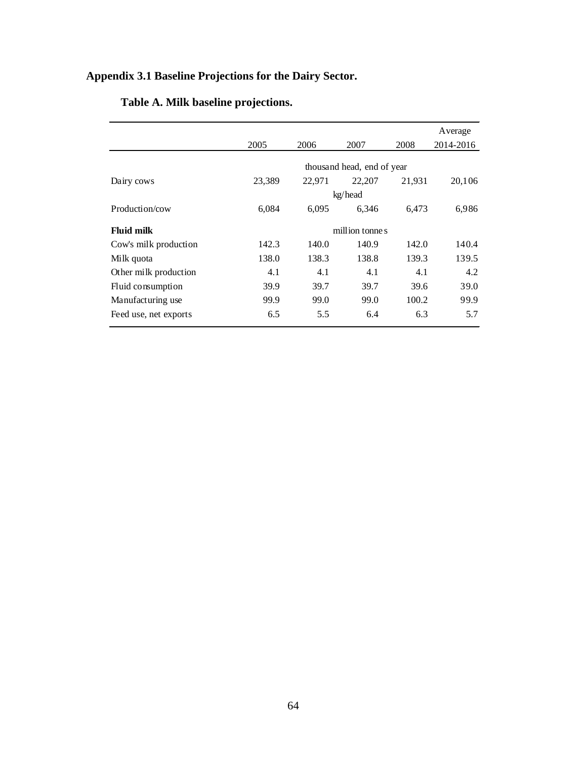# **Appendix 3.1 Baseline Projections for the Dairy Sector.**

|                       |                            |        |                |        | Average   |  |
|-----------------------|----------------------------|--------|----------------|--------|-----------|--|
|                       | 2005                       | 2006   | 2007           | 2008   | 2014-2016 |  |
|                       | thousand head, end of year |        |                |        |           |  |
| Dairy cows            | 23,389                     | 22,971 | 22,207         | 21,931 | 20,106    |  |
|                       |                            |        | kg/head        |        |           |  |
| Production/cow        | 6,084                      | 6,095  | 6.346          | 6.473  | 6,986     |  |
| <b>Fluid milk</b>     |                            |        | million tonnes |        |           |  |
| Cow's milk production | 142.3                      | 140.0  | 140.9          | 142.0  | 140.4     |  |
| Milk quota            | 138.0                      | 138.3  | 138.8          | 139.3  | 139.5     |  |
| Other milk production | 4.1                        | 4.1    | 4.1            | 4.1    | 4.2       |  |
| Fluid consumption     | 39.9                       | 39.7   | 39.7           | 39.6   | 39.0      |  |
| Manufacturing use     | 99.9                       | 99.0   | 99.0           | 100.2  | 99.9      |  |
| Feed use, net exports | 6.5                        | 5.5    | 6.4            | 6.3    | 5.7       |  |

# **Table A. Milk baseline projections.**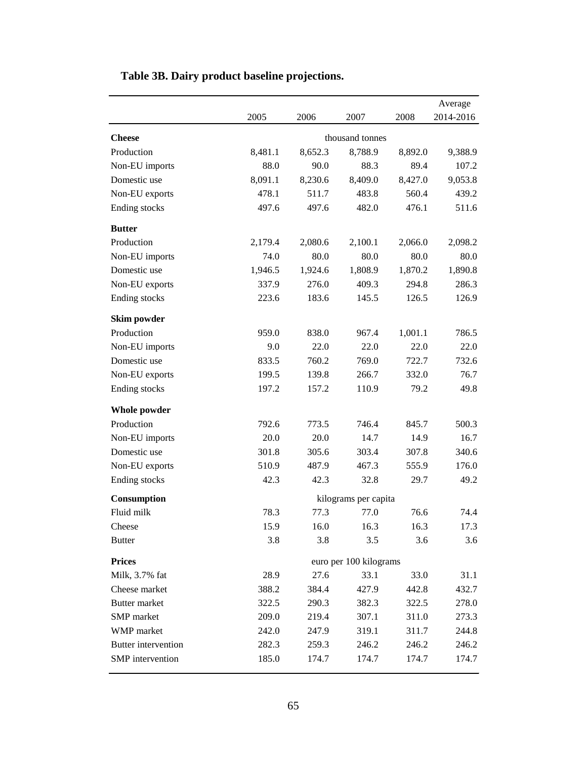|                      |                        |         |                      |         | Average   |  |
|----------------------|------------------------|---------|----------------------|---------|-----------|--|
|                      | 2005                   | 2006    | 2007                 | 2008    | 2014-2016 |  |
| <b>Cheese</b>        |                        |         |                      |         |           |  |
| Production           | 8,481.1                | 8,652.3 | 8,788.9              | 8,892.0 | 9,388.9   |  |
| Non-EU imports       | 88.0                   | 90.0    | 88.3                 | 89.4    | 107.2     |  |
| Domestic use         | 8,091.1                | 8,230.6 | 8,409.0              | 8,427.0 | 9,053.8   |  |
| Non-EU exports       | 478.1                  | 511.7   | 483.8                | 560.4   | 439.2     |  |
| Ending stocks        | 497.6                  | 497.6   | 482.0                | 476.1   | 511.6     |  |
| <b>Butter</b>        |                        |         |                      |         |           |  |
| Production           | 2,179.4                | 2,080.6 | 2,100.1              | 2,066.0 | 2,098.2   |  |
| Non-EU imports       | 74.0                   | 80.0    | 80.0                 | 80.0    | 80.0      |  |
| Domestic use         | 1,946.5                | 1,924.6 | 1,808.9              | 1,870.2 | 1,890.8   |  |
| Non-EU exports       | 337.9                  | 276.0   | 409.3                | 294.8   | 286.3     |  |
| Ending stocks        | 223.6                  | 183.6   | 145.5                | 126.5   | 126.9     |  |
| Skim powder          |                        |         |                      |         |           |  |
| Production           | 959.0                  | 838.0   | 967.4                | 1,001.1 | 786.5     |  |
| Non-EU imports       | 9.0                    | 22.0    | 22.0                 | 22.0    | 22.0      |  |
| Domestic use         | 833.5                  | 760.2   | 769.0                | 722.7   | 732.6     |  |
| Non-EU exports       | 199.5                  | 139.8   | 266.7                | 332.0   | 76.7      |  |
| Ending stocks        | 197.2                  | 157.2   | 110.9                | 79.2    | 49.8      |  |
| <b>Whole powder</b>  |                        |         |                      |         |           |  |
| Production           | 792.6                  | 773.5   | 746.4                | 845.7   | 500.3     |  |
| Non-EU imports       | 20.0                   | 20.0    | 14.7                 | 14.9    | 16.7      |  |
| Domestic use         | 301.8                  | 305.6   | 303.4                | 307.8   | 340.6     |  |
| Non-EU exports       | 510.9                  | 487.9   | 467.3                | 555.9   | 176.0     |  |
| Ending stocks        | 42.3                   | 42.3    | 32.8                 | 29.7    | 49.2      |  |
| Consumption          |                        |         | kilograms per capita |         |           |  |
| Fluid milk           | 78.3                   | 77.3    | 77.0                 | 76.6    | 74.4      |  |
| Cheese               | 15.9                   | 16.0    | 16.3                 | 16.3    | 17.3      |  |
| <b>Butter</b>        | 3.8                    | 3.8     | 3.5                  | 3.6     | 3.6       |  |
| <b>Prices</b>        | euro per 100 kilograms |         |                      |         |           |  |
| Milk, 3.7% fat       | 28.9                   | 27.6    | 33.1                 | 33.0    | 31.1      |  |
| Cheese market        | 388.2                  | 384.4   | 427.9                | 442.8   | 432.7     |  |
| <b>Butter market</b> | 322.5                  | 290.3   | 382.3                | 322.5   | 278.0     |  |
| SMP market           | 209.0                  | 219.4   | 307.1                | 311.0   | 273.3     |  |
| WMP market           | 242.0                  | 247.9   | 319.1                | 311.7   | 244.8     |  |
| Butter intervention  | 282.3                  | 259.3   | 246.2                | 246.2   | 246.2     |  |
| SMP intervention     | 185.0                  | 174.7   | 174.7                | 174.7   | 174.7     |  |

# **Table 3B. Dairy product baseline projections.**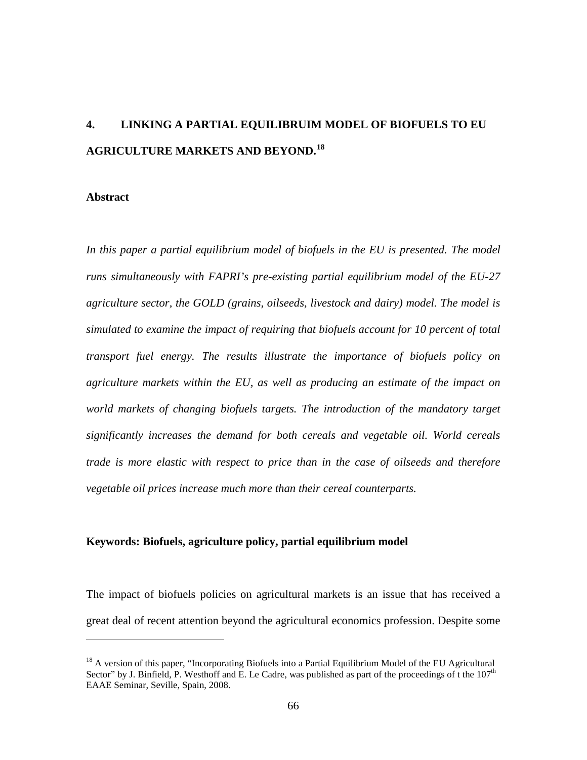# **4. LINKING A PARTIAL EQUILIBRUIM MODEL OF BIOFUELS TO EU AGRICULTURE MARKETS AND BEYOND. [18](#page-78-0)**

#### **Abstract**

 $\overline{a}$ 

*In this paper a partial equilibrium model of biofuels in the EU is presented. The model runs simultaneously with FAPRI's pre-existing partial equilibrium model of the EU-27 agriculture sector, the GOLD (grains, oilseeds, livestock and dairy) model. The model is simulated to examine the impact of requiring that biofuels account for 10 percent of total transport fuel energy. The results illustrate the importance of biofuels policy on agriculture markets within the EU, as well as producing an estimate of the impact on*  world markets of changing biofuels targets. The introduction of the mandatory target *significantly increases the demand for both cereals and vegetable oil. World cereals trade is more elastic with respect to price than in the case of oilseeds and therefore vegetable oil prices increase much more than their cereal counterparts.*

#### **Keywords: Biofuels, agriculture policy, partial equilibrium model**

The impact of biofuels policies on agricultural markets is an issue that has received a great deal of recent attention beyond the agricultural economics profession. Despite some

<span id="page-78-0"></span><sup>&</sup>lt;sup>18</sup> A version of this paper, "Incorporating Biofuels into a Partial Equilibrium Model of the EU Agricultural Sector" by J. Binfield, P. Westhoff and E. Le Cadre, was published as part of the proceedings of t the  $107<sup>th</sup>$ EAAE Seminar, Seville, Spain, 2008.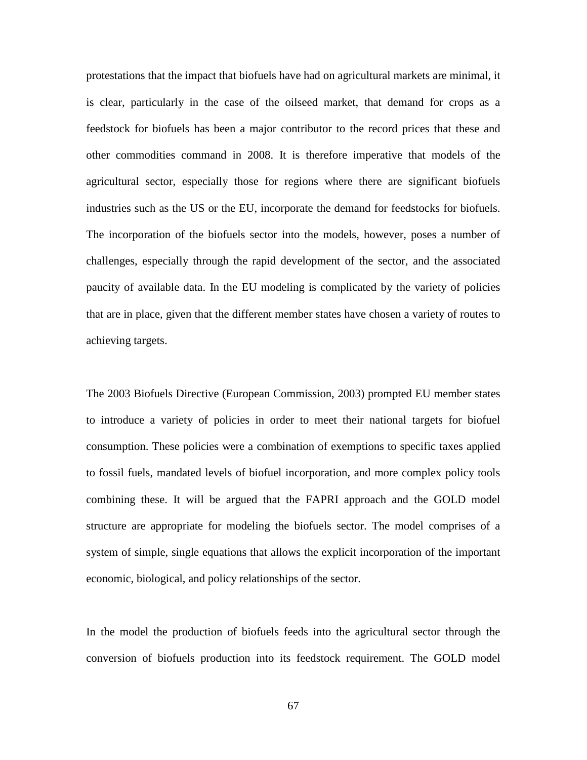protestations that the impact that biofuels have had on agricultural markets are minimal, it is clear, particularly in the case of the oilseed market, that demand for crops as a feedstock for biofuels has been a major contributor to the record prices that these and other commodities command in 2008. It is therefore imperative that models of the agricultural sector, especially those for regions where there are significant biofuels industries such as the US or the EU, incorporate the demand for feedstocks for biofuels. The incorporation of the biofuels sector into the models, however, poses a number of challenges, especially through the rapid development of the sector, and the associated paucity of available data. In the EU modeling is complicated by the variety of policies that are in place, given that the different member states have chosen a variety of routes to achieving targets.

The 2003 Biofuels Directive (European Commission, 2003) prompted EU member states to introduce a variety of policies in order to meet their national targets for biofuel consumption. These policies were a combination of exemptions to specific taxes applied to fossil fuels, mandated levels of biofuel incorporation, and more complex policy tools combining these. It will be argued that the FAPRI approach and the GOLD model structure are appropriate for modeling the biofuels sector. The model comprises of a system of simple, single equations that allows the explicit incorporation of the important economic, biological, and policy relationships of the sector.

In the model the production of biofuels feeds into the agricultural sector through the conversion of biofuels production into its feedstock requirement. The GOLD model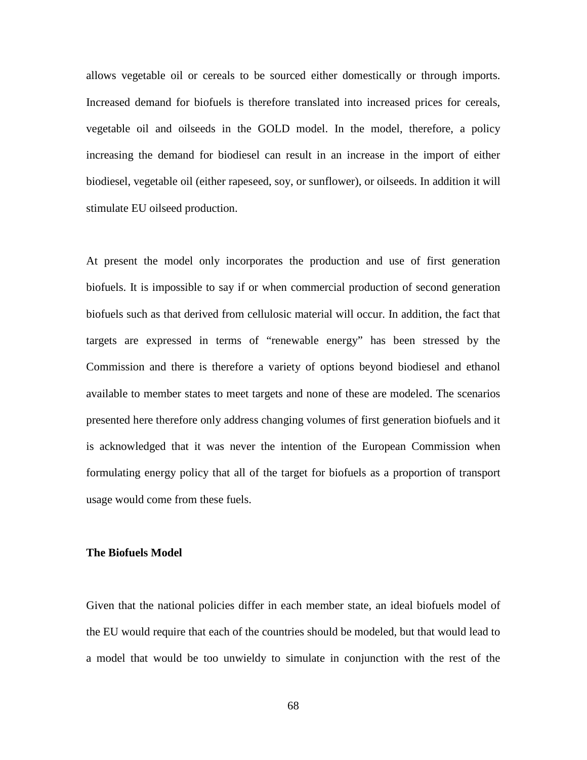allows vegetable oil or cereals to be sourced either domestically or through imports. Increased demand for biofuels is therefore translated into increased prices for cereals, vegetable oil and oilseeds in the GOLD model. In the model, therefore, a policy increasing the demand for biodiesel can result in an increase in the import of either biodiesel, vegetable oil (either rapeseed, soy, or sunflower), or oilseeds. In addition it will stimulate EU oilseed production.

At present the model only incorporates the production and use of first generation biofuels. It is impossible to say if or when commercial production of second generation biofuels such as that derived from cellulosic material will occur. In addition, the fact that targets are expressed in terms of "renewable energy" has been stressed by the Commission and there is therefore a variety of options beyond biodiesel and ethanol available to member states to meet targets and none of these are modeled. The scenarios presented here therefore only address changing volumes of first generation biofuels and it is acknowledged that it was never the intention of the European Commission when formulating energy policy that all of the target for biofuels as a proportion of transport usage would come from these fuels.

#### **The Biofuels Model**

Given that the national policies differ in each member state, an ideal biofuels model of the EU would require that each of the countries should be modeled, but that would lead to a model that would be too unwieldy to simulate in conjunction with the rest of the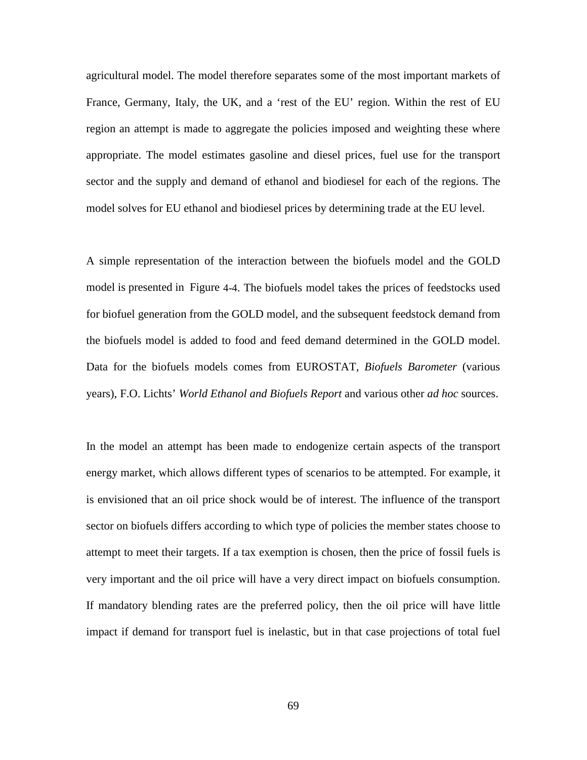agricultural model. The model therefore separates some of the most important markets of France, Germany, Italy, the UK, and a 'rest of the EU' region. Within the rest of EU region an attempt is made to aggregate the policies imposed and weighting these where appropriate. The model estimates gasoline and diesel prices, fuel use for the transport sector and the supply and demand of ethanol and biodiesel for each of the regions. The model solves for EU ethanol and biodiesel prices by determining trade at the EU level.

A simple representation of the interaction between the biofuels model and the GOLD model is presented in [Figure 4-4.](#page-95-0) The biofuels model takes the prices of feedstocks used for biofuel generation from the GOLD model, and the subsequent feedstock demand from the biofuels model is added to food and feed demand determined in the GOLD model. Data for the biofuels models comes from EUROSTAT, *Biofuels Barometer* (various years), F.O. Lichts' *World Ethanol and Biofuels Report* and various other *ad hoc* sources.

In the model an attempt has been made to endogenize certain aspects of the transport energy market, which allows different types of scenarios to be attempted. For example, it is envisioned that an oil price shock would be of interest. The influence of the transport sector on biofuels differs according to which type of policies the member states choose to attempt to meet their targets. If a tax exemption is chosen, then the price of fossil fuels is very important and the oil price will have a very direct impact on biofuels consumption. If mandatory blending rates are the preferred policy, then the oil price will have little impact if demand for transport fuel is inelastic, but in that case projections of total fuel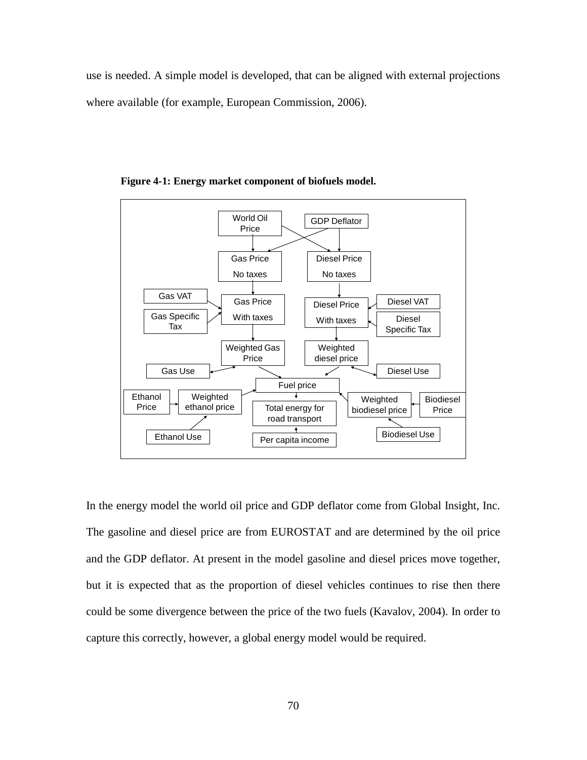use is needed. A simple model is developed, that can be aligned with external projections where available (for example, European Commission, 2006).



**Figure 4-1: Energy market component of biofuels model.**

In the energy model the world oil price and GDP deflator come from Global Insight, Inc. The gasoline and diesel price are from EUROSTAT and are determined by the oil price and the GDP deflator. At present in the model gasoline and diesel prices move together, but it is expected that as the proportion of diesel vehicles continues to rise then there could be some divergence between the price of the two fuels (Kavalov, 2004). In order to capture this correctly, however, a global energy model would be required.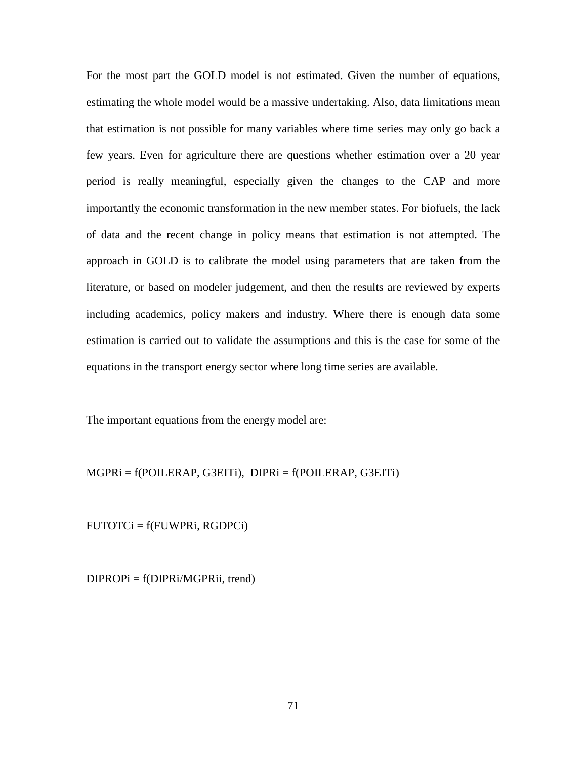For the most part the GOLD model is not estimated. Given the number of equations, estimating the whole model would be a massive undertaking. Also, data limitations mean that estimation is not possible for many variables where time series may only go back a few years. Even for agriculture there are questions whether estimation over a 20 year period is really meaningful, especially given the changes to the CAP and more importantly the economic transformation in the new member states. For biofuels, the lack of data and the recent change in policy means that estimation is not attempted. The approach in GOLD is to calibrate the model using parameters that are taken from the literature, or based on modeler judgement, and then the results are reviewed by experts including academics, policy makers and industry. Where there is enough data some estimation is carried out to validate the assumptions and this is the case for some of the equations in the transport energy sector where long time series are available.

The important equations from the energy model are:

 $MGPRi = f(POLERAP, G3EITi)$ ,  $DIPRi = f(POLERAP, G3EITi)$ 

FUTOTCi = f(FUWPRi, RGDPCi)

DIPROPi = f(DIPRi/MGPRii, trend)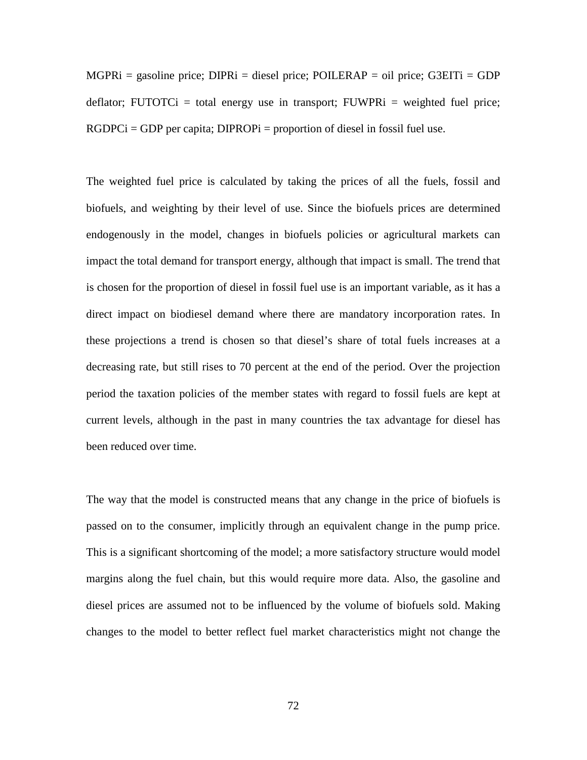$MGPRi = gasoline price$ ;  $DIPRi = diesel price$ ;  $POILERAP = oil price$ ;  $G3EITi = GDP$ deflator; FUTOTCi = total energy use in transport; FUWPRi = weighted fuel price;  $RGDPCi = GDP$  per capita;  $DIPROPi =$  proportion of diesel in fossil fuel use.

The weighted fuel price is calculated by taking the prices of all the fuels, fossil and biofuels, and weighting by their level of use. Since the biofuels prices are determined endogenously in the model, changes in biofuels policies or agricultural markets can impact the total demand for transport energy, although that impact is small. The trend that is chosen for the proportion of diesel in fossil fuel use is an important variable, as it has a direct impact on biodiesel demand where there are mandatory incorporation rates. In these projections a trend is chosen so that diesel's share of total fuels increases at a decreasing rate, but still rises to 70 percent at the end of the period. Over the projection period the taxation policies of the member states with regard to fossil fuels are kept at current levels, although in the past in many countries the tax advantage for diesel has been reduced over time.

The way that the model is constructed means that any change in the price of biofuels is passed on to the consumer, implicitly through an equivalent change in the pump price. This is a significant shortcoming of the model; a more satisfactory structure would model margins along the fuel chain, but this would require more data. Also, the gasoline and diesel prices are assumed not to be influenced by the volume of biofuels sold. Making changes to the model to better reflect fuel market characteristics might not change the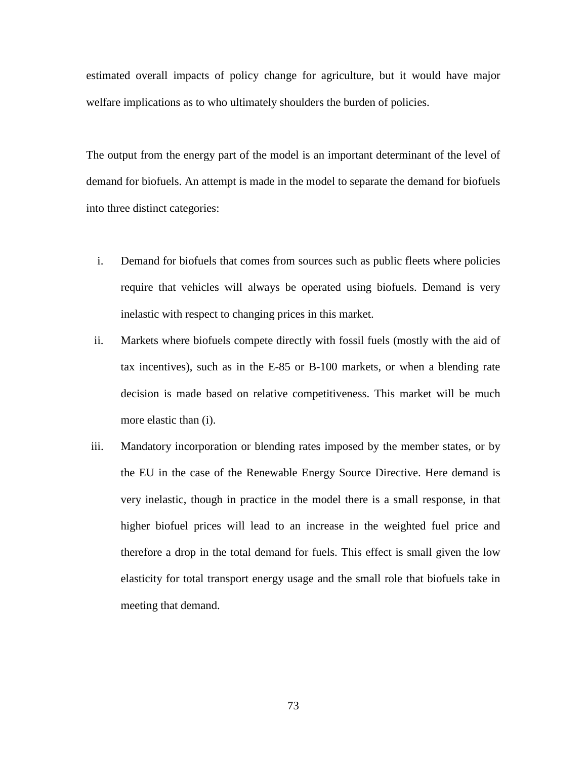estimated overall impacts of policy change for agriculture, but it would have major welfare implications as to who ultimately shoulders the burden of policies.

The output from the energy part of the model is an important determinant of the level of demand for biofuels. An attempt is made in the model to separate the demand for biofuels into three distinct categories:

- i. Demand for biofuels that comes from sources such as public fleets where policies require that vehicles will always be operated using biofuels. Demand is very inelastic with respect to changing prices in this market.
- ii. Markets where biofuels compete directly with fossil fuels (mostly with the aid of tax incentives), such as in the E-85 or B-100 markets, or when a blending rate decision is made based on relative competitiveness. This market will be much more elastic than (i).
- iii. Mandatory incorporation or blending rates imposed by the member states, or by the EU in the case of the Renewable Energy Source Directive. Here demand is very inelastic, though in practice in the model there is a small response, in that higher biofuel prices will lead to an increase in the weighted fuel price and therefore a drop in the total demand for fuels. This effect is small given the low elasticity for total transport energy usage and the small role that biofuels take in meeting that demand.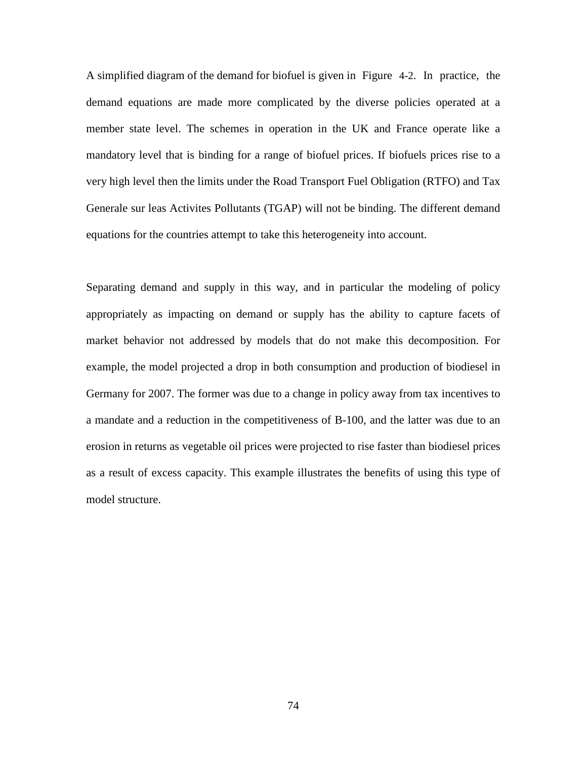A simplified diagram of the demand for biofuel is given in [Figure 4-2.](#page-87-0) In practice, the demand equations are made more complicated by the diverse policies operated at a member state level. The schemes in operation in the UK and France operate like a mandatory level that is binding for a range of biofuel prices. If biofuels prices rise to a very high level then the limits under the Road Transport Fuel Obligation (RTFO) and Tax Generale sur leas Activites Pollutants (TGAP) will not be binding. The different demand equations for the countries attempt to take this heterogeneity into account.

Separating demand and supply in this way, and in particular the modeling of policy appropriately as impacting on demand or supply has the ability to capture facets of market behavior not addressed by models that do not make this decomposition. For example, the model projected a drop in both consumption and production of biodiesel in Germany for 2007. The former was due to a change in policy away from tax incentives to a mandate and a reduction in the competitiveness of B-100, and the latter was due to an erosion in returns as vegetable oil prices were projected to rise faster than biodiesel prices as a result of excess capacity. This example illustrates the benefits of using this type of model structure.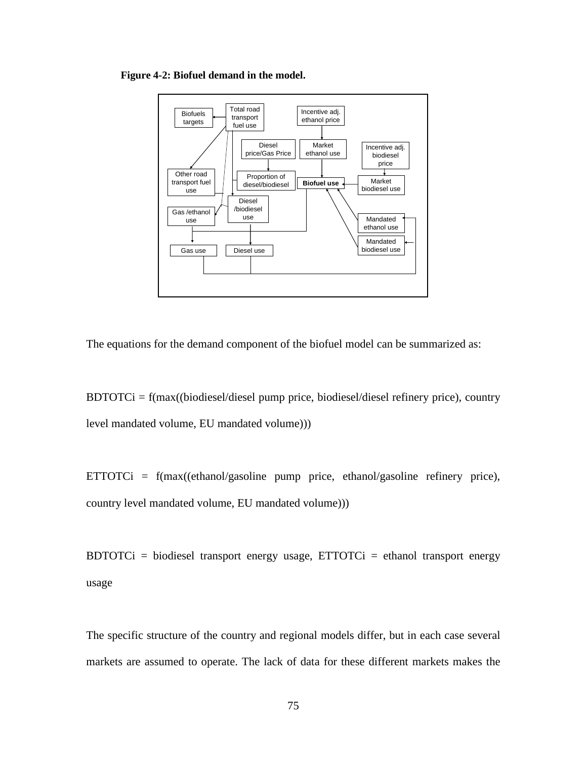<span id="page-87-0"></span>**Figure 4-2: Biofuel demand in the model.**



The equations for the demand component of the biofuel model can be summarized as:

 $BDTOTCi = f(max((biodiesel/diesel)$  pump price, biodiesel/diesel refinery price), country level mandated volume, EU mandated volume)))

ETTOTCi =  $f(max((ethanol/gasoline pump price, ethanol/gasoline refinery price),$ country level mandated volume, EU mandated volume)))

BDTOTCi = biodiesel transport energy usage,  $ETTOTCi$  = ethanol transport energy usage

The specific structure of the country and regional models differ, but in each case several markets are assumed to operate. The lack of data for these different markets makes the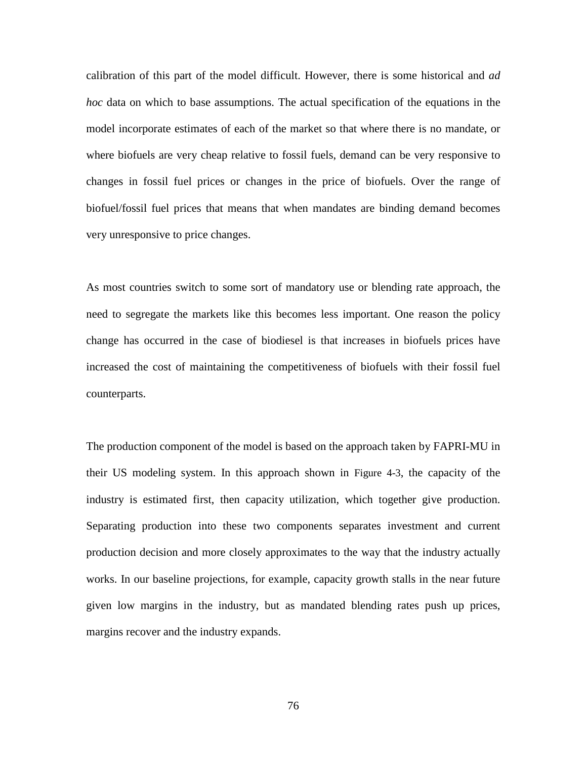calibration of this part of the model difficult. However, there is some historical and *ad hoc* data on which to base assumptions. The actual specification of the equations in the model incorporate estimates of each of the market so that where there is no mandate, or where biofuels are very cheap relative to fossil fuels, demand can be very responsive to changes in fossil fuel prices or changes in the price of biofuels. Over the range of biofuel/fossil fuel prices that means that when mandates are binding demand becomes very unresponsive to price changes.

As most countries switch to some sort of mandatory use or blending rate approach, the need to segregate the markets like this becomes less important. One reason the policy change has occurred in the case of biodiesel is that increases in biofuels prices have increased the cost of maintaining the competitiveness of biofuels with their fossil fuel counterparts.

The production component of the model is based on the approach taken by FAPRI-MU in their US modeling system. In this approach shown in [Figure 4-3,](#page-89-0) the capacity of the industry is estimated first, then capacity utilization, which together give production. Separating production into these two components separates investment and current production decision and more closely approximates to the way that the industry actually works. In our baseline projections, for example, capacity growth stalls in the near future given low margins in the industry, but as mandated blending rates push up prices, margins recover and the industry expands.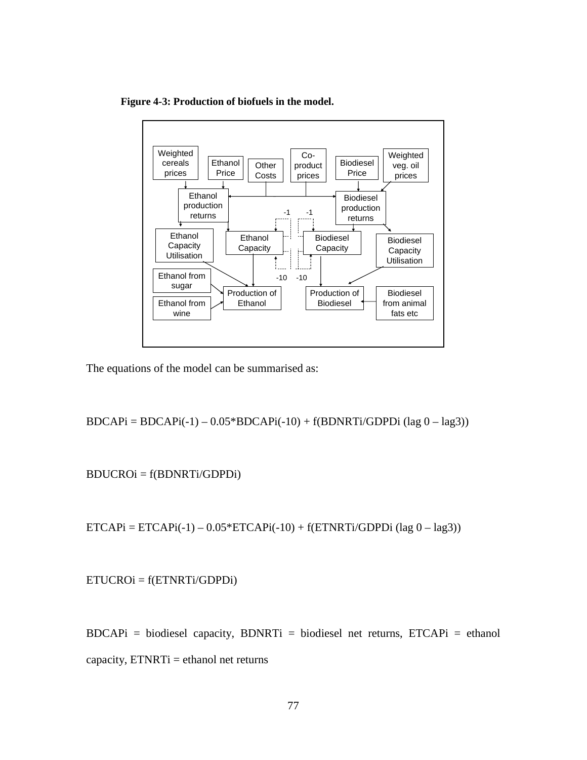<span id="page-89-0"></span>**Figure 4-3: Production of biofuels in the model.**



The equations of the model can be summarised as:

 $BDCAPI = BDCAPI(-1) - 0.05*BDCAPI(-10) + f(BDNRTi/GDPDi (lag 0 - lag3))$ 

BDUCROi = f(BDNRTi/GDPDi)

 $ETCAPi = ETCAPI(-1) - 0.05*ETCAPi(-10) + f(ETNRTi/GDPDi (lag 0 - lag3))$ 

ETUCROi = f(ETNRTi/GDPDi)

 $BDCAPI = biodiesel capacity, BDNRTi = biodiesel net returns, ETCAPi = ethanol$ capacity,  $ETNRTi =$  ethanol net returns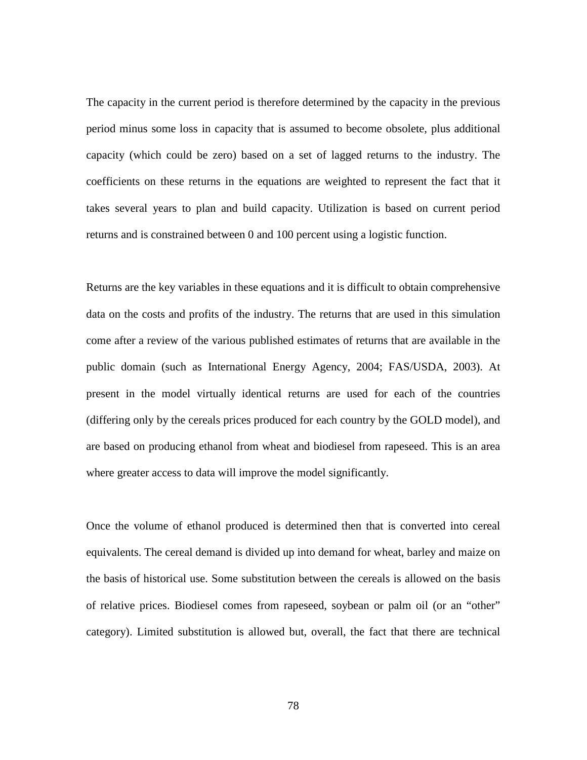The capacity in the current period is therefore determined by the capacity in the previous period minus some loss in capacity that is assumed to become obsolete, plus additional capacity (which could be zero) based on a set of lagged returns to the industry. The coefficients on these returns in the equations are weighted to represent the fact that it takes several years to plan and build capacity. Utilization is based on current period returns and is constrained between 0 and 100 percent using a logistic function.

Returns are the key variables in these equations and it is difficult to obtain comprehensive data on the costs and profits of the industry. The returns that are used in this simulation come after a review of the various published estimates of returns that are available in the public domain (such as International Energy Agency, 2004; FAS/USDA, 2003). At present in the model virtually identical returns are used for each of the countries (differing only by the cereals prices produced for each country by the GOLD model), and are based on producing ethanol from wheat and biodiesel from rapeseed. This is an area where greater access to data will improve the model significantly.

Once the volume of ethanol produced is determined then that is converted into cereal equivalents. The cereal demand is divided up into demand for wheat, barley and maize on the basis of historical use. Some substitution between the cereals is allowed on the basis of relative prices. Biodiesel comes from rapeseed, soybean or palm oil (or an "other" category). Limited substitution is allowed but, overall, the fact that there are technical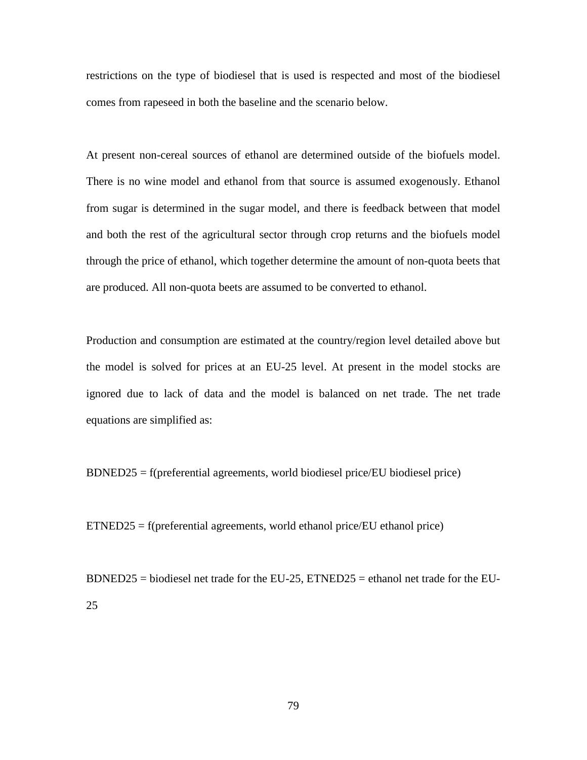restrictions on the type of biodiesel that is used is respected and most of the biodiesel comes from rapeseed in both the baseline and the scenario below.

At present non-cereal sources of ethanol are determined outside of the biofuels model. There is no wine model and ethanol from that source is assumed exogenously. Ethanol from sugar is determined in the sugar model, and there is feedback between that model and both the rest of the agricultural sector through crop returns and the biofuels model through the price of ethanol, which together determine the amount of non-quota beets that are produced. All non-quota beets are assumed to be converted to ethanol.

Production and consumption are estimated at the country/region level detailed above but the model is solved for prices at an EU-25 level. At present in the model stocks are ignored due to lack of data and the model is balanced on net trade. The net trade equations are simplified as:

BDNED25 = f(preferential agreements, world biodiesel price/EU biodiesel price)

ETNED25 = f(preferential agreements, world ethanol price/EU ethanol price)

BDNED25 = biodiesel net trade for the EU-25, ETNED25 = ethanol net trade for the EU-25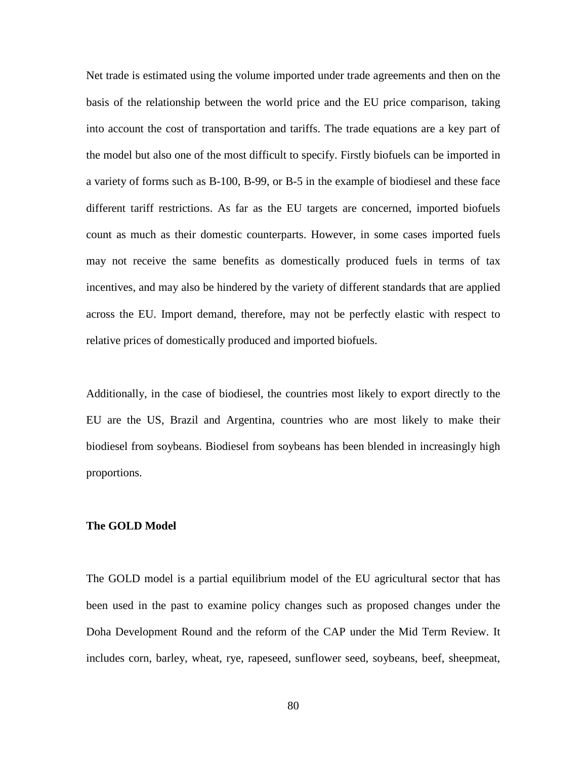Net trade is estimated using the volume imported under trade agreements and then on the basis of the relationship between the world price and the EU price comparison, taking into account the cost of transportation and tariffs. The trade equations are a key part of the model but also one of the most difficult to specify. Firstly biofuels can be imported in a variety of forms such as B-100, B-99, or B-5 in the example of biodiesel and these face different tariff restrictions. As far as the EU targets are concerned, imported biofuels count as much as their domestic counterparts. However, in some cases imported fuels may not receive the same benefits as domestically produced fuels in terms of tax incentives, and may also be hindered by the variety of different standards that are applied across the EU. Import demand, therefore, may not be perfectly elastic with respect to relative prices of domestically produced and imported biofuels.

Additionally, in the case of biodiesel, the countries most likely to export directly to the EU are the US, Brazil and Argentina, countries who are most likely to make their biodiesel from soybeans. Biodiesel from soybeans has been blended in increasingly high proportions.

#### **The GOLD Model**

The GOLD model is a partial equilibrium model of the EU agricultural sector that has been used in the past to examine policy changes such as proposed changes under the Doha Development Round and the reform of the CAP under the Mid Term Review. It includes corn, barley, wheat, rye, rapeseed, sunflower seed, soybeans, beef, sheepmeat,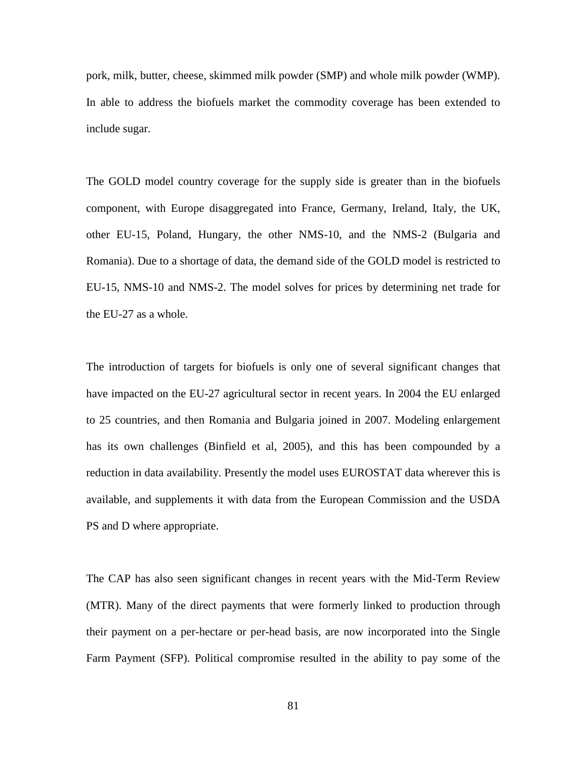pork, milk, butter, cheese, skimmed milk powder (SMP) and whole milk powder (WMP). In able to address the biofuels market the commodity coverage has been extended to include sugar.

The GOLD model country coverage for the supply side is greater than in the biofuels component, with Europe disaggregated into France, Germany, Ireland, Italy, the UK, other EU-15, Poland, Hungary, the other NMS-10, and the NMS-2 (Bulgaria and Romania). Due to a shortage of data, the demand side of the GOLD model is restricted to EU-15, NMS-10 and NMS-2. The model solves for prices by determining net trade for the EU-27 as a whole.

The introduction of targets for biofuels is only one of several significant changes that have impacted on the EU-27 agricultural sector in recent years. In 2004 the EU enlarged to 25 countries, and then Romania and Bulgaria joined in 2007. Modeling enlargement has its own challenges (Binfield et al, 2005), and this has been compounded by a reduction in data availability. Presently the model uses EUROSTAT data wherever this is available, and supplements it with data from the European Commission and the USDA PS and D where appropriate.

The CAP has also seen significant changes in recent years with the Mid-Term Review (MTR). Many of the direct payments that were formerly linked to production through their payment on a per-hectare or per-head basis, are now incorporated into the Single Farm Payment (SFP). Political compromise resulted in the ability to pay some of the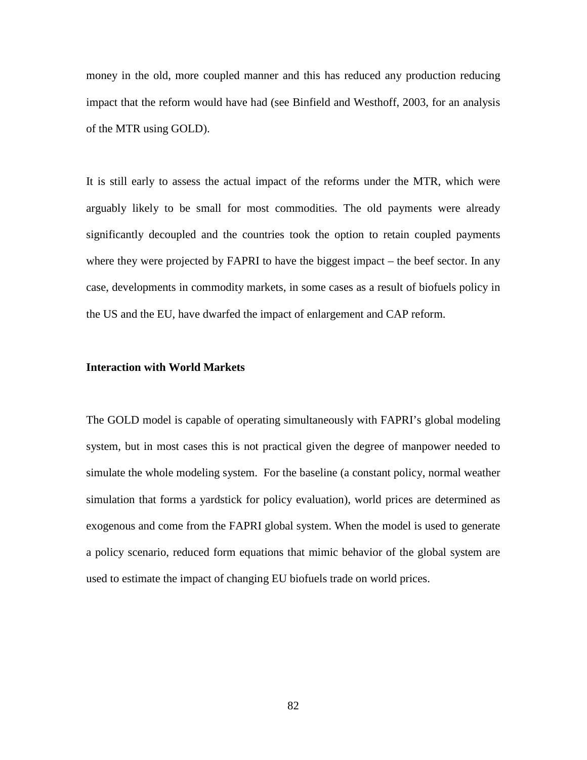money in the old, more coupled manner and this has reduced any production reducing impact that the reform would have had (see Binfield and Westhoff, 2003, for an analysis of the MTR using GOLD).

It is still early to assess the actual impact of the reforms under the MTR, which were arguably likely to be small for most commodities. The old payments were already significantly decoupled and the countries took the option to retain coupled payments where they were projected by FAPRI to have the biggest impact – the beef sector. In any case, developments in commodity markets, in some cases as a result of biofuels policy in the US and the EU, have dwarfed the impact of enlargement and CAP reform.

#### **Interaction with World Markets**

The GOLD model is capable of operating simultaneously with FAPRI's global modeling system, but in most cases this is not practical given the degree of manpower needed to simulate the whole modeling system. For the baseline (a constant policy, normal weather simulation that forms a yardstick for policy evaluation), world prices are determined as exogenous and come from the FAPRI global system. When the model is used to generate a policy scenario, reduced form equations that mimic behavior of the global system are used to estimate the impact of changing EU biofuels trade on world prices.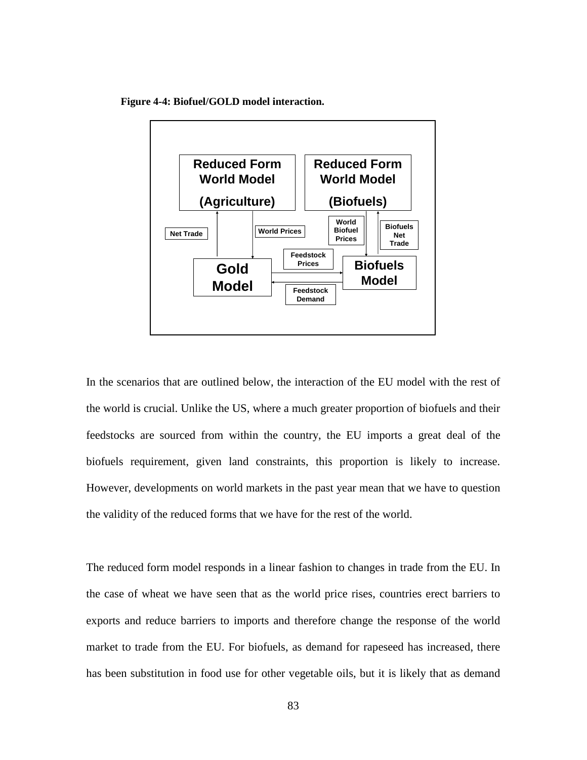<span id="page-95-0"></span>**Figure 4-4: Biofuel/GOLD model interaction.**



In the scenarios that are outlined below, the interaction of the EU model with the rest of the world is crucial. Unlike the US, where a much greater proportion of biofuels and their feedstocks are sourced from within the country, the EU imports a great deal of the biofuels requirement, given land constraints, this proportion is likely to increase. However, developments on world markets in the past year mean that we have to question the validity of the reduced forms that we have for the rest of the world.

The reduced form model responds in a linear fashion to changes in trade from the EU. In the case of wheat we have seen that as the world price rises, countries erect barriers to exports and reduce barriers to imports and therefore change the response of the world market to trade from the EU. For biofuels, as demand for rapeseed has increased, there has been substitution in food use for other vegetable oils, but it is likely that as demand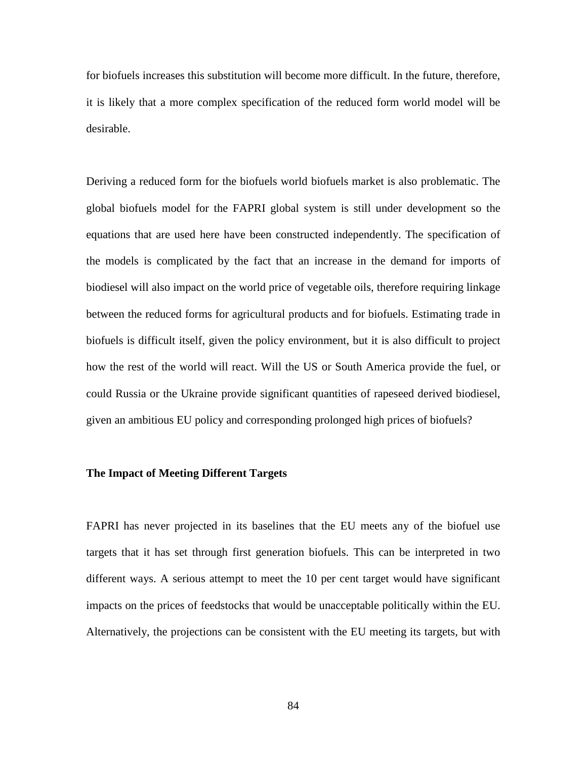for biofuels increases this substitution will become more difficult. In the future, therefore, it is likely that a more complex specification of the reduced form world model will be desirable.

Deriving a reduced form for the biofuels world biofuels market is also problematic. The global biofuels model for the FAPRI global system is still under development so the equations that are used here have been constructed independently. The specification of the models is complicated by the fact that an increase in the demand for imports of biodiesel will also impact on the world price of vegetable oils, therefore requiring linkage between the reduced forms for agricultural products and for biofuels. Estimating trade in biofuels is difficult itself, given the policy environment, but it is also difficult to project how the rest of the world will react. Will the US or South America provide the fuel, or could Russia or the Ukraine provide significant quantities of rapeseed derived biodiesel, given an ambitious EU policy and corresponding prolonged high prices of biofuels?

#### **The Impact of Meeting Different Targets**

FAPRI has never projected in its baselines that the EU meets any of the biofuel use targets that it has set through first generation biofuels. This can be interpreted in two different ways. A serious attempt to meet the 10 per cent target would have significant impacts on the prices of feedstocks that would be unacceptable politically within the EU. Alternatively, the projections can be consistent with the EU meeting its targets, but with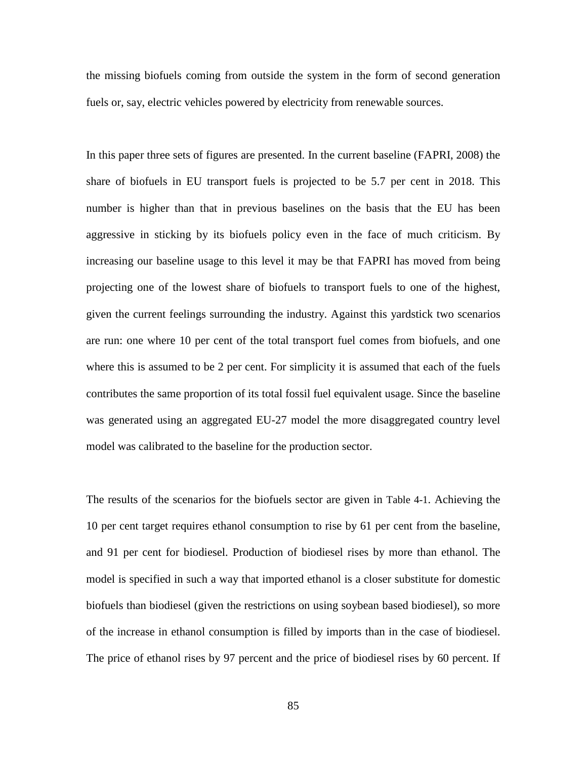the missing biofuels coming from outside the system in the form of second generation fuels or, say, electric vehicles powered by electricity from renewable sources.

In this paper three sets of figures are presented. In the current baseline (FAPRI, 2008) the share of biofuels in EU transport fuels is projected to be 5.7 per cent in 2018. This number is higher than that in previous baselines on the basis that the EU has been aggressive in sticking by its biofuels policy even in the face of much criticism. By increasing our baseline usage to this level it may be that FAPRI has moved from being projecting one of the lowest share of biofuels to transport fuels to one of the highest, given the current feelings surrounding the industry. Against this yardstick two scenarios are run: one where 10 per cent of the total transport fuel comes from biofuels, and one where this is assumed to be 2 per cent. For simplicity it is assumed that each of the fuels contributes the same proportion of its total fossil fuel equivalent usage. Since the baseline was generated using an aggregated EU-27 model the more disaggregated country level model was calibrated to the baseline for the production sector.

The results of the scenarios for the biofuels sector are given in [Table 4-1.](#page-99-0) Achieving the 10 per cent target requires ethanol consumption to rise by 61 per cent from the baseline, and 91 per cent for biodiesel. Production of biodiesel rises by more than ethanol. The model is specified in such a way that imported ethanol is a closer substitute for domestic biofuels than biodiesel (given the restrictions on using soybean based biodiesel), so more of the increase in ethanol consumption is filled by imports than in the case of biodiesel. The price of ethanol rises by 97 percent and the price of biodiesel rises by 60 percent. If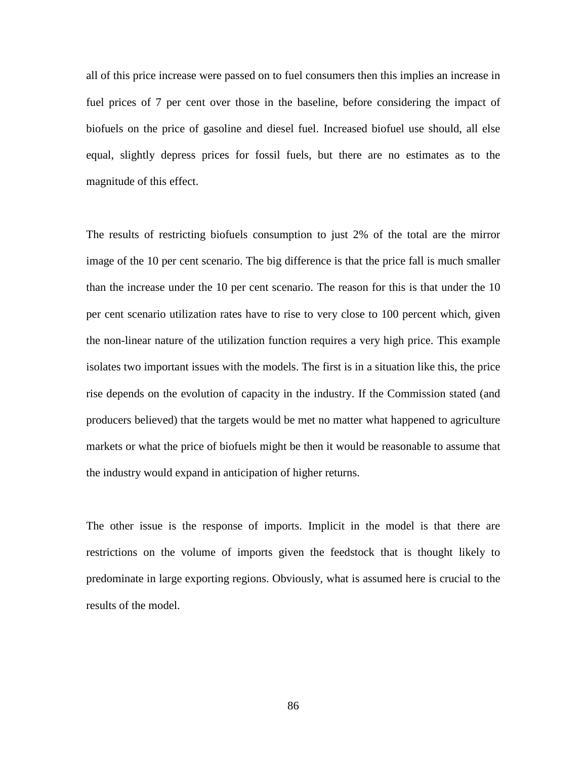all of this price increase were passed on to fuel consumers then this implies an increase in fuel prices of 7 per cent over those in the baseline, before considering the impact of biofuels on the price of gasoline and diesel fuel. Increased biofuel use should, all else equal, slightly depress prices for fossil fuels, but there are no estimates as to the magnitude of this effect.

The results of restricting biofuels consumption to just 2% of the total are the mirror image of the 10 per cent scenario. The big difference is that the price fall is much smaller than the increase under the 10 per cent scenario. The reason for this is that under the 10 per cent scenario utilization rates have to rise to very close to 100 percent which, given the non-linear nature of the utilization function requires a very high price. This example isolates two important issues with the models. The first is in a situation like this, the price rise depends on the evolution of capacity in the industry. If the Commission stated (and producers believed) that the targets would be met no matter what happened to agriculture markets or what the price of biofuels might be then it would be reasonable to assume that the industry would expand in anticipation of higher returns.

The other issue is the response of imports. Implicit in the model is that there are restrictions on the volume of imports given the feedstock that is thought likely to predominate in large exporting regions. Obviously, what is assumed here is crucial to the results of the model.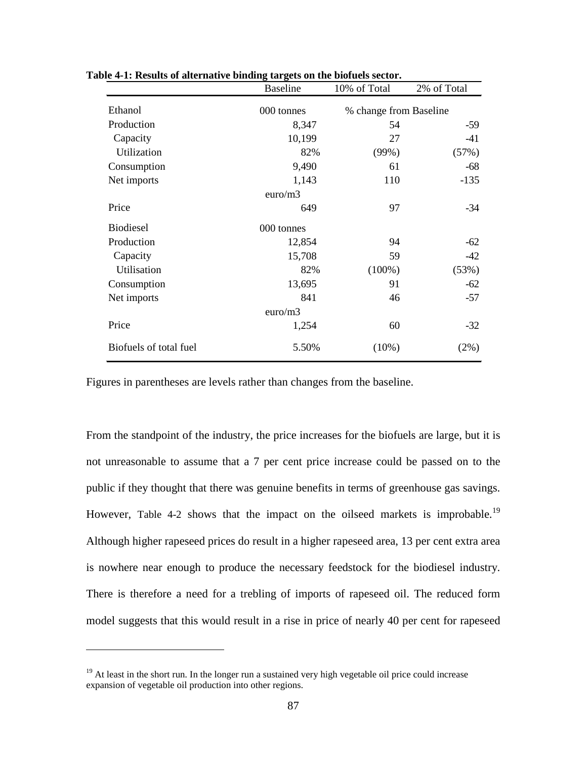|                        | <b>Baseline</b> | 10% of Total           | 2% of Total |  |  |
|------------------------|-----------------|------------------------|-------------|--|--|
| Ethanol                | 000 tonnes      | % change from Baseline |             |  |  |
| Production             | 8,347           | 54                     | $-59$       |  |  |
| Capacity               | 10,199          | 27                     | -41         |  |  |
| Utilization            | 82%             | (99%)                  | (57%)       |  |  |
| Consumption            | 9,490           | 61                     | $-68$       |  |  |
| Net imports            | 1,143           | 110                    | $-135$      |  |  |
|                        | euro/m3         |                        |             |  |  |
| Price                  | 649             | 97                     | -34         |  |  |
| <b>Biodiesel</b>       | 000 tonnes      |                        |             |  |  |
| Production             | 12,854          | 94                     | $-62$       |  |  |
| Capacity               | 15,708          | 59                     | $-42$       |  |  |
| Utilisation            | 82%             | $(100\%)$              | (53%)       |  |  |
| Consumption            | 13,695          | 91                     | $-62$       |  |  |
| Net imports            | 841             | 46                     | $-57$       |  |  |
| euro/m3                |                 |                        |             |  |  |
| Price                  | 1,254           | 60                     | $-32$       |  |  |
| Biofuels of total fuel | 5.50%           | $(10\%)$               | $(2\%)$     |  |  |

<span id="page-99-0"></span>**Table 4-1: Results of alternative binding targets on the biofuels sector.**

Figures in parentheses are levels rather than changes from the baseline.

From the standpoint of the industry, the price increases for the biofuels are large, but it is not unreasonable to assume that a 7 per cent price increase could be passed on to the public if they thought that there was genuine benefits in terms of greenhouse gas savings. However, [Table 4-2](#page-100-0) shows that the impact on the oilseed markets is improbable.<sup>[19](#page-99-1)</sup> Although higher rapeseed prices do result in a higher rapeseed area, 13 per cent extra area is nowhere near enough to produce the necessary feedstock for the biodiesel industry. There is therefore a need for a trebling of imports of rapeseed oil. The reduced form model suggests that this would result in a rise in price of nearly 40 per cent for rapeseed

 $\overline{a}$ 

<span id="page-99-1"></span><sup>&</sup>lt;sup>19</sup> At least in the short run. In the longer run a sustained very high vegetable oil price could increase expansion of vegetable oil production into other regions.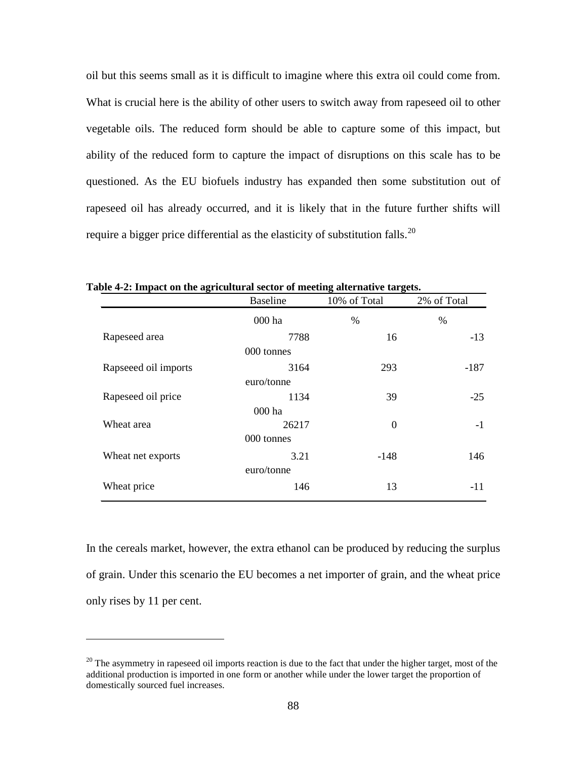oil but this seems small as it is difficult to imagine where this extra oil could come from. What is crucial here is the ability of other users to switch away from rapeseed oil to other vegetable oils. The reduced form should be able to capture some of this impact, but ability of the reduced form to capture the impact of disruptions on this scale has to be questioned. As the EU biofuels industry has expanded then some substitution out of rapeseed oil has already occurred, and it is likely that in the future further shifts will require a bigger price differential as the elasticity of substitution falls.<sup>[20](#page-100-1)</sup>

| 0                    | <b>Baseline</b> | $\mathbf{\sigma}$<br>10% of Total | 2% of Total |  |
|----------------------|-----------------|-----------------------------------|-------------|--|
|                      | 000 ha          | $\%$                              | %           |  |
| Rapeseed area        | 7788            | 16                                | $-13$       |  |
|                      | 000 tonnes      |                                   |             |  |
| Rapseeed oil imports | 3164            | 293                               | $-187$      |  |
|                      | euro/tonne      |                                   |             |  |
| Rapeseed oil price   | 1134            | 39                                | $-25$       |  |
|                      | 000 ha          |                                   |             |  |
| Wheat area           | 26217           | $\boldsymbol{0}$                  | $-1$        |  |
|                      | 000 tonnes      |                                   |             |  |
| Wheat net exports    | 3.21            | $-148$                            | 146         |  |
|                      | euro/tonne      |                                   |             |  |
| Wheat price          | 146             | 13                                | $-11$       |  |

<span id="page-100-0"></span>**Table 4-2: Impact on the agricultural sector of meeting alternative targets.**

In the cereals market, however, the extra ethanol can be produced by reducing the surplus of grain. Under this scenario the EU becomes a net importer of grain, and the wheat price only rises by 11 per cent.

 $\overline{a}$ 

<span id="page-100-1"></span> $20$  The asymmetry in rapeseed oil imports reaction is due to the fact that under the higher target, most of the additional production is imported in one form or another while under the lower target the proportion of domestically sourced fuel increases.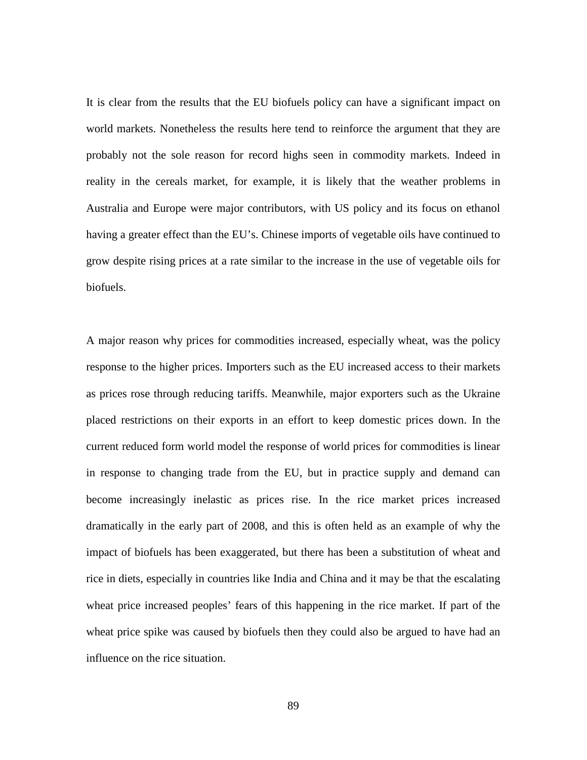It is clear from the results that the EU biofuels policy can have a significant impact on world markets. Nonetheless the results here tend to reinforce the argument that they are probably not the sole reason for record highs seen in commodity markets. Indeed in reality in the cereals market, for example, it is likely that the weather problems in Australia and Europe were major contributors, with US policy and its focus on ethanol having a greater effect than the EU's. Chinese imports of vegetable oils have continued to grow despite rising prices at a rate similar to the increase in the use of vegetable oils for biofuels.

A major reason why prices for commodities increased, especially wheat, was the policy response to the higher prices. Importers such as the EU increased access to their markets as prices rose through reducing tariffs. Meanwhile, major exporters such as the Ukraine placed restrictions on their exports in an effort to keep domestic prices down. In the current reduced form world model the response of world prices for commodities is linear in response to changing trade from the EU, but in practice supply and demand can become increasingly inelastic as prices rise. In the rice market prices increased dramatically in the early part of 2008, and this is often held as an example of why the impact of biofuels has been exaggerated, but there has been a substitution of wheat and rice in diets, especially in countries like India and China and it may be that the escalating wheat price increased peoples' fears of this happening in the rice market. If part of the wheat price spike was caused by biofuels then they could also be argued to have had an influence on the rice situation.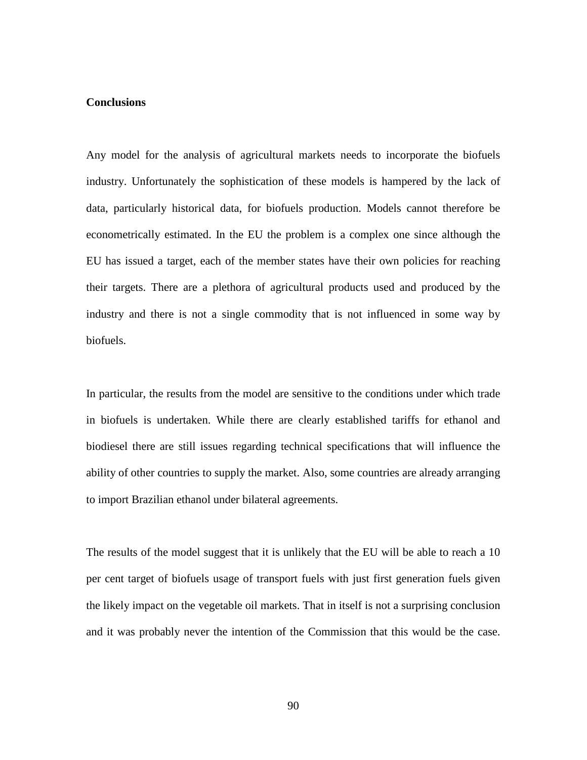#### **Conclusions**

Any model for the analysis of agricultural markets needs to incorporate the biofuels industry. Unfortunately the sophistication of these models is hampered by the lack of data, particularly historical data, for biofuels production. Models cannot therefore be econometrically estimated. In the EU the problem is a complex one since although the EU has issued a target, each of the member states have their own policies for reaching their targets. There are a plethora of agricultural products used and produced by the industry and there is not a single commodity that is not influenced in some way by biofuels.

In particular, the results from the model are sensitive to the conditions under which trade in biofuels is undertaken. While there are clearly established tariffs for ethanol and biodiesel there are still issues regarding technical specifications that will influence the ability of other countries to supply the market. Also, some countries are already arranging to import Brazilian ethanol under bilateral agreements.

The results of the model suggest that it is unlikely that the EU will be able to reach a 10 per cent target of biofuels usage of transport fuels with just first generation fuels given the likely impact on the vegetable oil markets. That in itself is not a surprising conclusion and it was probably never the intention of the Commission that this would be the case.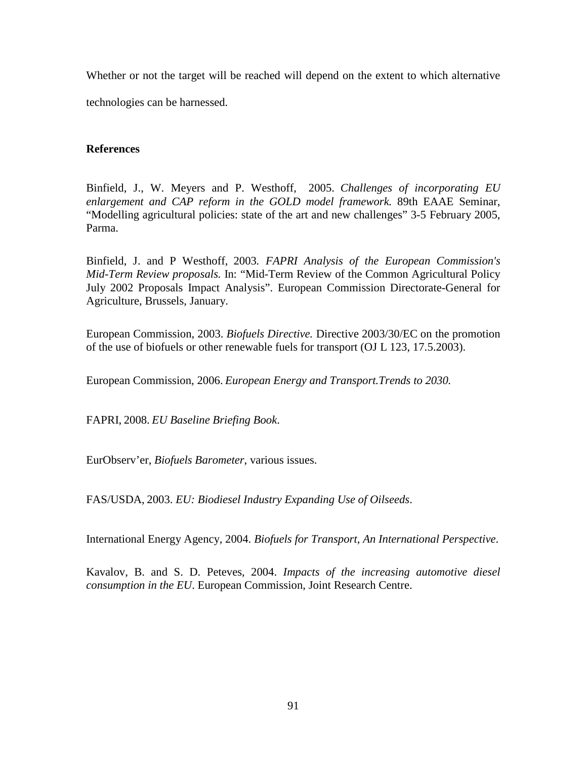Whether or not the target will be reached will depend on the extent to which alternative technologies can be harnessed.

## **References**

Binfield, J., W. Meyers and P. Westhoff, 2005. *Challenges of incorporating EU enlargement and CAP reform in the GOLD model framework.* 89th EAAE Seminar, "Modelling agricultural policies: state of the art and new challenges" 3-5 February 2005, Parma.

Binfield, J. and P Westhoff, 2003*. FAPRI Analysis of the European Commission's Mid-Term Review proposals.* In: "Mid-Term Review of the Common Agricultural Policy July 2002 Proposals Impact Analysis". European Commission Directorate-General for Agriculture, Brussels, January.

European Commission, 2003. *Biofuels Directive.* Directive 2003/30/EC on the promotion of the use of biofuels or other renewable fuels for transport (OJ L 123, 17.5.2003).

European Commission, 2006. *European Energy and Transport.Trends to 2030.*

FAPRI, 2008. *EU Baseline Briefing Book*.

EurObserv'er, *Biofuels Barometer*, various issues.

FAS/USDA, 2003. *EU: Biodiesel Industry Expanding Use of Oilseeds*.

International Energy Agency, 2004. *Biofuels for Transport, An International Perspective*.

Kavalov, B. and S. D. Peteves, 2004. *Impacts of the increasing automotive diesel consumption in the EU*. European Commission, Joint Research Centre.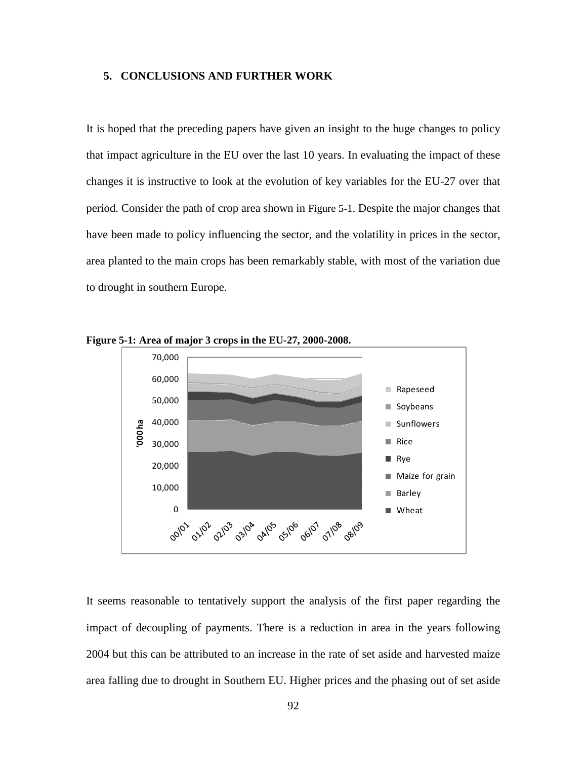#### **5. CONCLUSIONS AND FURTHER WORK**

It is hoped that the preceding papers have given an insight to the huge changes to policy that impact agriculture in the EU over the last 10 years. In evaluating the impact of these changes it is instructive to look at the evolution of key variables for the EU-27 over that period. Consider the path of crop area shown in [Figure 5-1.](#page-104-0) Despite the major changes that have been made to policy influencing the sector, and the volatility in prices in the sector, area planted to the main crops has been remarkably stable, with most of the variation due to drought in southern Europe.



<span id="page-104-0"></span>**Figure 5-1: Area of major 3 crops in the EU-27, 2000-2008.**

It seems reasonable to tentatively support the analysis of the first paper regarding the impact of decoupling of payments. There is a reduction in area in the years following 2004 but this can be attributed to an increase in the rate of set aside and harvested maize area falling due to drought in Southern EU. Higher prices and the phasing out of set aside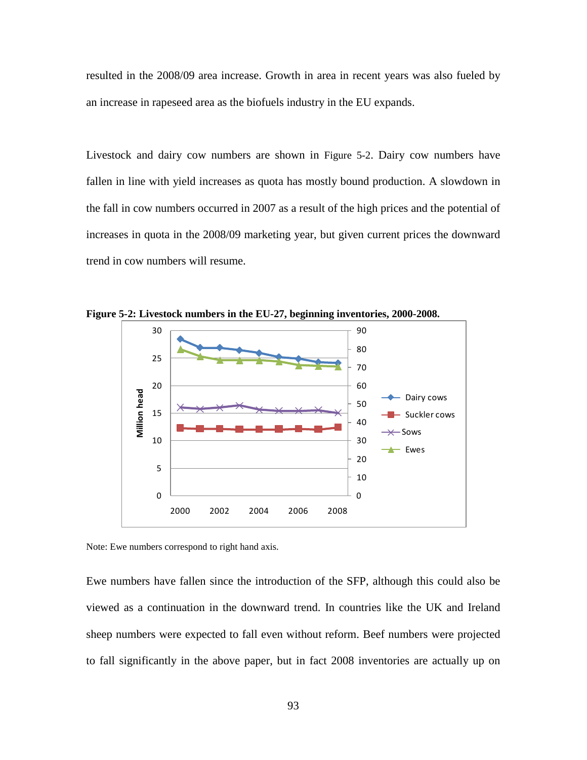resulted in the 2008/09 area increase. Growth in area in recent years was also fueled by an increase in rapeseed area as the biofuels industry in the EU expands.

Livestock and dairy cow numbers are shown in [Figure 5-2.](#page-105-0) Dairy cow numbers have fallen in line with yield increases as quota has mostly bound production. A slowdown in the fall in cow numbers occurred in 2007 as a result of the high prices and the potential of increases in quota in the 2008/09 marketing year, but given current prices the downward trend in cow numbers will resume.



<span id="page-105-0"></span>**Figure 5-2: Livestock numbers in the EU-27, beginning inventories, 2000-2008.**

Note: Ewe numbers correspond to right hand axis.

Ewe numbers have fallen since the introduction of the SFP, although this could also be viewed as a continuation in the downward trend. In countries like the UK and Ireland sheep numbers were expected to fall even without reform. Beef numbers were projected to fall significantly in the above paper, but in fact 2008 inventories are actually up on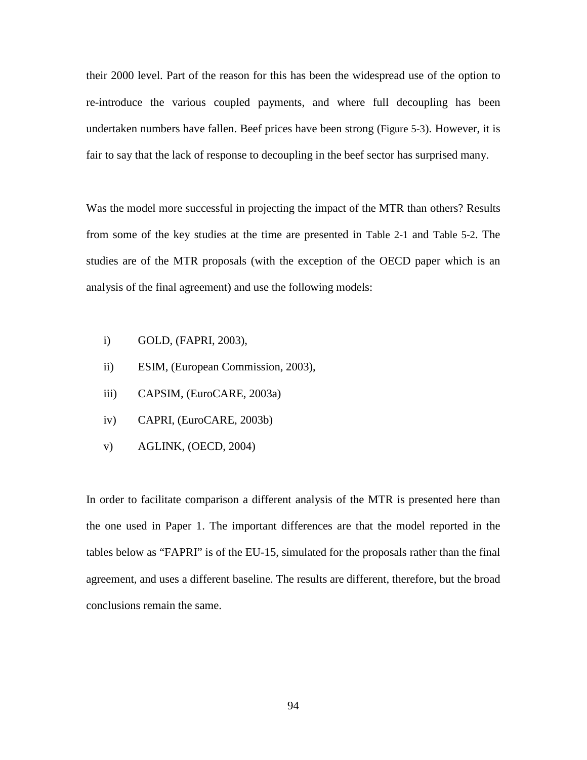their 2000 level. Part of the reason for this has been the widespread use of the option to re-introduce the various coupled payments, and where full decoupling has been undertaken numbers have fallen. Beef prices have been strong [\(Figure 5-3\)](#page-111-0). However, it is fair to say that the lack of response to decoupling in the beef sector has surprised many.

Was the model more successful in projecting the impact of the MTR than others? Results from some of the key studies at the time are presented in [Table 2-1](#page-33-0) and [Table 5-2.](#page-108-0) The studies are of the MTR proposals (with the exception of the OECD paper which is an analysis of the final agreement) and use the following models:

- i) GOLD, (FAPRI, 2003),
- ii) ESIM, (European Commission, 2003),
- iii) CAPSIM, (EuroCARE, 2003a)
- iv) CAPRI, (EuroCARE, 2003b)
- v) AGLINK, (OECD, 2004)

In order to facilitate comparison a different analysis of the MTR is presented here than the one used in Paper 1. The important differences are that the model reported in the tables below as "FAPRI" is of the EU-15, simulated for the proposals rather than the final agreement, and uses a different baseline. The results are different, therefore, but the broad conclusions remain the same.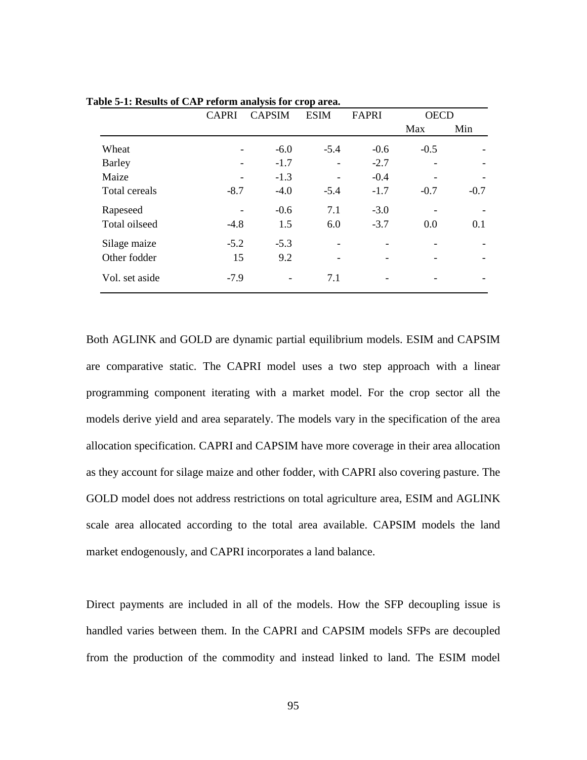|                | <b>CAPRI</b> | <b>CAPSIM</b> | <b>ESIM</b>              | <b>FAPRI</b> | <b>OECD</b> |        |
|----------------|--------------|---------------|--------------------------|--------------|-------------|--------|
|                |              |               |                          |              | Max         | Min    |
| Wheat          |              | $-6.0$        | $-5.4$                   | $-0.6$       | $-0.5$      |        |
| Barley         |              | $-1.7$        | $\overline{\phantom{a}}$ | $-2.7$       |             |        |
| Maize          | -            | $-1.3$        | $\overline{a}$           | $-0.4$       |             |        |
| Total cereals  | $-8.7$       | $-4.0$        | $-5.4$                   | $-1.7$       | $-0.7$      | $-0.7$ |
| Rapeseed       |              | $-0.6$        | 7.1                      | $-3.0$       |             |        |
| Total oilseed  | $-4.8$       | 1.5           | 6.0                      | $-3.7$       | 0.0         | 0.1    |
| Silage maize   | $-5.2$       | $-5.3$        | $\overline{\phantom{a}}$ |              |             |        |
| Other fodder   | 15           | 9.2           | $\overline{\phantom{0}}$ |              |             |        |
| Vol. set aside | $-7.9$       |               | 7.1                      |              |             |        |

**Table 5-1: Results of CAP reform analysis for crop area.**

Both AGLINK and GOLD are dynamic partial equilibrium models. ESIM and CAPSIM are comparative static. The CAPRI model uses a two step approach with a linear programming component iterating with a market model. For the crop sector all the models derive yield and area separately. The models vary in the specification of the area allocation specification. CAPRI and CAPSIM have more coverage in their area allocation as they account for silage maize and other fodder, with CAPRI also covering pasture. The GOLD model does not address restrictions on total agriculture area, ESIM and AGLINK scale area allocated according to the total area available. CAPSIM models the land market endogenously, and CAPRI incorporates a land balance.

Direct payments are included in all of the models. How the SFP decoupling issue is handled varies between them. In the CAPRI and CAPSIM models SFPs are decoupled from the production of the commodity and instead linked to land. The ESIM model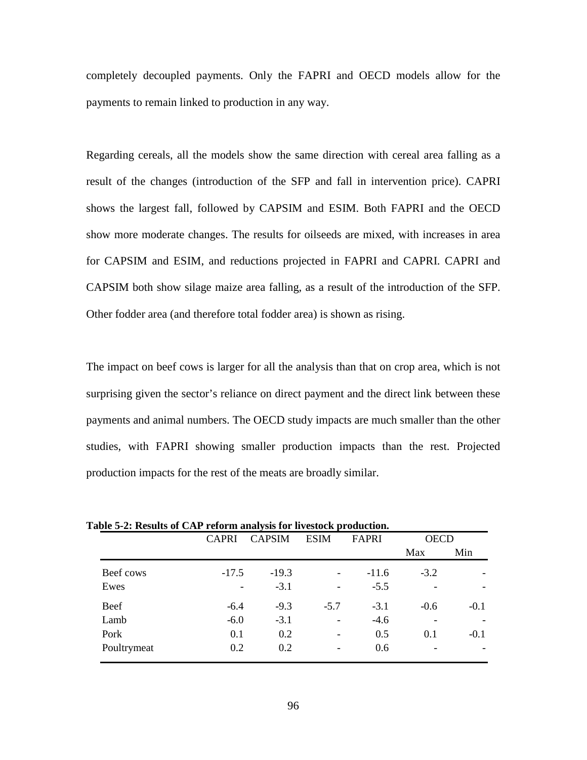completely decoupled payments. Only the FAPRI and OECD models allow for the payments to remain linked to production in any way.

Regarding cereals, all the models show the same direction with cereal area falling as a result of the changes (introduction of the SFP and fall in intervention price). CAPRI shows the largest fall, followed by CAPSIM and ESIM. Both FAPRI and the OECD show more moderate changes. The results for oilseeds are mixed, with increases in area for CAPSIM and ESIM, and reductions projected in FAPRI and CAPRI. CAPRI and CAPSIM both show silage maize area falling, as a result of the introduction of the SFP. Other fodder area (and therefore total fodder area) is shown as rising.

The impact on beef cows is larger for all the analysis than that on crop area, which is not surprising given the sector's reliance on direct payment and the direct link between these payments and animal numbers. The OECD study impacts are much smaller than the other studies, with FAPRI showing smaller production impacts than the rest. Projected production impacts for the rest of the meats are broadly similar.

|             | <b>CAPRI</b>             | <b>CAPSIM</b> | <b>ESIM</b>              | FAPRI   | <b>OECD</b> |        |
|-------------|--------------------------|---------------|--------------------------|---------|-------------|--------|
|             |                          |               |                          |         | Max         | Min    |
| Beef cows   | $-17.5$                  | $-19.3$       | $\overline{\phantom{0}}$ | $-11.6$ | $-3.2$      |        |
| Ewes        | $\overline{\phantom{0}}$ | $-3.1$        | $\overline{a}$           | $-5.5$  |             |        |
| Beef        | $-6.4$                   | $-9.3$        | $-5.7$                   | $-3.1$  | $-0.6$      | $-0.1$ |
| Lamb        | $-6.0$                   | $-3.1$        | $\overline{\phantom{0}}$ | $-4.6$  |             |        |
| Pork        | 0.1                      | 0.2           | $\overline{\phantom{a}}$ | 0.5     | 0.1         | $-0.1$ |
| Poultrymeat | 0.2                      | 0.2           | $\overline{\phantom{a}}$ | 0.6     |             |        |

**Table 5-2: Results of CAP reform analysis for livestock production.**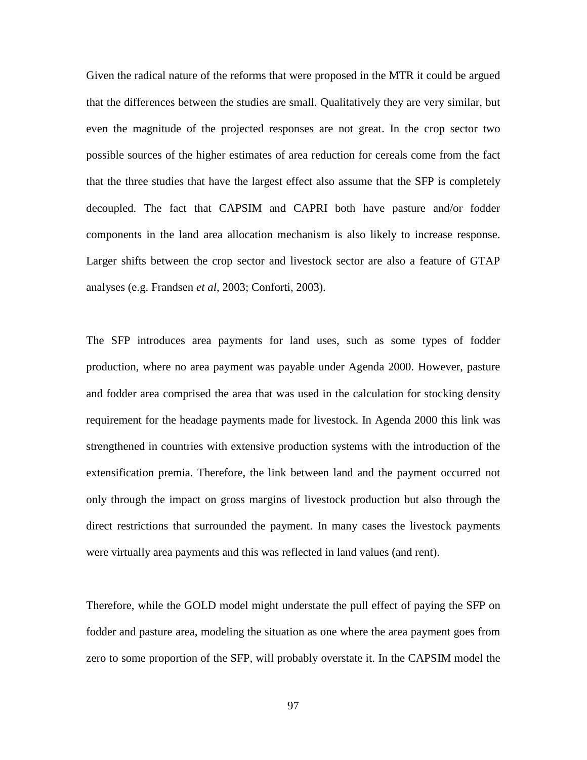Given the radical nature of the reforms that were proposed in the MTR it could be argued that the differences between the studies are small. Qualitatively they are very similar, but even the magnitude of the projected responses are not great. In the crop sector two possible sources of the higher estimates of area reduction for cereals come from the fact that the three studies that have the largest effect also assume that the SFP is completely decoupled. The fact that CAPSIM and CAPRI both have pasture and/or fodder components in the land area allocation mechanism is also likely to increase response. Larger shifts between the crop sector and livestock sector are also a feature of GTAP analyses (e.g. Frandsen *et al*, 2003; Conforti, 2003).

The SFP introduces area payments for land uses, such as some types of fodder production, where no area payment was payable under Agenda 2000. However, pasture and fodder area comprised the area that was used in the calculation for stocking density requirement for the headage payments made for livestock. In Agenda 2000 this link was strengthened in countries with extensive production systems with the introduction of the extensification premia. Therefore, the link between land and the payment occurred not only through the impact on gross margins of livestock production but also through the direct restrictions that surrounded the payment. In many cases the livestock payments were virtually area payments and this was reflected in land values (and rent).

Therefore, while the GOLD model might understate the pull effect of paying the SFP on fodder and pasture area, modeling the situation as one where the area payment goes from zero to some proportion of the SFP, will probably overstate it. In the CAPSIM model the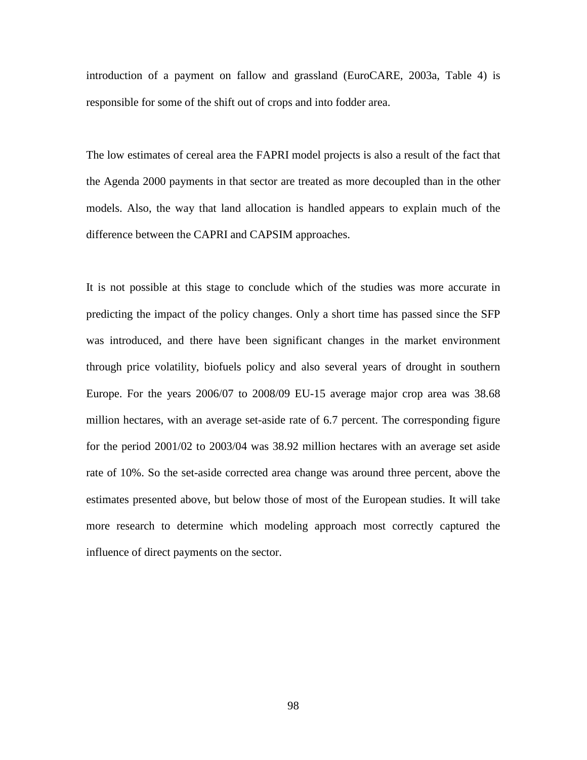introduction of a payment on fallow and grassland (EuroCARE, 2003a, Table 4) is responsible for some of the shift out of crops and into fodder area.

The low estimates of cereal area the FAPRI model projects is also a result of the fact that the Agenda 2000 payments in that sector are treated as more decoupled than in the other models. Also, the way that land allocation is handled appears to explain much of the difference between the CAPRI and CAPSIM approaches.

It is not possible at this stage to conclude which of the studies was more accurate in predicting the impact of the policy changes. Only a short time has passed since the SFP was introduced, and there have been significant changes in the market environment through price volatility, biofuels policy and also several years of drought in southern Europe. For the years 2006/07 to 2008/09 EU-15 average major crop area was 38.68 million hectares, with an average set-aside rate of 6.7 percent. The corresponding figure for the period 2001/02 to 2003/04 was 38.92 million hectares with an average set aside rate of 10%. So the set-aside corrected area change was around three percent, above the estimates presented above, but below those of most of the European studies. It will take more research to determine which modeling approach most correctly captured the influence of direct payments on the sector.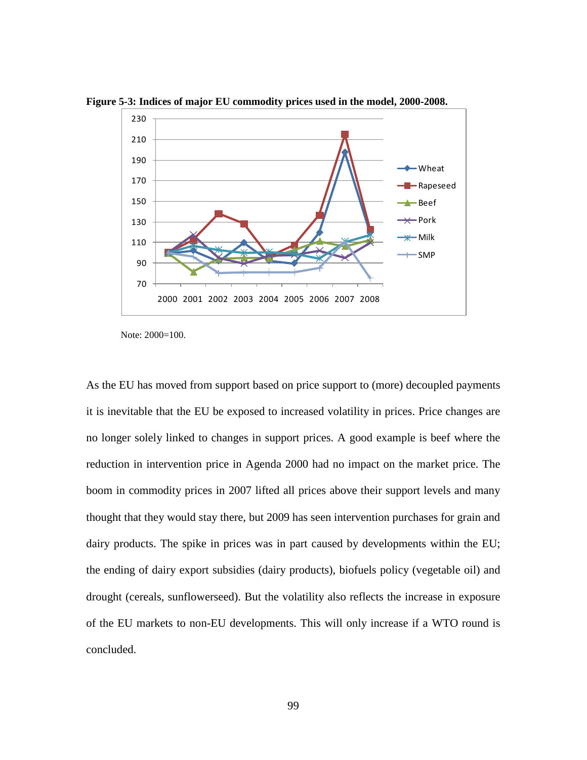

**Figure 5-3: Indices of major EU commodity prices used in the model, 2000-2008.**

Note: 2000=100.

As the EU has moved from support based on price support to (more) decoupled payments it is inevitable that the EU be exposed to increased volatility in prices. Price changes are no longer solely linked to changes in support prices. A good example is beef where the reduction in intervention price in Agenda 2000 had no impact on the market price. The boom in commodity prices in 2007 lifted all prices above their support levels and many thought that they would stay there, but 2009 has seen intervention purchases for grain and dairy products. The spike in prices was in part caused by developments within the EU; the ending of dairy export subsidies (dairy products), biofuels policy (vegetable oil) and drought (cereals, sunflowerseed). But the volatility also reflects the increase in exposure of the EU markets to non-EU developments. This will only increase if a WTO round is concluded.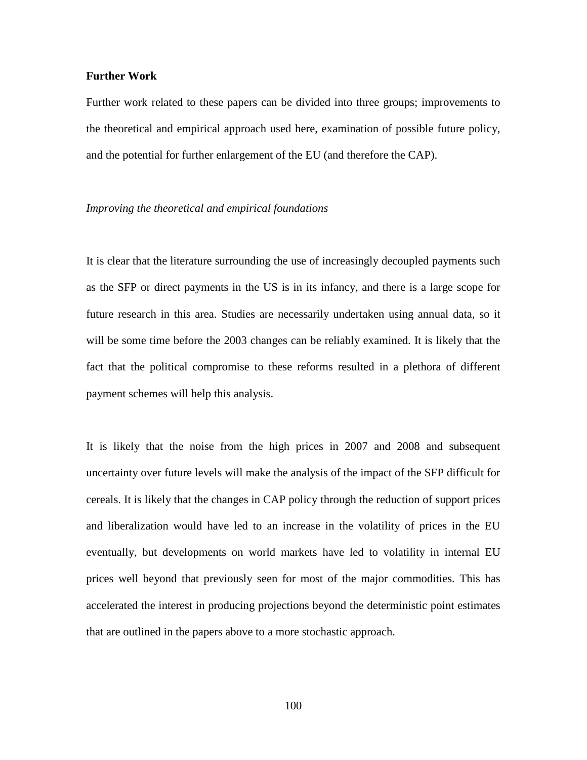#### **Further Work**

Further work related to these papers can be divided into three groups; improvements to the theoretical and empirical approach used here, examination of possible future policy, and the potential for further enlargement of the EU (and therefore the CAP).

## *Improving the theoretical and empirical foundations*

It is clear that the literature surrounding the use of increasingly decoupled payments such as the SFP or direct payments in the US is in its infancy, and there is a large scope for future research in this area. Studies are necessarily undertaken using annual data, so it will be some time before the 2003 changes can be reliably examined. It is likely that the fact that the political compromise to these reforms resulted in a plethora of different payment schemes will help this analysis.

It is likely that the noise from the high prices in 2007 and 2008 and subsequent uncertainty over future levels will make the analysis of the impact of the SFP difficult for cereals. It is likely that the changes in CAP policy through the reduction of support prices and liberalization would have led to an increase in the volatility of prices in the EU eventually, but developments on world markets have led to volatility in internal EU prices well beyond that previously seen for most of the major commodities. This has accelerated the interest in producing projections beyond the deterministic point estimates that are outlined in the papers above to a more stochastic approach.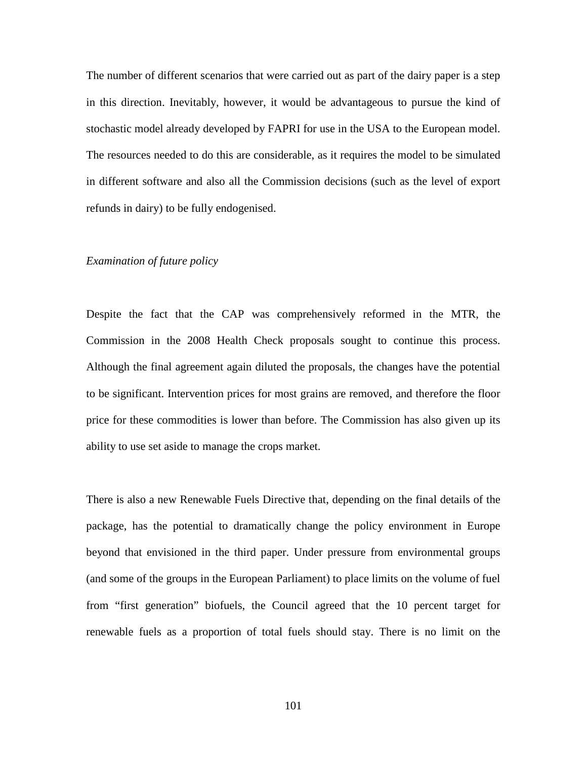The number of different scenarios that were carried out as part of the dairy paper is a step in this direction. Inevitably, however, it would be advantageous to pursue the kind of stochastic model already developed by FAPRI for use in the USA to the European model. The resources needed to do this are considerable, as it requires the model to be simulated in different software and also all the Commission decisions (such as the level of export refunds in dairy) to be fully endogenised.

# *Examination of future policy*

Despite the fact that the CAP was comprehensively reformed in the MTR, the Commission in the 2008 Health Check proposals sought to continue this process. Although the final agreement again diluted the proposals, the changes have the potential to be significant. Intervention prices for most grains are removed, and therefore the floor price for these commodities is lower than before. The Commission has also given up its ability to use set aside to manage the crops market.

There is also a new Renewable Fuels Directive that, depending on the final details of the package, has the potential to dramatically change the policy environment in Europe beyond that envisioned in the third paper. Under pressure from environmental groups (and some of the groups in the European Parliament) to place limits on the volume of fuel from "first generation" biofuels, the Council agreed that the 10 percent target for renewable fuels as a proportion of total fuels should stay. There is no limit on the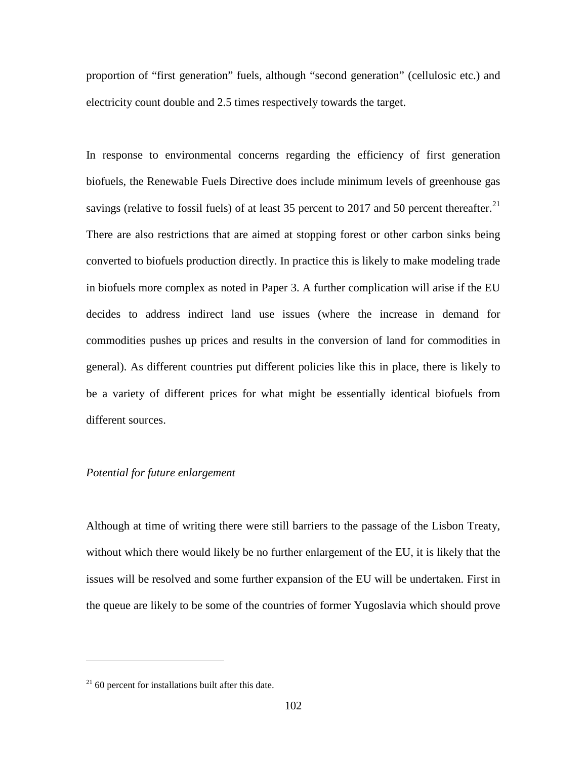proportion of "first generation" fuels, although "second generation" (cellulosic etc.) and electricity count double and 2.5 times respectively towards the target.

In response to environmental concerns regarding the efficiency of first generation biofuels, the Renewable Fuels Directive does include minimum levels of greenhouse gas savings (relative to fossil fuels) of at least 35 percent to 2017 and 50 percent thereafter.<sup>[21](#page-114-0)</sup> There are also restrictions that are aimed at stopping forest or other carbon sinks being converted to biofuels production directly. In practice this is likely to make modeling trade in biofuels more complex as noted in Paper 3. A further complication will arise if the EU decides to address indirect land use issues (where the increase in demand for commodities pushes up prices and results in the conversion of land for commodities in general). As different countries put different policies like this in place, there is likely to be a variety of different prices for what might be essentially identical biofuels from different sources.

## *Potential for future enlargement*

Although at time of writing there were still barriers to the passage of the Lisbon Treaty, without which there would likely be no further enlargement of the EU, it is likely that the issues will be resolved and some further expansion of the EU will be undertaken. First in the queue are likely to be some of the countries of former Yugoslavia which should prove

 $\overline{a}$ 

<span id="page-114-0"></span> $21$  60 percent for installations built after this date.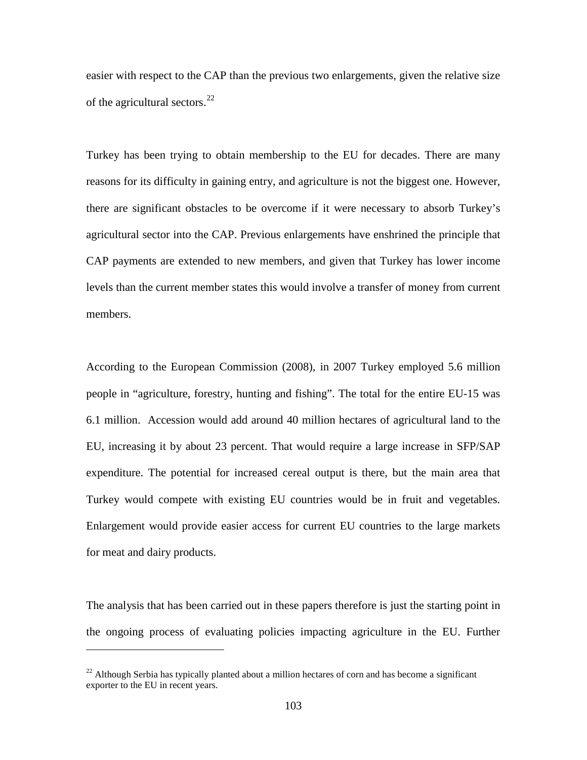easier with respect to the CAP than the previous two enlargements, given the relative size of the agricultural sectors.<sup>[22](#page-115-0)</sup>

Turkey has been trying to obtain membership to the EU for decades. There are many reasons for its difficulty in gaining entry, and agriculture is not the biggest one. However, there are significant obstacles to be overcome if it were necessary to absorb Turkey's agricultural sector into the CAP. Previous enlargements have enshrined the principle that CAP payments are extended to new members, and given that Turkey has lower income levels than the current member states this would involve a transfer of money from current members.

According to the European Commission (2008), in 2007 Turkey employed 5.6 million people in "agriculture, forestry, hunting and fishing". The total for the entire EU-15 was 6.1 million. Accession would add around 40 million hectares of agricultural land to the EU, increasing it by about 23 percent. That would require a large increase in SFP/SAP expenditure. The potential for increased cereal output is there, but the main area that Turkey would compete with existing EU countries would be in fruit and vegetables. Enlargement would provide easier access for current EU countries to the large markets for meat and dairy products.

The analysis that has been carried out in these papers therefore is just the starting point in the ongoing process of evaluating policies impacting agriculture in the EU. Further

 $\overline{a}$ 

<span id="page-115-0"></span> $^{22}$  Although Serbia has typically planted about a million hectares of corn and has become a significant exporter to the EU in recent years.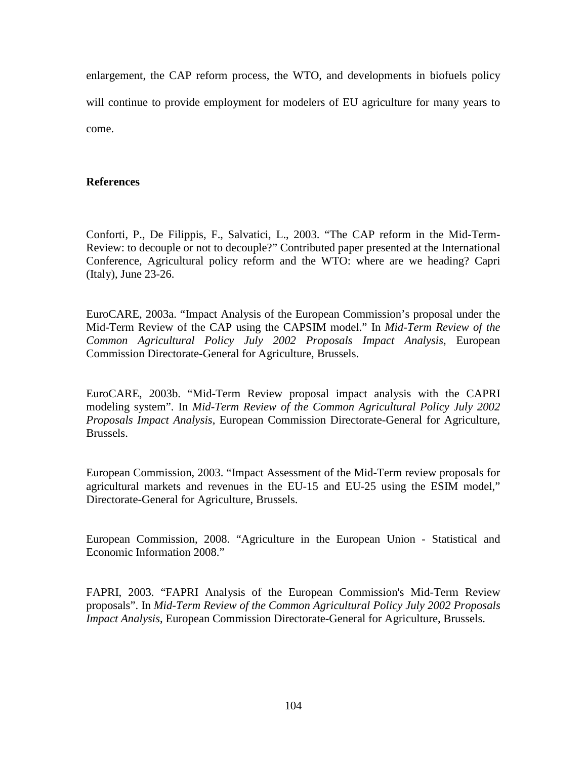enlargement, the CAP reform process, the WTO, and developments in biofuels policy will continue to provide employment for modelers of EU agriculture for many years to come.

# **References**

Conforti, P., De Filippis, F., Salvatici, L., 2003. "The CAP reform in the Mid-Term-Review: to decouple or not to decouple?" Contributed paper presented at the International Conference, Agricultural policy reform and the WTO: where are we heading? Capri (Italy), June 23-26.

EuroCARE, 2003a. "Impact Analysis of the European Commission's proposal under the Mid-Term Review of the CAP using the CAPSIM model." In *Mid-Term Review of the Common Agricultural Policy July 2002 Proposals Impact Analysis*, European Commission Directorate-General for Agriculture, Brussels.

EuroCARE, 2003b. "Mid-Term Review proposal impact analysis with the CAPRI modeling system". In *Mid-Term Review of the Common Agricultural Policy July 2002 Proposals Impact Analysis*, European Commission Directorate-General for Agriculture, Brussels.

European Commission, 2003. "Impact Assessment of the Mid-Term review proposals for agricultural markets and revenues in the EU-15 and EU-25 using the ESIM model," Directorate-General for Agriculture, Brussels.

European Commission, 2008. "Agriculture in the European Union - Statistical and Economic Information 2008."

FAPRI, 2003. "FAPRI Analysis of the European Commission's Mid-Term Review proposals". In *Mid-Term Review of the Common Agricultural Policy July 2002 Proposals Impact Analysis*, European Commission Directorate-General for Agriculture, Brussels.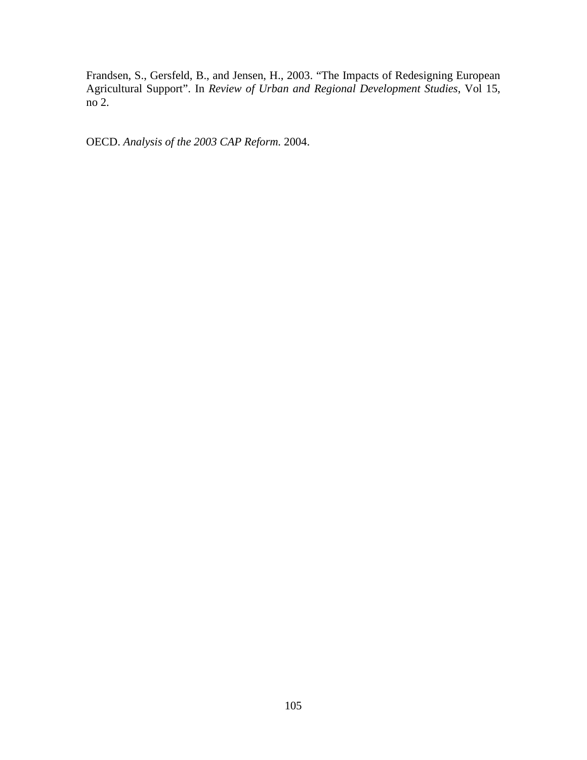Frandsen, S., Gersfeld, B., and Jensen, H., 2003. "The Impacts of Redesigning European Agricultural Support". In *Review of Urban and Regional Development Studies*, Vol 15, no 2.

OECD. *Analysis of the 2003 CAP Reform.* 2004.